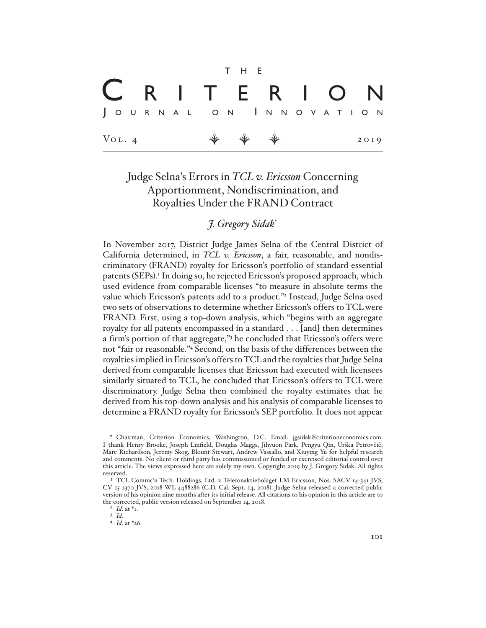|                     |  |  |                       | T H E |  |  |  |  |      |  |
|---------------------|--|--|-----------------------|-------|--|--|--|--|------|--|
|                     |  |  | C R I T E R I O N     |       |  |  |  |  |      |  |
|                     |  |  | JOURNAL ON INNOVATION |       |  |  |  |  |      |  |
| $V_{\text{OL}}$ . 4 |  |  |                       |       |  |  |  |  | 2019 |  |

# Judge Selna's Errors in *TCL v. Ericsson* Concerning Apportionment, Nondiscrimination, and Royalties Under the FRAND Contract

*J. Gregory Sidak*\*

In November 2017, District Judge James Selna of the Central District of California determined, in *TCL v. Ericsson*, a fair, reasonable, and nondiscriminatory (FRAND) royalty for Ericsson's portfolio of standard-essential patents (SEPs).<sup>1</sup> In doing so, he rejected Ericsson's proposed approach, which used evidence from comparable licenses "to measure in absolute terms the value which Ericsson's patents add to a product."<sup>2</sup> Instead, Judge Selna used two sets of observations to determine whether Ericsson's offers to TCL were FRAND. First, using a top-down analysis, which "begins with an aggregate royalty for all patents encompassed in a standard . . . [and] then determines a firm's portion of that aggregate,"3 he concluded that Ericsson's offers were not "fair or reasonable."4 Second, on the basis of the differences between the royalties implied in Ericsson's offers to TCL and the royalties that Judge Selna derived from comparable licenses that Ericsson had executed with licensees similarly situated to TCL, he concluded that Ericsson's offers to TCL were discriminatory. Judge Selna then combined the royalty estimates that he derived from his top-down analysis and his analysis of comparable licenses to determine a FRAND royalty for Ericsson's SEP portfolio. It does not appear

<sup>\*</sup> Chairman, Criterion Economics, Washington, D.C. Email: jgsidak@criterioneconomics.com. I thank Henry Brooke, Joseph Linfield, Douglas Maggs, Jihyuon Park, Pengyu Qin, Urška Petrovčič, Marc Richardson, Jeremy Skog, Blount Stewart, Andrew Vassallo, and Xiuying Yu for helpful research and comments. No client or third party has commissioned or funded or exercised editorial control over this article. The views expressed here are solely my own. Copyright 2019 by J. Gregory Sidak. All rights reserved.

<sup>&</sup>lt;sup>1</sup> TCL Commc'n Tech. Holdings, Ltd. v. Telefonaktiebolaget LM Ericsson, Nos. SACV 14-341 JVS, CV 15-2370 JVS, 2018 WL 4488286 (C.D. Cal. Sept. 14, 2018). Judge Selna released a corrected public version of his opinion nine months after its initial release. All citations to his opinion in this article are to the corrected, public version released on September 14, 2018.

<sup>2</sup> *Id*. at \*1.

<sup>3</sup> *Id*.

<sup>4</sup> *Id*. at \*26.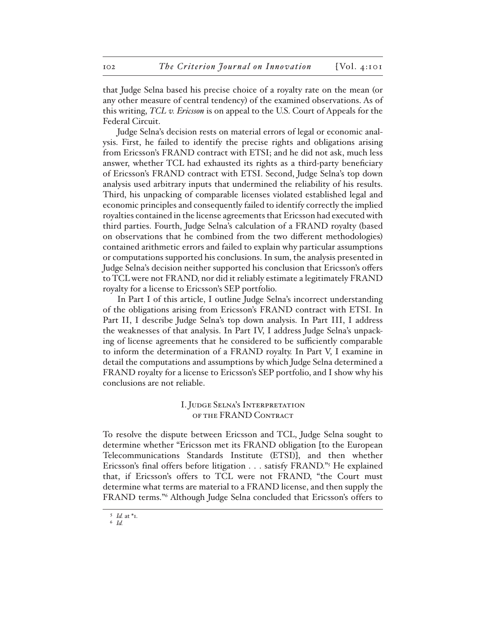that Judge Selna based his precise choice of a royalty rate on the mean (or any other measure of central tendency) of the examined observations. As of this writing, *TCL v. Ericsson* is on appeal to the U.S. Court of Appeals for the Federal Circuit.

Judge Selna's decision rests on material errors of legal or economic analysis. First, he failed to identify the precise rights and obligations arising from Ericsson's FRAND contract with ETSI; and he did not ask, much less answer, whether TCL had exhausted its rights as a third-party beneficiary of Ericsson's FRAND contract with ETSI. Second, Judge Selna's top down analysis used arbitrary inputs that undermined the reliability of his results. Third, his unpacking of comparable licenses violated established legal and economic principles and consequently failed to identify correctly the implied royalties contained in the license agreements that Ericsson had executed with third parties. Fourth, Judge Selna's calculation of a FRAND royalty (based on observations that he combined from the two different methodologies) contained arithmetic errors and failed to explain why particular assumptions or computations supported his conclusions. In sum, the analysis presented in Judge Selna's decision neither supported his conclusion that Ericsson's offers to TCL were not FRAND, nor did it reliably estimate a legitimately FRAND royalty for a license to Ericsson's SEP portfolio.

In Part I of this article, I outline Judge Selna's incorrect understanding of the obligations arising from Ericsson's FRAND contract with ETSI. In Part II, I describe Judge Selna's top down analysis. In Part III, I address the weaknesses of that analysis. In Part IV, I address Judge Selna's unpacking of license agreements that he considered to be sufficiently comparable to inform the determination of a FRAND royalty. In Part V, I examine in detail the computations and assumptions by which Judge Selna determined a FRAND royalty for a license to Ericsson's SEP portfolio, and I show why his conclusions are not reliable.

## I. Judge Selna's Interpretation of the FRAND Contract

To resolve the dispute between Ericsson and TCL, Judge Selna sought to determine whether "Ericsson met its FRAND obligation [to the European Telecommunications Standards Institute (ETSI)], and then whether Ericsson's final offers before litigation . . . satisfy FRAND."5 He explained that, if Ericsson's offers to TCL were not FRAND, "the Court must determine what terms are material to a FRAND license, and then supply the FRAND terms."6 Although Judge Selna concluded that Ericsson's offers to

<sup>5</sup> *Id.* at \*1.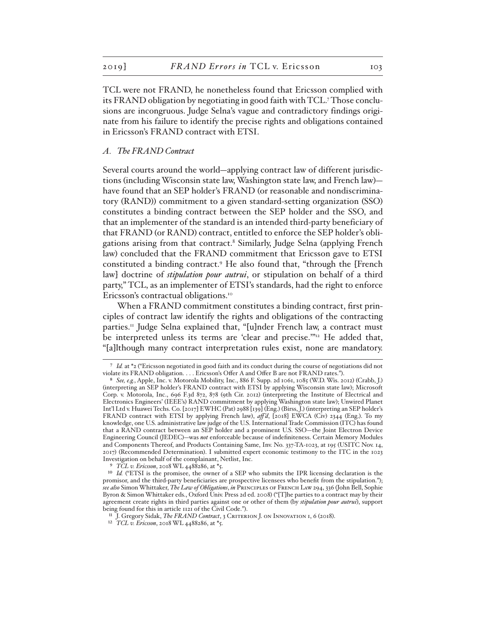TCL were not FRAND, he nonetheless found that Ericsson complied with its FRAND obligation by negotiating in good faith with TCL.7 Those conclusions are incongruous. Judge Selna's vague and contradictory findings originate from his failure to identify the precise rights and obligations contained in Ericsson's FRAND contract with ETSI.

#### *A. The FRAND Contract*

Several courts around the world—applying contract law of different jurisdictions (including Wisconsin state law, Washington state law, and French law) have found that an SEP holder's FRAND (or reasonable and nondiscriminatory (RAND)) commitment to a given standard-setting organization (SSO) constitutes a binding contract between the SEP holder and the SSO, and that an implementer of the standard is an intended third-party beneficiary of that FRAND (or RAND) contract, entitled to enforce the SEP holder's obligations arising from that contract.<sup>8</sup> Similarly, Judge Selna (applying French law) concluded that the FRAND commitment that Ericsson gave to ETSI constituted a binding contract.9 He also found that, "through the [French law] doctrine of *stipulation pour autrui*, or stipulation on behalf of a third party," TCL, as an implementer of ETSI's standards, had the right to enforce Ericsson's contractual obligations.<sup>10</sup>

When a FRAND commitment constitutes a binding contract, first principles of contract law identify the rights and obligations of the contracting parties.<sup>11</sup> Judge Selna explained that, "[u]nder French law, a contract must be interpreted unless its terms are 'clear and precise.'"12 He added that, "[a]lthough many contract interpretation rules exist, none are mandatory.

<sup>7</sup> *Id.* at \*2 ("Ericsson negotiated in good faith and its conduct during the course of negotiations did not violate its FRAND obligation. . . . Ericsson's Offer A and Offer B are not FRAND rates.").

<sup>8</sup> *See, e.g.*, Apple, Inc. v. Motorola Mobility, Inc., 886 F. Supp. 2d 1061, 1085 (W.D. Wis. 2012) (Crabb, J.) (interpreting an SEP holder's FRAND contract with ETSI by applying Wisconsin state law); Microsoft Corp. v. Motorola, Inc., 696 F.3d 872, 878 (9th Cir. 2012) (interpreting the Institute of Electrical and Electronics Engineers' (IEEE's) RAND commitment by applying Washington state law); Unwired Planet Int'l Ltd v. Huawei Techs. Co. [2017] EWHC (Pat) 2988 [139] (Eng.) (Birss, J.) (interpreting an SEP holder's FRAND contract with ETSI by applying French law), *aff 'd*, [2018] EWCA (Civ) 2344 (Eng.). To my knowledge, one U.S. administrative law judge of the U.S. International Trade Commission (ITC) has found that a RAND contract between an SEP holder and a prominent U.S. SSO—the Joint Electron Device Engineering Council (JEDEC)—was *not* enforceable because of indefiniteness. Certain Memory Modules and Components Thereof, and Products Containing Same, Inv. No. 337-TA-1023, at 195 (USITC Nov. 14, 2017) (Recommended Determination). I submitted expert economic testimony to the ITC in the 1023 Investigation on behalf of the complainant, Netlist, Inc.

<sup>9</sup> *TCL v. Ericsson*, 2018 WL 4488286, at \*5.

<sup>&</sup>lt;sup>10</sup> *Id.* ("ETSI is the promisee, the owner of a SEP who submits the IPR licensing declaration is the promisor, and the third-party beneficiaries are prospective licensees who benefit from the stipulation."); *see also* Simon Whittaker, *The Law of Obligations*, *in* Principles of French Law 294, 336 (John Bell, Sophie Byron & Simon Whittaker eds., Oxford Univ. Press 2d ed. 2008) ("[T]he parties to a contract may by their agreement create rights in third parties against one or other of them (by *stipulation pour autrui*), support being found for this in article 1121 of the Civil Code.").

<sup>&</sup>lt;sup>11</sup> J. Gregory Sidak, *The FRAND Contract*, 3 CRITERION J. ON INNOVATION I, 6 (2018).

<sup>12</sup> *TCL v. Ericsson*, 2018 WL 4488286, at \*5.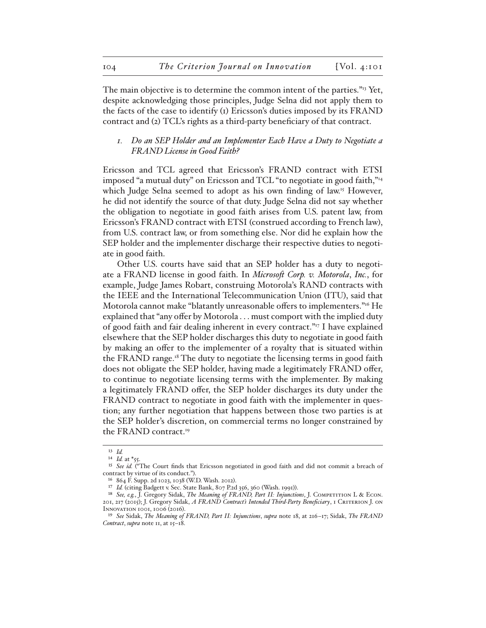The main objective is to determine the common intent of the parties."<sup>13</sup> Yet, despite acknowledging those principles, Judge Selna did not apply them to the facts of the case to identify (1) Ericsson's duties imposed by its FRAND contract and (2) TCL's rights as a third-party beneficiary of that contract.

### *1. Do an SEP Holder and an Implementer Each Have a Duty to Negotiate a FRAND License in Good Faith?*

Ericsson and TCL agreed that Ericsson's FRAND contract with ETSI imposed "a mutual duty" on Ericsson and TCL "to negotiate in good faith,"14 which Judge Selna seemed to adopt as his own finding of law.<sup>15</sup> However, he did not identify the source of that duty. Judge Selna did not say whether the obligation to negotiate in good faith arises from U.S. patent law, from Ericsson's FRAND contract with ETSI (construed according to French law), from U.S. contract law, or from something else. Nor did he explain how the SEP holder and the implementer discharge their respective duties to negotiate in good faith.

Other U.S. courts have said that an SEP holder has a duty to negotiate a FRAND license in good faith. In *Microsoft Corp. v. Motorola*, *Inc.*, for example, Judge James Robart, construing Motorola's RAND contracts with the IEEE and the International Telecommunication Union (ITU), said that Motorola cannot make "blatantly unreasonable offers to implementers."16 He explained that "any offer by Motorola . . . must comport with the implied duty of good faith and fair dealing inherent in every contract."17 I have explained elsewhere that the SEP holder discharges this duty to negotiate in good faith by making an offer to the implementer of a royalty that is situated within the FRAND range.<sup>18</sup> The duty to negotiate the licensing terms in good faith does not obligate the SEP holder, having made a legitimately FRAND offer, to continue to negotiate licensing terms with the implementer. By making a legitimately FRAND offer, the SEP holder discharges its duty under the FRAND contract to negotiate in good faith with the implementer in question; any further negotiation that happens between those two parties is at the SEP holder's discretion, on commercial terms no longer constrained by the FRAND contract.<sup>19</sup>

<sup>13</sup> *Id.*

<sup>14</sup> *Id.* at \*55.

<sup>&</sup>lt;sup>15</sup> See id. <sup>("The Court finds that Ericsson negotiated in good faith and did not commit a breach of</sup> contract by virtue of its conduct.").

<sup>16</sup> 864 F. Supp. 2d 1023, 1038 (W.D. Wash. 2012).

<sup>17</sup> *Id.* (citing Badgett v. Sec. State Bank, 807 P.2d 356, 360 (Wash. 1991)).

<sup>&</sup>lt;sup>18</sup> See, e.g., J. Gregory Sidak, *The Meaning of FRAND, Part II: Injunctions*, J. COMPETITION L & ECON.

<sup>201, 217 (2015);</sup> J. Gregory Sidak, *A FRAND Contract's Intended Third-Party Beneficiary*, 1 Criterion J. on Innovation 1001, 1006 (2016).

<sup>19</sup> *See* Sidak, *The Meaning of FRAND, Part II: Injunctions*, *supra* note 18, at 216–17; Sidak, *The FRAND Contract*, *supra* note 11, at 15–18.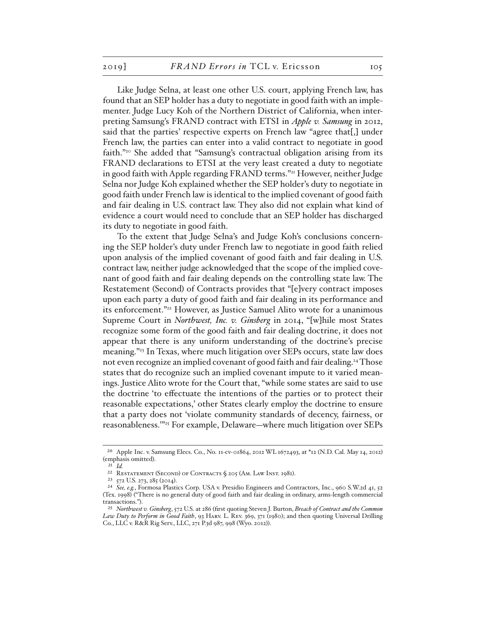Like Judge Selna, at least one other U.S. court, applying French law, has found that an SEP holder has a duty to negotiate in good faith with an implementer. Judge Lucy Koh of the Northern District of California, when interpreting Samsung's FRAND contract with ETSI in *Apple v. Samsung* in 2012, said that the parties' respective experts on French law "agree that[,] under French law, the parties can enter into a valid contract to negotiate in good faith."20 She added that "Samsung's contractual obligation arising from its FRAND declarations to ETSI at the very least created a duty to negotiate in good faith with Apple regarding FRAND terms."21 However, neither Judge Selna nor Judge Koh explained whether the SEP holder's duty to negotiate in good faith under French law is identical to the implied covenant of good faith and fair dealing in U.S. contract law. They also did not explain what kind of evidence a court would need to conclude that an SEP holder has discharged its duty to negotiate in good faith.

To the extent that Judge Selna's and Judge Koh's conclusions concerning the SEP holder's duty under French law to negotiate in good faith relied upon analysis of the implied covenant of good faith and fair dealing in U.S. contract law, neither judge acknowledged that the scope of the implied covenant of good faith and fair dealing depends on the controlling state law. The Restatement (Second) of Contracts provides that "[e]very contract imposes upon each party a duty of good faith and fair dealing in its performance and its enforcement."22 However, as Justice Samuel Alito wrote for a unanimous Supreme Court in *Northwest, Inc. v. Ginsberg* in 2014, "[w]hile most States recognize some form of the good faith and fair dealing doctrine, it does not appear that there is any uniform understanding of the doctrine's precise meaning."23 In Texas, where much litigation over SEPs occurs, state law does not even recognize an implied covenant of good faith and fair dealing.<sup>24</sup> Those states that do recognize such an implied covenant impute to it varied meanings. Justice Alito wrote for the Court that, "while some states are said to use the doctrine 'to effectuate the intentions of the parties or to protect their reasonable expectations,' other States clearly employ the doctrine to ensure that a party does not 'violate community standards of decency, fairness, or reasonableness.'"25 For example, Delaware—where much litigation over SEPs

<sup>20</sup> Apple Inc. v. Samsung Elecs. Co., No. 11-cv-01864, 2012 WL 1672493, at \*12 (N.D. Cal. May 14, 2012) (emphasis omitted).

 $21$  *Id.* 

<sup>22</sup> Restatement (Second) of Contracts § 205 (Am. Law Inst. 1981).

<sup>23</sup> 572 U.S. 273, 285 (2014).

<sup>24</sup> *See, e.g.*, Formosa Plastics Corp. USA v. Presidio Engineers and Contractors, Inc., 960 S.W.2d 41, 52 (Tex. 1998) ("There is no general duty of good faith and fair dealing in ordinary, arms-length commercial transactions.").

<sup>25</sup> *Northwest v. Ginsberg*, 572 U.S. at 286 (first quoting Steven J. Burton, *Breach of Contract and the Common Law Duty to Perform in Good Faith*, 93 Harv. L. Rev. 369, 371 (1980); and then quoting Universal Drilling Co., LLC v. R&R Rig Serv., LLC, 271 P.3d 987, 998 (Wyo. 2012)).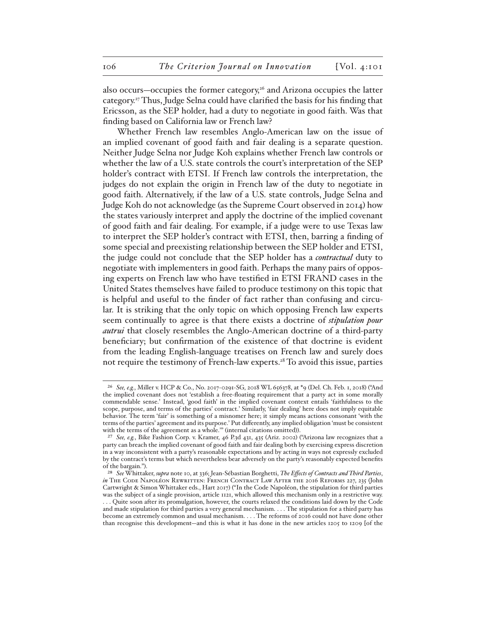also occurs—occupies the former category,<sup>26</sup> and Arizona occupies the latter category.27 Thus, Judge Selna could have clarified the basis for his finding that Ericsson, as the SEP holder, had a duty to negotiate in good faith. Was that finding based on California law or French law?

Whether French law resembles Anglo-American law on the issue of an implied covenant of good faith and fair dealing is a separate question. Neither Judge Selna nor Judge Koh explains whether French law controls or whether the law of a U.S. state controls the court's interpretation of the SEP holder's contract with ETSI. If French law controls the interpretation, the judges do not explain the origin in French law of the duty to negotiate in good faith. Alternatively, if the law of a U.S. state controls, Judge Selna and Judge Koh do not acknowledge (as the Supreme Court observed in 2014) how the states variously interpret and apply the doctrine of the implied covenant of good faith and fair dealing. For example, if a judge were to use Texas law to interpret the SEP holder's contract with ETSI, then, barring a finding of some special and preexisting relationship between the SEP holder and ETSI, the judge could not conclude that the SEP holder has a *contractual* duty to negotiate with implementers in good faith. Perhaps the many pairs of opposing experts on French law who have testified in ETSI FRAND cases in the United States themselves have failed to produce testimony on this topic that is helpful and useful to the finder of fact rather than confusing and circular. It is striking that the only topic on which opposing French law experts seem continually to agree is that there exists a doctrine of *stipulation pour autrui* that closely resembles the Anglo-American doctrine of a third-party beneficiary; but confirmation of the existence of that doctrine is evident from the leading English-language treatises on French law and surely does not require the testimony of French-law experts.<sup>28</sup> To avoid this issue, parties

<sup>26</sup> *See, e.g.*, Miller v. HCP & Co., No. 2017-0291-SG, 2018 WL 656378, at \*9 (Del. Ch. Feb. 1, 2018) ("And the implied covenant does not 'establish a free-floating requirement that a party act in some morally commendable sense.' Instead, 'good faith' in the implied covenant context entails 'faithfulness to the scope, purpose, and terms of the parties' contract.' Similarly, 'fair dealing' here does not imply equitable behavior. The term 'fair' is something of a misnomer here; it simply means actions consonant 'with the terms of the parties' agreement and its purpose.' Put differently, any implied obligation 'must be consistent with the terms of the agreement as a whole." (internal citations omitted)).

<sup>27</sup> *See, e.g.*, Bike Fashion Corp. v. Kramer, 46 P.3d 431, 435 (Ariz. 2002) ("Arizona law recognizes that a party can breach the implied covenant of good faith and fair dealing both by exercising express discretion in a way inconsistent with a party's reasonable expectations and by acting in ways not expressly excluded by the contract's terms but which nevertheless bear adversely on the party's reasonably expected benefits of the bargain.").

<sup>28</sup> *See* Whittaker, *supra* note 10, at 336; Jean-Sébastian Borghetti, *The Effects of Contracts and Third Parties*, *in* The Code Napoléon Rewritten: French Contract Law After the 2016 Reforms 227, 235 (John Cartwright & Simon Whittaker eds., Hart 2017) ("In the Code Napoléon, the stipulation for third parties was the subject of a single provision, article 1121, which allowed this mechanism only in a restrictive way. . . . Quite soon after its promulgation, however, the courts relaxed the conditions laid down by the Code and made stipulation for third parties a very general mechanism. . . . The stipulation for a third party has become an extremely common and usual mechanism. . . . The reforms of 2016 could not have done other than recognise this development—and this is what it has done in the new articles 1205 to 1209 [of the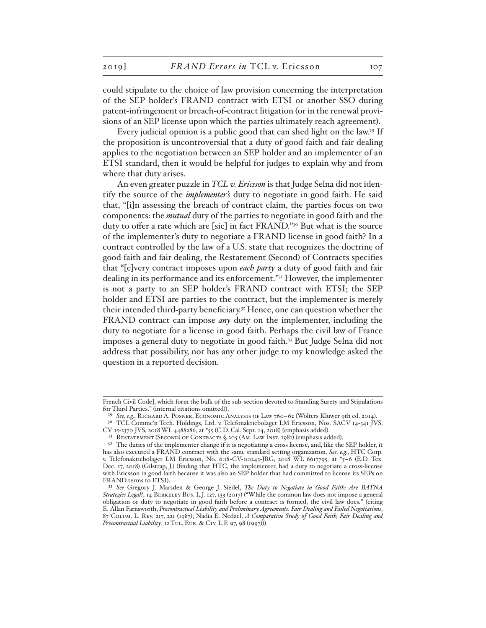could stipulate to the choice of law provision concerning the interpretation of the SEP holder's FRAND contract with ETSI or another SSO during patent-infringement or breach-of-contract litigation (or in the renewal provisions of an SEP license upon which the parties ultimately reach agreement).

Every judicial opinion is a public good that can shed light on the law.<sup>29</sup> If the proposition is uncontroversial that a duty of good faith and fair dealing applies to the negotiation between an SEP holder and an implementer of an ETSI standard, then it would be helpful for judges to explain why and from where that duty arises.

An even greater puzzle in *TCL v. Ericsson* is that Judge Selna did not identify the source of the *implementer's* duty to negotiate in good faith. He said that, "[i]n assessing the breach of contract claim, the parties focus on two components: the *mutual* duty of the parties to negotiate in good faith and the duty to offer a rate which are [sic] in fact FRAND."<sup>30</sup> But what is the source of the implementer's duty to negotiate a FRAND license in good faith? In a contract controlled by the law of a U.S. state that recognizes the doctrine of good faith and fair dealing, the Restatement (Second) of Contracts specifies that "[e]very contract imposes upon *each party* a duty of good faith and fair dealing in its performance and its enforcement."31 However, the implementer is not a party to an SEP holder's FRAND contract with ETSI; the SEP holder and ETSI are parties to the contract, but the implementer is merely their intended third-party beneficiary.32 Hence, one can question whether the FRAND contract can impose *any* duty on the implementer, including the duty to negotiate for a license in good faith. Perhaps the civil law of France imposes a general duty to negotiate in good faith.<sup>33</sup> But Judge Selna did not address that possibility, nor has any other judge to my knowledge asked the question in a reported decision.

French Civil Code], which form the bulk of the sub-section devoted to Standing Surety and Stipulations for Third Parties." (internal citations omitted)).

<sup>&</sup>lt;sup>29</sup> See, e.g., RICHARD A. POSNER, ECONOMIC ANALYSIS OF LAW 760-62 (Wolters Kluwer 9th ed. 2014).

<sup>30</sup> TCL Commc'n Tech. Holdings, Ltd. v. Telefonaktiebolaget LM Ericsson, Nos. SACV 14-341 JVS, CV 15-2370 JVS, 2018 WL 4488286, at \*55 (C.D. Cal. Sept. 14, 2018) (emphasis added).

<sup>&</sup>lt;sup>31</sup> RESTATEMENT (SECOND) OF CONTRACTS  $\zeta$  205 (AM. LAW INST. 1981) (emphasis added).

<sup>&</sup>lt;sup>32</sup> The duties of the implementer change if it is negotiating a cross license, and, like the SEP holder, it has also executed a FRAND contract with the same standard setting organization. *See, e.g.*, HTC Corp. v. Telefonaktiebolaget LM Ericsson, No. 6:18-CV-00243-JRG, 2018 WL 6617795, at \*5–6 (E.D. Tex. Dec. 17, 2018) (Gilstrap, J.) (finding that HTC, the implementer, had a duty to negotiate a cross-license with Ericsson in good faith because it was also an SEP holder that had committed to license its SEPs on FRAND terms to ETSI).

<sup>33</sup> *See* Gregory J. Marsden & George J. Siedel, *The Duty to Negotiate in Good Faith: Are BATNA Strategies Legal?*, 14 Berkeley Bus. L.J. 127, 133 (2017) ("While the common law does not impose a general obligation or duty to negotiate in good faith before a contract is formed, the civil law does." (citing E. Allan Farnsworth, *Precontractual Liability and Preliminary Agreements: Fair Dealing and Failed Negotiations*, 87 Colum. L. Rev. 217, 221 (1987); Nadia E. Nedzel, *A Comparative Study of Good Faith, Fair Dealing and Precontractual Liability*, 12 Tul. Eur. & Civ. L.F. 97, 98 (1997))).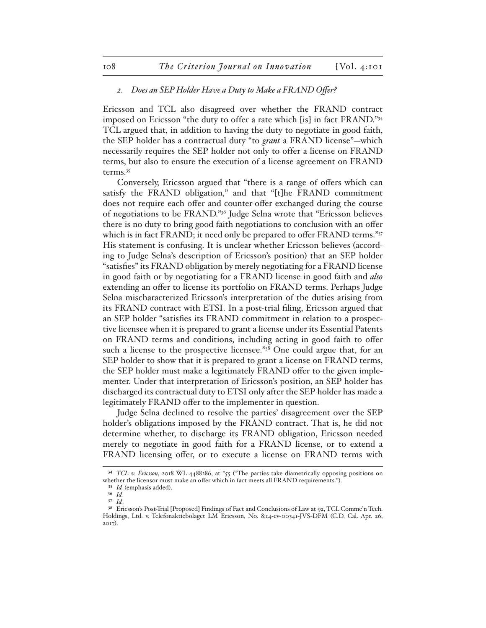#### *2. Does an SEP Holder Have a Duty to Make a FRAND Offer?*

Ericsson and TCL also disagreed over whether the FRAND contract imposed on Ericsson "the duty to offer a rate which [is] in fact FRAND."34 TCL argued that, in addition to having the duty to negotiate in good faith, the SEP holder has a contractual duty "to *grant* a FRAND license"—which necessarily requires the SEP holder not only to offer a license on FRAND terms, but also to ensure the execution of a license agreement on FRAND terms.35

Conversely, Ericsson argued that "there is a range of offers which can satisfy the FRAND obligation," and that "[t]he FRAND commitment does not require each offer and counter-offer exchanged during the course of negotiations to be FRAND."36 Judge Selna wrote that "Ericsson believes there is no duty to bring good faith negotiations to conclusion with an offer which is in fact FRAND; it need only be prepared to offer FRAND terms."37 His statement is confusing. It is unclear whether Ericsson believes (according to Judge Selna's description of Ericsson's position) that an SEP holder "satisfies" its FRAND obligation by merely negotiating for a FRAND license in good faith or by negotiating for a FRAND license in good faith and *also* extending an offer to license its portfolio on FRAND terms. Perhaps Judge Selna mischaracterized Ericsson's interpretation of the duties arising from its FRAND contract with ETSI. In a post-trial filing, Ericsson argued that an SEP holder "satisfies its FRAND commitment in relation to a prospective licensee when it is prepared to grant a license under its Essential Patents on FRAND terms and conditions, including acting in good faith to offer such a license to the prospective licensee."<sup>38</sup> One could argue that, for an SEP holder to show that it is prepared to grant a license on FRAND terms, the SEP holder must make a legitimately FRAND offer to the given implementer. Under that interpretation of Ericsson's position, an SEP holder has discharged its contractual duty to ETSI only after the SEP holder has made a legitimately FRAND offer to the implementer in question.

Judge Selna declined to resolve the parties' disagreement over the SEP holder's obligations imposed by the FRAND contract. That is, he did not determine whether, to discharge its FRAND obligation, Ericsson needed merely to negotiate in good faith for a FRAND license, or to extend a FRAND licensing offer, or to execute a license on FRAND terms with

<sup>34</sup> *TCL v. Ericsson*, 2018 WL 4488286, at \*55 ("The parties take diametrically opposing positions on whether the licensor must make an offer which in fact meets all FRAND requirements.").

<sup>35</sup> *Id.* (emphasis added).

<sup>36</sup> *Id.* 37 *Id.*

<sup>38</sup> Ericsson's Post-Trial [Proposed] Findings of Fact and Conclusions of Law at 92, TCL Commc'n Tech. Holdings, Ltd. v. Telefonaktiebolaget LM Ericsson, No. 8:14-cv-00341-JVS-DFM (C.D. Cal. Apr. 26, 2017).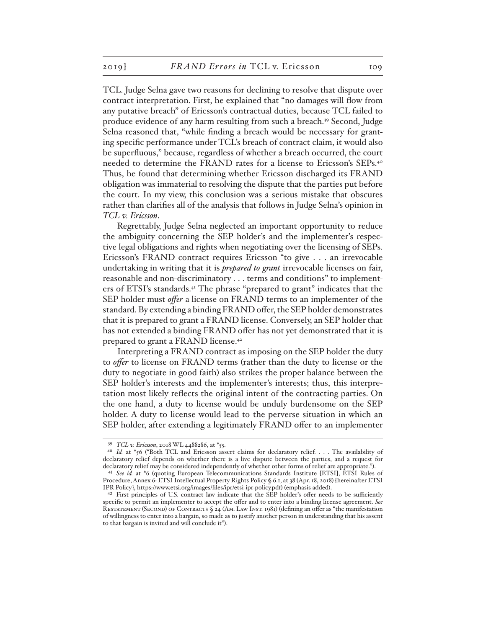TCL. Judge Selna gave two reasons for declining to resolve that dispute over contract interpretation. First, he explained that "no damages will flow from any putative breach" of Ericsson's contractual duties, because TCL failed to produce evidence of any harm resulting from such a breach.39 Second, Judge Selna reasoned that, "while finding a breach would be necessary for granting specific performance under TCL's breach of contract claim, it would also be superfluous," because, regardless of whether a breach occurred, the court needed to determine the FRAND rates for a license to Ericsson's SEPs.40 Thus, he found that determining whether Ericsson discharged its FRAND obligation was immaterial to resolving the dispute that the parties put before the court. In my view, this conclusion was a serious mistake that obscures rather than clarifies all of the analysis that follows in Judge Selna's opinion in *TCL v. Ericsson*.

Regrettably, Judge Selna neglected an important opportunity to reduce the ambiguity concerning the SEP holder's and the implementer's respective legal obligations and rights when negotiating over the licensing of SEPs. Ericsson's FRAND contract requires Ericsson "to give . . . an irrevocable undertaking in writing that it is *prepared to grant* irrevocable licenses on fair, reasonable and non-discriminatory . . . terms and conditions" to implementers of ETSI's standards.41 The phrase "prepared to grant" indicates that the SEP holder must *offer* a license on FRAND terms to an implementer of the standard. By extending a binding FRAND offer, the SEP holder demonstrates that it is prepared to grant a FRAND license. Conversely, an SEP holder that has not extended a binding FRAND offer has not yet demonstrated that it is prepared to grant a FRAND license.<sup>42</sup>

Interpreting a FRAND contract as imposing on the SEP holder the duty to *offer* to license on FRAND terms (rather than the duty to license or the duty to negotiate in good faith) also strikes the proper balance between the SEP holder's interests and the implementer's interests; thus, this interpretation most likely reflects the original intent of the contracting parties. On the one hand, a duty to license would be unduly burdensome on the SEP holder. A duty to license would lead to the perverse situation in which an SEP holder, after extending a legitimately FRAND offer to an implementer

<sup>39</sup> *TCL v. Ericsson*, 2018 WL 4488286, at \*55.

<sup>&</sup>lt;sup>40</sup> *Id.* at \*56 ("Both TCL and Ericsson assert claims for declaratory relief. . . . The availability of declaratory relief depends on whether there is a live dispute between the parties, and a request for declaratory relief may be considered independently of whether other forms of relief are appropriate.").

<sup>41</sup> *See id.* at \*6 (quoting European Telecommunications Standards Institute [ETSI], ETSI Rules of Procedure, Annex 6: ETSI Intellectual Property Rights Policy § 6.1, at 38 (Apr. 18, 2018) [hereinafter ETSI IPR Policy], https://www.etsi.org/images/files/ipr/etsi-ipr-policy.pdf) (emphasis added).

<sup>42</sup> First principles of U.S. contract law indicate that the SEP holder's offer needs to be sufficiently specific to permit an implementer to accept the offer and to enter into a binding license agreement. *See* RESTATEMENT (SECOND) OF CONTRACTS § 24 (AM. LAW INST. 1981) (defining an offer as "the manifestation of willingness to enter into a bargain, so made as to justify another person in understanding that his assent to that bargain is invited and will conclude it").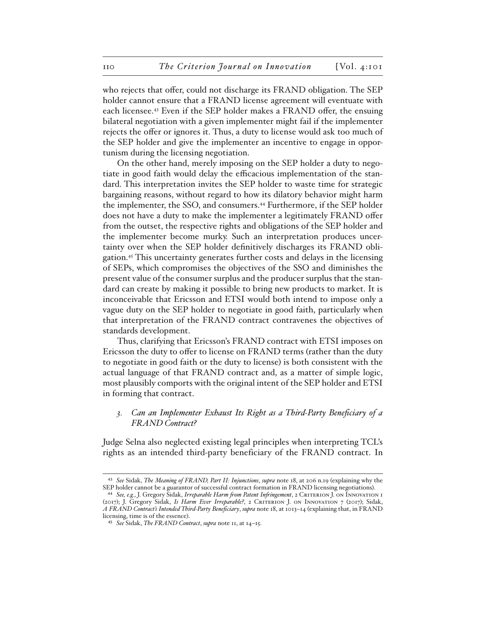who rejects that offer, could not discharge its FRAND obligation. The SEP holder cannot ensure that a FRAND license agreement will eventuate with each licensee.43 Even if the SEP holder makes a FRAND offer, the ensuing bilateral negotiation with a given implementer might fail if the implementer rejects the offer or ignores it. Thus, a duty to license would ask too much of the SEP holder and give the implementer an incentive to engage in opportunism during the licensing negotiation.

On the other hand, merely imposing on the SEP holder a duty to negotiate in good faith would delay the efficacious implementation of the standard. This interpretation invites the SEP holder to waste time for strategic bargaining reasons, without regard to how its dilatory behavior might harm the implementer, the SSO, and consumers.44 Furthermore, if the SEP holder does not have a duty to make the implementer a legitimately FRAND offer from the outset, the respective rights and obligations of the SEP holder and the implementer become murky. Such an interpretation produces uncertainty over when the SEP holder definitively discharges its FRAND obligation.45 This uncertainty generates further costs and delays in the licensing of SEPs, which compromises the objectives of the SSO and diminishes the present value of the consumer surplus and the producer surplus that the standard can create by making it possible to bring new products to market. It is inconceivable that Ericsson and ETSI would both intend to impose only a vague duty on the SEP holder to negotiate in good faith, particularly when that interpretation of the FRAND contract contravenes the objectives of standards development.

Thus, clarifying that Ericsson's FRAND contract with ETSI imposes on Ericsson the duty to offer to license on FRAND terms (rather than the duty to negotiate in good faith or the duty to license) is both consistent with the actual language of that FRAND contract and, as a matter of simple logic, most plausibly comports with the original intent of the SEP holder and ETSI in forming that contract.

# *3. Can an Implementer Exhaust Its Right as a Third-Party Beneficiary of a FRAND Contract?*

Judge Selna also neglected existing legal principles when interpreting TCL's rights as an intended third-party beneficiary of the FRAND contract. In

<sup>43</sup> *See* Sidak, *The Meaning of FRAND, Part II: Injunctions*, *supra* note 18, at 206 n.19 (explaining why the SEP holder cannot be a guarantor of successful contract formation in FRAND licensing negotiations).

<sup>44</sup> *See, e.g.*, J. Gregory Sidak, *Irreparable Harm from Patent Infringement*, 2 Criterion J. on Innovation 1 (2017); J. Gregory Sidak, *Is Harm Ever Irreparable?*, 2 Criterion J. on Innovation 7 (2017); Sidak, *A FRAND Contract's Intended Third-Party Beneficiary*, *supra* note 18, at 1013–14 (explaining that, in FRAND licensing, time is of the essence).

<sup>45</sup> *See* Sidak, *The FRAND Contract*, *supra* note 11, at 14–15.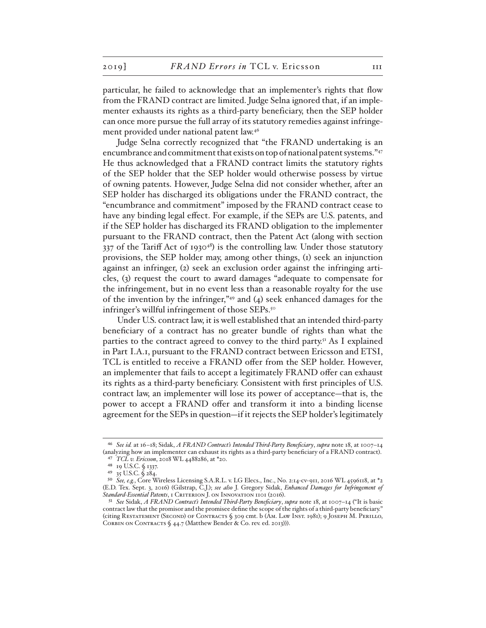particular, he failed to acknowledge that an implementer's rights that flow from the FRAND contract are limited. Judge Selna ignored that, if an implementer exhausts its rights as a third-party beneficiary, then the SEP holder can once more pursue the full array of its statutory remedies against infringement provided under national patent law.46

Judge Selna correctly recognized that "the FRAND undertaking is an encumbrance and commitment that exists on top of national patent systems."47 He thus acknowledged that a FRAND contract limits the statutory rights of the SEP holder that the SEP holder would otherwise possess by virtue of owning patents. However, Judge Selna did not consider whether, after an SEP holder has discharged its obligations under the FRAND contract, the "encumbrance and commitment" imposed by the FRAND contract cease to have any binding legal effect. For example, if the SEPs are U.S. patents, and if the SEP holder has discharged its FRAND obligation to the implementer pursuant to the FRAND contract, then the Patent Act (along with section  $337$  of the Tariff Act of 1930<sup>48</sup>) is the controlling law. Under those statutory provisions, the SEP holder may, among other things, (1) seek an injunction against an infringer, (2) seek an exclusion order against the infringing articles, (3) request the court to award damages "adequate to compensate for the infringement, but in no event less than a reasonable royalty for the use of the invention by the infringer," $49$  and (4) seek enhanced damages for the infringer's willful infringement of those SEPs.<sup>50</sup>

Under U.S. contract law, it is well established that an intended third-party beneficiary of a contract has no greater bundle of rights than what the parties to the contract agreed to convey to the third party.<sup>51</sup> As I explained in Part I.A.1, pursuant to the FRAND contract between Ericsson and ETSI, TCL is entitled to receive a FRAND offer from the SEP holder. However, an implementer that fails to accept a legitimately FRAND offer can exhaust its rights as a third-party beneficiary. Consistent with first principles of U.S. contract law, an implementer will lose its power of acceptance—that is, the power to accept a FRAND offer and transform it into a binding license agreement for the SEPs in question—if it rejects the SEP holder's legitimately

<sup>46</sup> *See id.* at 16–18; Sidak, *A FRAND Contract's Intended Third-Party Beneficiary*, *supra* note 18, at 1007–14 (analyzing how an implementer can exhaust its rights as a third-party beneficiary of a FRAND contract). 47 *TCL v. Ericsson*, 2018 WL 4488286, at \*20.

<sup>48</sup> 19 U.S.C. § 1337.

<sup>49</sup> 35 U.S.C. § 284.

<sup>50</sup> *See, e.g.*, Core Wireless Licensing S.A.R.L. v. LG Elecs., Inc., No. 2:14-cv-911, 2016 WL 4596118, at \*2 (E.D. Tex. Sept. 3, 2016) (Gilstrap, C.J.); *see also* J. Gregory Sidak, *Enhanced Damages for Infringement of*  Standard-Essential Patents, 1 CRITERION J. ON INNOVATION 1101 (2016).

<sup>51</sup> *See* Sidak, *A FRAND Contract's Intended Third-Party Beneficiary*, *supra* note 18, at 1007–14 ("It is basic contract law that the promisor and the promisee define the scope of the rights of a third-party beneficiary." (citing Restatement (Second) of Contracts § 309 cmt. b (Am. Law Inst. 1981); 9 Joseph M. Perillo, CORBIN ON CONTRACTS § 44.7 (Matthew Bender & Co. rev. ed. 2013))).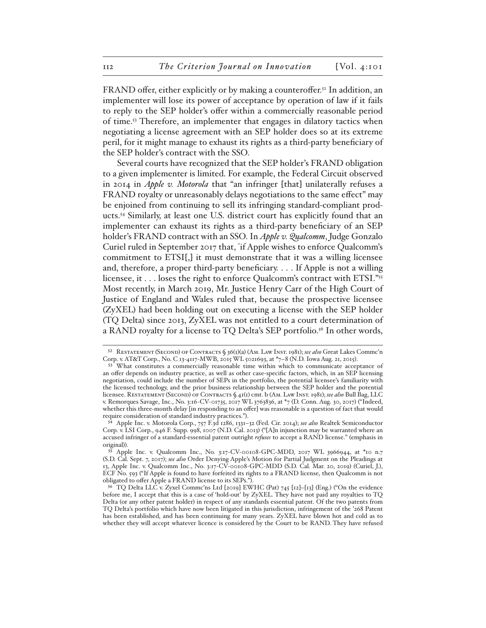FRAND offer, either explicitly or by making a counteroffer.<sup>52</sup> In addition, an implementer will lose its power of acceptance by operation of law if it fails to reply to the SEP holder's offer within a commercially reasonable period of time.53 Therefore, an implementer that engages in dilatory tactics when negotiating a license agreement with an SEP holder does so at its extreme peril, for it might manage to exhaust its rights as a third-party beneficiary of the SEP holder's contract with the SSO.

Several courts have recognized that the SEP holder's FRAND obligation to a given implementer is limited. For example, the Federal Circuit observed in 2014 in *Apple v. Motorola* that "an infringer [that] unilaterally refuses a FRAND royalty or unreasonably delays negotiations to the same effect" may be enjoined from continuing to sell its infringing standard-compliant products.54 Similarly, at least one U.S. district court has explicitly found that an implementer can exhaust its rights as a third-party beneficiary of an SEP holder's FRAND contract with an SSO. In *Apple v. Qualcomm*, Judge Gonzalo Curiel ruled in September 2017 that, " if Apple wishes to enforce Qualcomm's commitment to ETSI[,] it must demonstrate that it was a willing licensee and, therefore, a proper third-party beneficiary. . . . If Apple is not a willing licensee, it . . . loses the right to enforce Qualcomm's contract with ETSI."55 Most recently, in March 2019, Mr. Justice Henry Carr of the High Court of Justice of England and Wales ruled that, because the prospective licensee (ZyXEL) had been holding out on executing a license with the SEP holder (TQ Delta) since 2013, ZyXEL was not entitled to a court determination of a RAND royalty for a license to TQ Delta's SEP portfolio.<sup>56</sup> In other words,

<sup>52</sup> Restatement (Second) of Contracts § 36(1)(a) (Am. Law Inst. 1981); *see also* Great Lakes Commc'n Corp. v. AT&T Corp., No. C 13-4117-MWB, 2015 WL 5021693, at \*7–8 (N.D. Iowa Aug. 21, 2015).

<sup>53&</sup>lt;sup>5</sup> What constitutes a commercially reasonable time within which to communicate acceptance of an offer depends on industry practice, as well as other case-specific factors, which, in an SEP licensing negotiation, could include the number of SEPs in the portfolio, the potential licensee's familiarity with the licensed technology, and the prior business relationship between the SEP holder and the potential licensee. Restatement (Second) of Contracts § 41(1) cmt. b (Am. Law Inst. 1981); *see also* Bull Bag, LLC v. Remorques Savage, Inc., No. 3:16-CV-01735, 2017 WL 3763836, at \*7 (D. Conn. Aug. 30, 2017) ("Indeed, whether this three-month delay [in responding to an offer] was reasonable is a question of fact that would require consideration of standard industry practices.").

<sup>54</sup> Apple Inc. v. Motorola Corp., 757 F.3d 1286, 1331–32 (Fed. Cir. 2014); *see also* Realtek Semiconductor Corp. v. LSI Corp., 946 F. Supp. 998, 1007 (N.D. Cal. 2013) ("[A]n injunction may be warranted where an accused infringer of a standard-essential patent outright *refuses* to accept a RAND license." (emphasis in original)).

Apple Inc. v. Qualcomm Inc., No. 3:17-CV-00108-GPC-MDD, 2017 WL 3966944, at \*10 n.7 (S.D. Cal. Sept. 7, 2017); *see also* Order Denying Apple's Motion for Partial Judgment on the Pleadings at 13, Apple Inc. v. Qualcomm Inc., No. 3:17-CV-00108-GPC-MDD (S.D. Cal. Mar. 20, 2019) (Curiel, J.), ECF No. 593 ("If Apple is found to have forfeited its rights to a FRAND license, then Qualcomm is not obligated to offer Apple a FRAND license to its SEPs.").

 $56$  TQ Delta LLC v. Zyxel Commc'ns Ltd [2019] EWHC (Pat) 745 [12]-[13] (Eng.) ("On the evidence before me, I accept that this is a case of 'hold-out' by ZyXEL. They have not paid any royalties to TQ Delta (or any other patent holder) in respect of any standards essential patent. Of the two patents from TQ Delta's portfolio which have now been litigated in this jurisdiction, infringement of the '268 Patent has been established, and has been continuing for many years. ZyXEL have blown hot and cold as to whether they will accept whatever licence is considered by the Court to be RAND. They have refused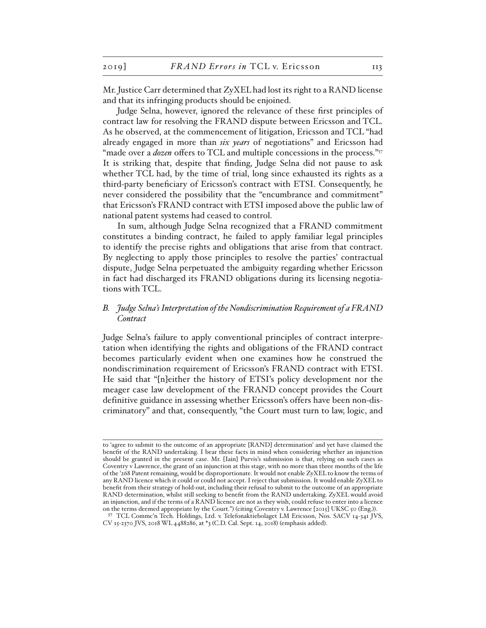Mr. Justice Carr determined that ZyXEL had lost its right to a RAND license and that its infringing products should be enjoined.

Judge Selna, however, ignored the relevance of these first principles of contract law for resolving the FRAND dispute between Ericsson and TCL. As he observed, at the commencement of litigation, Ericsson and TCL "had already engaged in more than *six years* of negotiations" and Ericsson had "made over a *dozen* offers to TCL and multiple concessions in the process."<sup>57</sup> It is striking that, despite that finding, Judge Selna did not pause to ask whether TCL had, by the time of trial, long since exhausted its rights as a third-party beneficiary of Ericsson's contract with ETSI. Consequently, he never considered the possibility that the "encumbrance and commitment" that Ericsson's FRAND contract with ETSI imposed above the public law of national patent systems had ceased to control.

In sum, although Judge Selna recognized that a FRAND commitment constitutes a binding contract, he failed to apply familiar legal principles to identify the precise rights and obligations that arise from that contract. By neglecting to apply those principles to resolve the parties' contractual dispute, Judge Selna perpetuated the ambiguity regarding whether Ericsson in fact had discharged its FRAND obligations during its licensing negotiations with TCL.

# *B. Judge Selna's Interpretation of the Nondiscrimination Requirement of a FRAND Contract*

Judge Selna's failure to apply conventional principles of contract interpretation when identifying the rights and obligations of the FRAND contract becomes particularly evident when one examines how he construed the nondiscrimination requirement of Ericsson's FRAND contract with ETSI. He said that "[n]either the history of ETSI's policy development nor the meager case law development of the FRAND concept provides the Court definitive guidance in assessing whether Ericsson's offers have been non-discriminatory" and that, consequently, "the Court must turn to law, logic, and

to 'agree to submit to the outcome of an appropriate [RAND] determination' and yet have claimed the benefit of the RAND undertaking. I bear these facts in mind when considering whether an injunction should be granted in the present case. Mr. [Iain] Purvis's submission is that, relying on such cases as Coventry v Lawrence, the grant of an injunction at this stage, with no more than three months of the life of the '268 Patent remaining, would be disproportionate. It would not enable ZyXEL to know the terms of any RAND licence which it could or could not accept. I reject that submission. It would enable ZyXEL to benefit from their strategy of hold-out, including their refusal to submit to the outcome of an appropriate RAND determination, whilst still seeking to benefit from the RAND undertaking. ZyXEL would avoid an injunction, and if the terms of a RAND licence are not as they wish, could refuse to enter into a licence on the terms deemed appropriate by the Court.") (citing Coventry v. Lawrence [2015] UKSC 50 (Eng.)).

<sup>57</sup> TCL Commc'n Tech. Holdings, Ltd. v. Telefonaktiebolaget LM Ericsson, Nos. SACV 14-341 JVS, CV 15-2370 JVS, 2018 WL 4488286, at \*3 (C.D. Cal. Sept. 14, 2018) (emphasis added).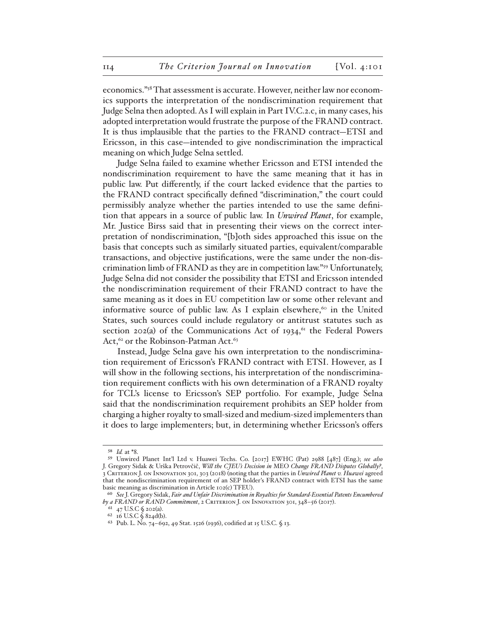economics."58 That assessment is accurate. However, neither law nor economics supports the interpretation of the nondiscrimination requirement that Judge Selna then adopted. As I will explain in Part IV.C.2.c, in many cases, his adopted interpretation would frustrate the purpose of the FRAND contract. It is thus implausible that the parties to the FRAND contract—ETSI and Ericsson, in this case—intended to give nondiscrimination the impractical meaning on which Judge Selna settled.

Judge Selna failed to examine whether Ericsson and ETSI intended the nondiscrimination requirement to have the same meaning that it has in public law. Put differently, if the court lacked evidence that the parties to the FRAND contract specifically defined "discrimination," the court could permissibly analyze whether the parties intended to use the same definition that appears in a source of public law. In *Unwired Planet*, for example, Mr. Justice Birss said that in presenting their views on the correct interpretation of nondiscrimination, "[b]oth sides approached this issue on the basis that concepts such as similarly situated parties, equivalent/comparable transactions, and objective justifications, were the same under the non-discrimination limb of FRAND as they are in competition law."59 Unfortunately, Judge Selna did not consider the possibility that ETSI and Ericsson intended the nondiscrimination requirement of their FRAND contract to have the same meaning as it does in EU competition law or some other relevant and informative source of public law. As I explain elsewhere, $60$  in the United States, such sources could include regulatory or antitrust statutes such as section  $202(a)$  of the Communications Act of 1934, <sup>61</sup> the Federal Powers Act,  $62$  or the Robinson-Patman Act.  $63$ 

Instead, Judge Selna gave his own interpretation to the nondiscrimination requirement of Ericsson's FRAND contract with ETSI. However, as I will show in the following sections, his interpretation of the nondiscrimination requirement conflicts with his own determination of a FRAND royalty for TCL's license to Ericsson's SEP portfolio. For example, Judge Selna said that the nondiscrimination requirement prohibits an SEP holder from charging a higher royalty to small-sized and medium-sized implementers than it does to large implementers; but, in determining whether Ericsson's offers

<sup>58</sup> *Id.* at \*8.

<sup>59</sup> Unwired Planet Int'l Ltd v. Huawei Techs. Co. [2017] EWHC (Pat) 2988 [487] (Eng.); *see also* J. Gregory Sidak & Urška Petrovčič, *Will the CJEU's Decision in* MEO *Change FRAND Disputes Globally?*, 3 Criterion J. on Innovation 301, 303 (2018) (noting that the parties in *Unwired Planet v. Huawei* agreed that the nondiscrimination requirement of an SEP holder's FRAND contract with ETSI has the same basic meaning as discrimination in Article 102(c) TFEU).

<sup>60</sup> *See* J. Gregory Sidak, *Fair and Unfair Discrimination in Royalties for Standard-Essential Patents Encumbered by a FRAND or RAND Commitment*, 2 Criterion J. on Innovation 301, 348–56 (2017).

<sup>61</sup> 47 U.S.C § 202(a).

<sup>62</sup> 16 U.S.C § 824d(b).

<sup>63</sup> Pub. L. No. 74–692, 49 Stat. 1526 (1936), codified at 15 U.S.C. § 13.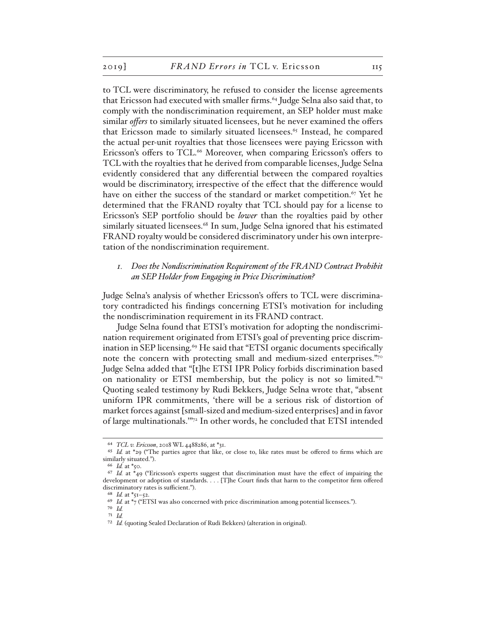to TCL were discriminatory, he refused to consider the license agreements that Ericsson had executed with smaller firms.64 Judge Selna also said that, to comply with the nondiscrimination requirement, an SEP holder must make similar *offers* to similarly situated licensees, but he never examined the offers that Ericsson made to similarly situated licensees.<sup>65</sup> Instead, he compared the actual per-unit royalties that those licensees were paying Ericsson with Ericsson's offers to TCL.66 Moreover, when comparing Ericsson's offers to TCL with the royalties that he derived from comparable licenses, Judge Selna evidently considered that any differential between the compared royalties would be discriminatory, irrespective of the effect that the difference would have on either the success of the standard or market competition.<sup>67</sup> Yet he determined that the FRAND royalty that TCL should pay for a license to Ericsson's SEP portfolio should be *lower* than the royalties paid by other similarly situated licensees.<sup>68</sup> In sum, Judge Selna ignored that his estimated FRAND royalty would be considered discriminatory under his own interpretation of the nondiscrimination requirement.

## *1. Does the Nondiscrimination Requirement of the FRAND Contract Prohibit an SEP Holder from Engaging in Price Discrimination?*

Judge Selna's analysis of whether Ericsson's offers to TCL were discriminatory contradicted his findings concerning ETSI's motivation for including the nondiscrimination requirement in its FRAND contract.

Judge Selna found that ETSI's motivation for adopting the nondiscrimination requirement originated from ETSI's goal of preventing price discrimination in SEP licensing.<sup>69</sup> He said that "ETSI organic documents specifically note the concern with protecting small and medium-sized enterprises."<sup>70</sup> Judge Selna added that "[t]he ETSI IPR Policy forbids discrimination based on nationality or ETSI membership, but the policy is not so limited." $71$ Quoting sealed testimony by Rudi Bekkers, Judge Selna wrote that, "absent uniform IPR commitments, 'there will be a serious risk of distortion of market forces against [small-sized and medium-sized enterprises] and in favor of large multinationals.'"72 In other words, he concluded that ETSI intended

<sup>64</sup> *TCL v. Ericsson*, 2018 WL 4488286, at \*31.

<sup>65</sup> *Id.* at \*29 ("The parties agree that like, or close to, like rates must be offered to firms which are similarly situated.").

<sup>66</sup> *Id.* at \*50.

<sup>67</sup> *Id.* at \*49 ("Ericsson's experts suggest that discrimination must have the effect of impairing the development or adoption of standards. . . . [T]he Court finds that harm to the competitor firm offered discriminatory rates is sufficient.").

<sup>68</sup> *Id.* at \*51–52.

<sup>&</sup>lt;sup>69</sup> *Id.* at  $*$ <sub>7</sub> ("ETSI was also concerned with price discrimination among potential licensees.").

<sup>70</sup> *Id.* 71 *Id.* 

<sup>72</sup> *Id.* (quoting Sealed Declaration of Rudi Bekkers) (alteration in original).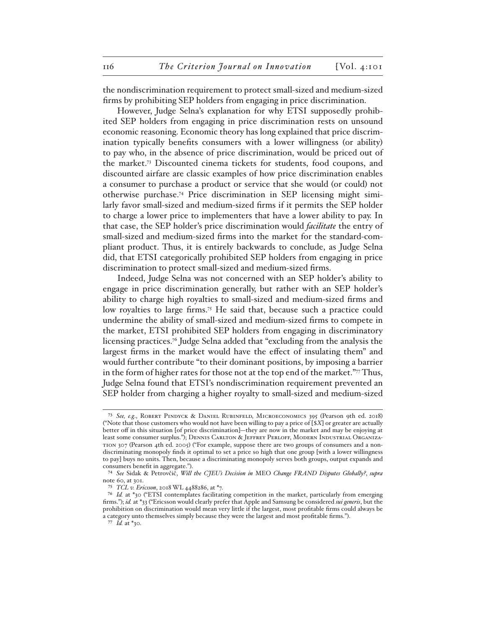the nondiscrimination requirement to protect small-sized and medium-sized firms by prohibiting SEP holders from engaging in price discrimination.

However, Judge Selna's explanation for why ETSI supposedly prohibited SEP holders from engaging in price discrimination rests on unsound economic reasoning. Economic theory has long explained that price discrimination typically benefits consumers with a lower willingness (or ability) to pay who, in the absence of price discrimination, would be priced out of the market.73 Discounted cinema tickets for students, food coupons, and discounted airfare are classic examples of how price discrimination enables a consumer to purchase a product or service that she would (or could) not otherwise purchase.74 Price discrimination in SEP licensing might similarly favor small-sized and medium-sized firms if it permits the SEP holder to charge a lower price to implementers that have a lower ability to pay. In that case, the SEP holder's price discrimination would *facilitate* the entry of small-sized and medium-sized firms into the market for the standard-compliant product. Thus, it is entirely backwards to conclude, as Judge Selna did, that ETSI categorically prohibited SEP holders from engaging in price discrimination to protect small-sized and medium-sized firms.

Indeed, Judge Selna was not concerned with an SEP holder's ability to engage in price discrimination generally, but rather with an SEP holder's ability to charge high royalties to small-sized and medium-sized firms and low royalties to large firms.<sup>75</sup> He said that, because such a practice could undermine the ability of small-sized and medium-sized firms to compete in the market, ETSI prohibited SEP holders from engaging in discriminatory licensing practices.76 Judge Selna added that "excluding from the analysis the largest firms in the market would have the effect of insulating them" and would further contribute "to their dominant positions, by imposing a barrier in the form of higher rates for those not at the top end of the market."77 Thus, Judge Selna found that ETSI's nondiscrimination requirement prevented an SEP holder from charging a higher royalty to small-sized and medium-sized

<sup>73</sup> *See, e.g*., Robert Pindyck & Daniel Rubinfeld, Microeconomics 395 (Pearson 9th ed. 2018) ("Note that those customers who would not have been willing to pay a price of [\$*X*] or greater are actually better off in this situation [of price discrimination]—they are now in the market and may be enjoying at least some consumer surplus."); Dennis Carlton & Jeffrey Perloff, Modern Industrial Organization 307 (Pearson 4th ed. 2005) ("For example, suppose there are two groups of consumers and a nondiscriminating monopoly finds it optimal to set a price so high that one group [with a lower willingness to pay] buys no units. Then, because a discriminating monopoly serves both groups, output expands and consumers benefit in aggregate.").

<sup>74</sup> *See* Sidak & Petrovčič, *Will the CJEU's Decision in* MEO *Change FRAND Disputes Globally?*, *supra* note 60, at 301.

<sup>75</sup> *TCL v. Ericsson*, 2018 WL 4488286, at \*7.

<sup>76</sup> *Id.* at \*30 ("ETSI contemplates facilitating competition in the market, particularly from emerging firms."); *id.* at \*33 ("Ericsson would clearly prefer that Apple and Samsung be considered *sui generis*, but the prohibition on discrimination would mean very little if the largest, most profitable firms could always be a category unto themselves simply because they were the largest and most profitable firms.").

<sup>77</sup> *Id.* at \*30.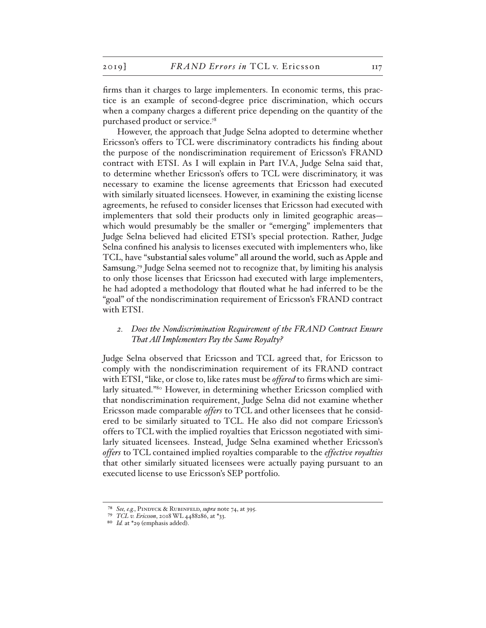firms than it charges to large implementers. In economic terms, this practice is an example of second-degree price discrimination, which occurs when a company charges a different price depending on the quantity of the purchased product or service.78

However, the approach that Judge Selna adopted to determine whether Ericsson's offers to TCL were discriminatory contradicts his finding about the purpose of the nondiscrimination requirement of Ericsson's FRAND contract with ETSI. As I will explain in Part IV.A, Judge Selna said that, to determine whether Ericsson's offers to TCL were discriminatory, it was necessary to examine the license agreements that Ericsson had executed with similarly situated licensees. However, in examining the existing license agreements, he refused to consider licenses that Ericsson had executed with implementers that sold their products only in limited geographic areas which would presumably be the smaller or "emerging" implementers that Judge Selna believed had elicited ETSI's special protection. Rather, Judge Selna confined his analysis to licenses executed with implementers who, like TCL, have "substantial sales volume" all around the world, such as Apple and Samsung.79 Judge Selna seemed not to recognize that, by limiting his analysis to only those licenses that Ericsson had executed with large implementers, he had adopted a methodology that flouted what he had inferred to be the "goal" of the nondiscrimination requirement of Ericsson's FRAND contract with ETSI.

### *2. Does the Nondiscrimination Requirement of the FRAND Contract Ensure That All Implementers Pay the Same Royalty?*

Judge Selna observed that Ericsson and TCL agreed that, for Ericsson to comply with the nondiscrimination requirement of its FRAND contract with ETSI, "like, or close to, like rates must be *offered* to firms which are similarly situated."80 However, in determining whether Ericsson complied with that nondiscrimination requirement, Judge Selna did not examine whether Ericsson made comparable *offers* to TCL and other licensees that he considered to be similarly situated to TCL. He also did not compare Ericsson's offers to TCL with the implied royalties that Ericsson negotiated with similarly situated licensees. Instead, Judge Selna examined whether Ericsson's *offers* to TCL contained implied royalties comparable to the *effective royalties* that other similarly situated licensees were actually paying pursuant to an executed license to use Ericsson's SEP portfolio.

<sup>78</sup> *See, e.g.*, Pindyck & Rubinfeld, *supra* note 74, at 395.

<sup>79</sup> *TCL v. Ericsson*, 2018 WL 4488286, at \*33.

<sup>80</sup> *Id.* at \*29 (emphasis added).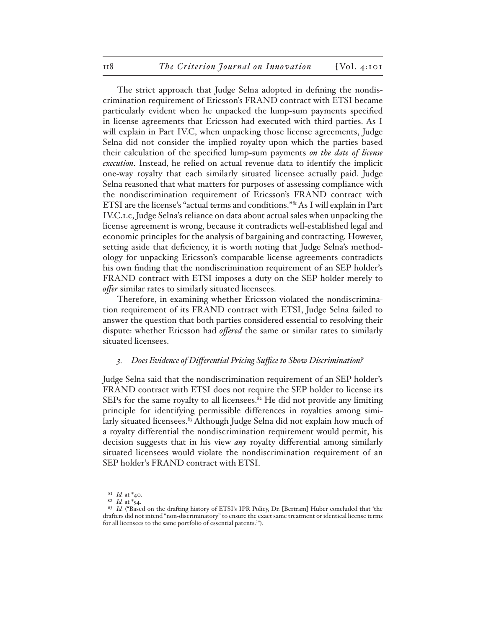The strict approach that Judge Selna adopted in defining the nondiscrimination requirement of Ericsson's FRAND contract with ETSI became particularly evident when he unpacked the lump-sum payments specified in license agreements that Ericsson had executed with third parties. As I will explain in Part IV.C, when unpacking those license agreements, Judge Selna did not consider the implied royalty upon which the parties based their calculation of the specified lump-sum payments *on the date of license execution*. Instead, he relied on actual revenue data to identify the implicit one-way royalty that each similarly situated licensee actually paid. Judge Selna reasoned that what matters for purposes of assessing compliance with the nondiscrimination requirement of Ericsson's FRAND contract with ETSI are the license's "actual terms and conditions."81 As I will explain in Part IV.C.1.c, Judge Selna's reliance on data about actual sales when unpacking the license agreement is wrong, because it contradicts well-established legal and economic principles for the analysis of bargaining and contracting. However, setting aside that deficiency, it is worth noting that Judge Selna's methodology for unpacking Ericsson's comparable license agreements contradicts his own finding that the nondiscrimination requirement of an SEP holder's FRAND contract with ETSI imposes a duty on the SEP holder merely to *offer* similar rates to similarly situated licensees.

Therefore, in examining whether Ericsson violated the nondiscrimination requirement of its FRAND contract with ETSI, Judge Selna failed to answer the question that both parties considered essential to resolving their dispute: whether Ericsson had *offered* the same or similar rates to similarly situated licensees.

#### *3. Does Evidence of Differential Pricing Suffice to Show Discrimination?*

Judge Selna said that the nondiscrimination requirement of an SEP holder's FRAND contract with ETSI does not require the SEP holder to license its SEPs for the same royalty to all licensees. $82$  He did not provide any limiting principle for identifying permissible differences in royalties among similarly situated licensees.<sup>83</sup> Although Judge Selna did not explain how much of a royalty differential the nondiscrimination requirement would permit, his decision suggests that in his view *any* royalty differential among similarly situated licensees would violate the nondiscrimination requirement of an SEP holder's FRAND contract with ETSI.

<sup>81</sup> *Id.* at \*40.

<sup>82</sup> *Id.* at \*54.

<sup>83</sup> *Id.* ("Based on the drafting history of ETSI's IPR Policy, Dr. [Bertram] Huber concluded that 'the drafters did not intend "non-discriminatory" to ensure the exact same treatment or identical license terms for all licensees to the same portfolio of essential patents.'").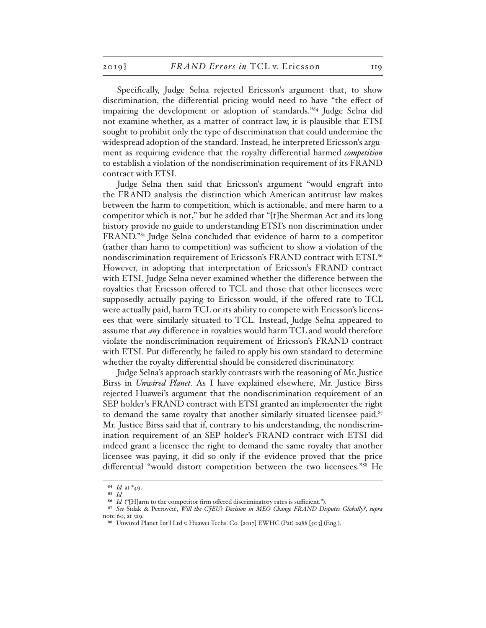Specifically, Judge Selna rejected Ericsson's argument that, to show discrimination, the differential pricing would need to have "the effect of impairing the development or adoption of standards."84 Judge Selna did not examine whether, as a matter of contract law, it is plausible that ETSI sought to prohibit only the type of discrimination that could undermine the widespread adoption of the standard. Instead, he interpreted Ericsson's argument as requiring evidence that the royalty differential harmed *competition* to establish a violation of the nondiscrimination requirement of its FRAND contract with ETSI.

Judge Selna then said that Ericsson's argument "would engraft into the FRAND analysis the distinction which American antitrust law makes between the harm to competition, which is actionable, and mere harm to a competitor which is not," but he added that "[t]he Sherman Act and its long history provide no guide to understanding ETSI's non discrimination under FRAND."85 Judge Selna concluded that evidence of harm to a competitor (rather than harm to competition) was sufficient to show a violation of the nondiscrimination requirement of Ericsson's FRAND contract with ETSI.<sup>86</sup> However, in adopting that interpretation of Ericsson's FRAND contract with ETSI, Judge Selna never examined whether the difference between the royalties that Ericsson offered to TCL and those that other licensees were supposedly actually paying to Ericsson would, if the offered rate to TCL were actually paid, harm TCL or its ability to compete with Ericsson's licensees that were similarly situated to TCL. Instead, Judge Selna appeared to assume that *any* difference in royalties would harm TCL and would therefore violate the nondiscrimination requirement of Ericsson's FRAND contract with ETSI. Put differently, he failed to apply his own standard to determine whether the royalty differential should be considered discriminatory.

Judge Selna's approach starkly contrasts with the reasoning of Mr. Justice Birss in *Unwired Planet*. As I have explained elsewhere, Mr. Justice Birss rejected Huawei's argument that the nondiscrimination requirement of an SEP holder's FRAND contract with ETSI granted an implementer the right to demand the same royalty that another similarly situated licensee paid. $87$ Mr. Justice Birss said that if, contrary to his understanding, the nondiscrimination requirement of an SEP holder's FRAND contract with ETSI did indeed grant a licensee the right to demand the same royalty that another licensee was paying, it did so only if the evidence proved that the price differential "would distort competition between the two licensees."88 He

<sup>84</sup> *Id.* at \*49.

<sup>85</sup> *Id.*

<sup>86</sup> *Id.* ("[H]arm to the competitor firm offered discriminatory rates is sufficient.").

<sup>87</sup> *See* Sidak & Petrovčič, *Will the CJEU's Decision in MEO Change FRAND Disputes Globally?*, *supra* note 60, at 329.

<sup>88</sup> Unwired Planet Int'l Ltd v. Huawei Techs. Co. [2017] EWHC (Pat) 2988 [503] (Eng.).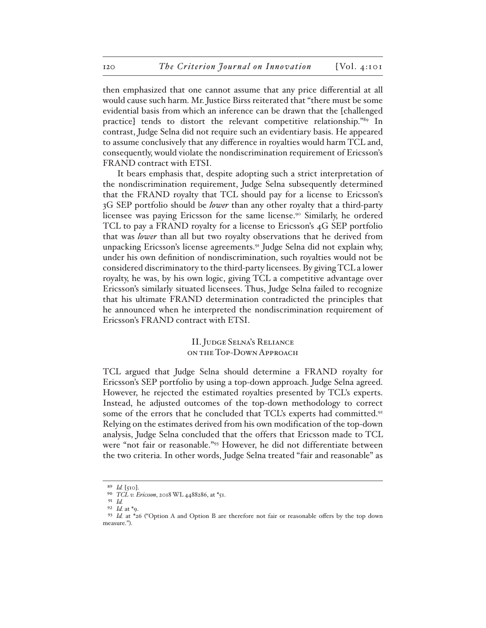then emphasized that one cannot assume that any price differential at all would cause such harm. Mr. Justice Birss reiterated that "there must be some evidential basis from which an inference can be drawn that the [challenged practice] tends to distort the relevant competitive relationship."89 In contrast, Judge Selna did not require such an evidentiary basis. He appeared to assume conclusively that any difference in royalties would harm TCL and, consequently, would violate the nondiscrimination requirement of Ericsson's FRAND contract with ETSI.

It bears emphasis that, despite adopting such a strict interpretation of the nondiscrimination requirement, Judge Selna subsequently determined that the FRAND royalty that TCL should pay for a license to Ericsson's 3G SEP portfolio should be *lower* than any other royalty that a third-party licensee was paying Ericsson for the same license.<sup>90</sup> Similarly, he ordered TCL to pay a FRAND royalty for a license to Ericsson's 4G SEP portfolio that was *lower* than all but two royalty observations that he derived from unpacking Ericsson's license agreements.<sup>91</sup> Judge Selna did not explain why, under his own definition of nondiscrimination, such royalties would not be considered discriminatory to the third-party licensees. By giving TCL a lower royalty, he was, by his own logic, giving TCL a competitive advantage over Ericsson's similarly situated licensees. Thus, Judge Selna failed to recognize that his ultimate FRAND determination contradicted the principles that he announced when he interpreted the nondiscrimination requirement of Ericsson's FRAND contract with ETSI.

> II. Judge Selna's Reliance on the Top-Down Approach

TCL argued that Judge Selna should determine a FRAND royalty for Ericsson's SEP portfolio by using a top-down approach. Judge Selna agreed. However, he rejected the estimated royalties presented by TCL's experts. Instead, he adjusted outcomes of the top-down methodology to correct some of the errors that he concluded that TCL's experts had committed.<sup>92</sup> Relying on the estimates derived from his own modification of the top-down analysis, Judge Selna concluded that the offers that Ericsson made to TCL were "not fair or reasonable."93 However, he did not differentiate between the two criteria. In other words, Judge Selna treated "fair and reasonable" as

<sup>89</sup> *Id.* [510].

<sup>90</sup> *TCL v. Ericsson*, 2018 WL 4488286, at \*51.

<sup>91</sup> *Id.*

<sup>92</sup> *Id.* at \*9.

<sup>93</sup> *Id.* at \*26 ("Option A and Option B are therefore not fair or reasonable offers by the top down measure.").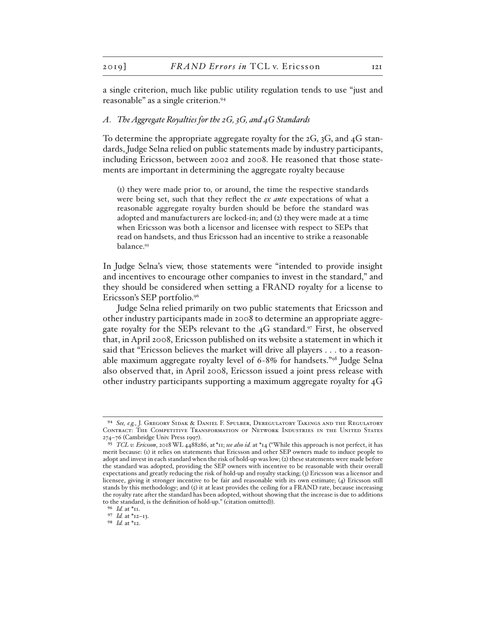a single criterion, much like public utility regulation tends to use "just and reasonable" as a single criterion.94

#### *A. The Aggregate Royalties for the 2G, 3G, and 4G Standards*

To determine the appropriate aggregate royalty for the 2G, 3G, and 4G standards, Judge Selna relied on public statements made by industry participants, including Ericsson, between 2002 and 2008. He reasoned that those statements are important in determining the aggregate royalty because

(1) they were made prior to, or around, the time the respective standards were being set, such that they reflect the *ex ante* expectations of what a reasonable aggregate royalty burden should be before the standard was adopted and manufacturers are locked-in; and (2) they were made at a time when Ericsson was both a licensor and licensee with respect to SEPs that read on handsets, and thus Ericsson had an incentive to strike a reasonable balance.95

In Judge Selna's view, those statements were "intended to provide insight and incentives to encourage other companies to invest in the standard," and they should be considered when setting a FRAND royalty for a license to Ericsson's SEP portfolio.96

Judge Selna relied primarily on two public statements that Ericsson and other industry participants made in 2008 to determine an appropriate aggregate royalty for the SEPs relevant to the  $4G$  standard.<sup>97</sup> First, he observed that, in April 2008, Ericsson published on its website a statement in which it said that "Ericsson believes the market will drive all players . . . to a reasonable maximum aggregate royalty level of 6-8% for handsets."98 Judge Selna also observed that, in April 2008, Ericsson issued a joint press release with other industry participants supporting a maximum aggregate royalty for 4G

<sup>94</sup> *See, e.g.*, J. Gregory Sidak & Daniel F. Spulber, Deregulatory Takings and the Regulatory Contract: The Competitive Transformation of Network Industries in the United States 274–76 (Cambridge Univ. Press 1997).

<sup>95</sup> *TCL v. Ericsson*, 2018 WL 4488286, at\*11; *see also id.* at \*14 ("While this approach is not perfect, it has merit because: (1) it relies on statements that Ericsson and other SEP owners made to induce people to adopt and invest in each standard when the risk of hold-up was low; (2) these statements were made before the standard was adopted, providing the SEP owners with incentive to be reasonable with their overall expectations and greatly reducing the risk of hold-up and royalty stacking; (3) Ericsson was a licensor and licensee, giving it stronger incentive to be fair and reasonable with its own estimate; (4) Ericsson still stands by this methodology; and (5) it at least provides the ceiling for a FRAND rate, because increasing the royalty rate after the standard has been adopted, without showing that the increase is due to additions to the standard, is the definition of hold-up." (citation omitted)).

<sup>96</sup> *Id.* at \*11.

<sup>97</sup> *Id.* at \*12–13.

<sup>98</sup> *Id.* at \*12.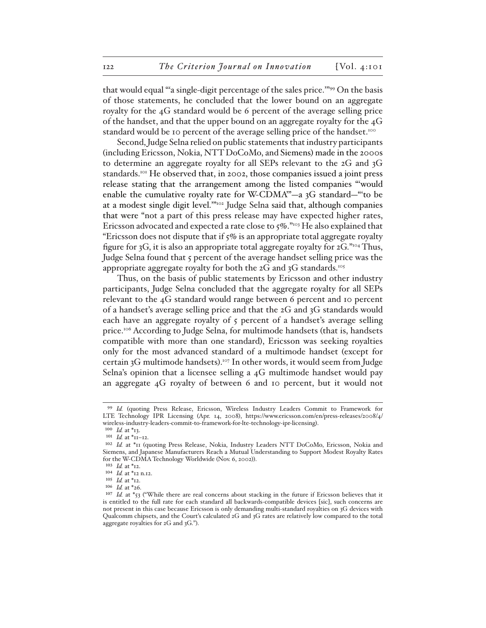that would equal "'a single-digit percentage of the sales price.'"99 On the basis of those statements, he concluded that the lower bound on an aggregate royalty for the 4G standard would be 6 percent of the average selling price of the handset, and that the upper bound on an aggregate royalty for the 4G standard would be 10 percent of the average selling price of the handset.<sup>100</sup>

Second, Judge Selna relied on public statements that industry participants (including Ericsson, Nokia, NTT DoCoMo, and Siemens) made in the 2000s to determine an aggregate royalty for all SEPs relevant to the 2G and 3G standards.<sup>101</sup> He observed that, in 2002, those companies issued a joint press release stating that the arrangement among the listed companies "'would enable the cumulative royalty rate for W-CDMA'"—a 3G standard—"'to be at a modest single digit level.'"102 Judge Selna said that, although companies that were "not a part of this press release may have expected higher rates, Ericsson advocated and expected a rate close to 5%."<sup>103</sup> He also explained that "Ericsson does not dispute that if  $5\%$  is an appropriate total aggregate royalty figure for 3G, it is also an appropriate total aggregate royalty for  $2G$ ."<sup>104</sup> Thus, Judge Selna found that 5 percent of the average handset selling price was the appropriate aggregate royalty for both the  $2G$  and  $3G$  standards.<sup>105</sup>

Thus, on the basis of public statements by Ericsson and other industry participants, Judge Selna concluded that the aggregate royalty for all SEPs relevant to the 4G standard would range between 6 percent and 10 percent of a handset's average selling price and that the 2G and 3G standards would each have an aggregate royalty of  $\zeta$  percent of a handset's average selling price.106 According to Judge Selna, for multimode handsets (that is, handsets compatible with more than one standard), Ericsson was seeking royalties only for the most advanced standard of a multimode handset (except for certain 3G multimode handsets).107 In other words, it would seem from Judge Selna's opinion that a licensee selling a 4G multimode handset would pay an aggregate 4G royalty of between 6 and 10 percent, but it would not

<sup>99</sup> *Id.* (quoting Press Release, Ericsson, Wireless Industry Leaders Commit to Framework for LTE Technology IPR Licensing (Apr. 14, 2008), https://www.ericsson.com/en/press-releases/2008/4/ wireless-industry-leaders-commit-to-framework-for-lte-technology-ipr-licensing).

<sup>100</sup> *Id.* at \*13.

<sup>101</sup> *Id.* at \*11–12.

<sup>102</sup> *Id.* at \*11 (quoting Press Release, Nokia, Industry Leaders NTT DoCoMo, Ericsson, Nokia and Siemens, and Japanese Manufacturers Reach a Mutual Understanding to Support Modest Royalty Rates for the W-CDMA Technology Worldwide (Nov. 6, 2002)).

<sup>103</sup> *Id.* at \*12.

<sup>104</sup> *Id.* at \*12 n.12.

<sup>105</sup> *Id.* at \*12.

<sup>106</sup> *Id.* at \*26.

<sup>&</sup>lt;sup>107</sup> *Id.* at \*53 ("While there are real concerns about stacking in the future if Ericsson believes that it is entitled to the full rate for each standard all backwards-compatible devices [sic], such concerns are not present in this case because Ericsson is only demanding multi-standard royalties on 3G devices with Qualcomm chipsets, and the Court's calculated 2G and 3G rates are relatively low compared to the total aggregate royalties for 2G and 3G.").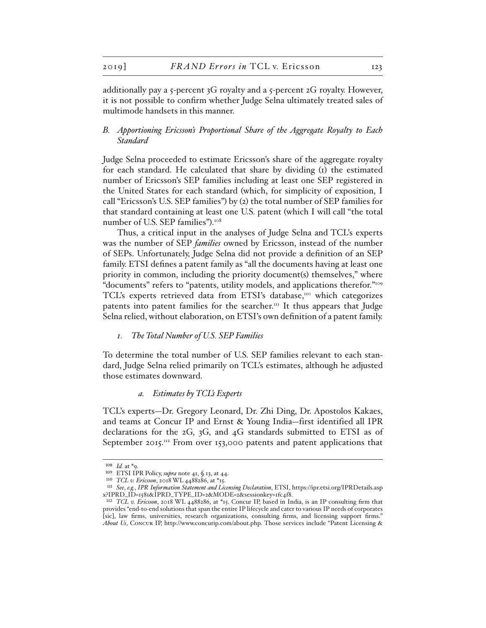additionally pay a 5-percent 3G royalty and a 5-percent 2G royalty. However, it is not possible to confirm whether Judge Selna ultimately treated sales of multimode handsets in this manner.

# *B. Apportioning Ericsson's Proportional Share of the Aggregate Royalty to Each Standard*

Judge Selna proceeded to estimate Ericsson's share of the aggregate royalty for each standard. He calculated that share by dividing (1) the estimated number of Ericsson's SEP families including at least one SEP registered in the United States for each standard (which, for simplicity of exposition, I call "Ericsson's U.S. SEP families") by (2) the total number of SEP families for that standard containing at least one U.S. patent (which I will call "the total number of U.S. SEP families").108

Thus, a critical input in the analyses of Judge Selna and TCL's experts was the number of SEP *families* owned by Ericsson, instead of the number of SEPs. Unfortunately, Judge Selna did not provide a definition of an SEP family. ETSI defines a patent family as "all the documents having at least one priority in common, including the priority document(s) themselves," where "documents" refers to "patents, utility models, and applications therefor."109 TCL's experts retrieved data from ETSI's database,<sup>110</sup> which categorizes patents into patent families for the searcher.<sup>111</sup> It thus appears that Judge Selna relied, without elaboration, on ETSI's own definition of a patent family.

### *1. The Total Number of U.S. SEP Families*

To determine the total number of U.S. SEP families relevant to each standard, Judge Selna relied primarily on TCL's estimates, although he adjusted those estimates downward.

#### *a. Estimates by TCL's Experts*

TCL's experts—Dr. Gregory Leonard, Dr. Zhi Ding, Dr. Apostolos Kakaes, and teams at Concur IP and Ernst & Young India—first identified all IPR declarations for the 2G, 3G, and 4G standards submitted to ETSI as of September 2015.<sup>112</sup> From over 153,000 patents and patent applications that

<sup>108</sup> *Id.* at \*9.

<sup>109</sup> ETSI IPR Policy, *supra* note 41, § 13, at 44.

<sup>110</sup> *TCL v. Ericsson*, 2018 WL 4488286, at \*15.

<sup>111</sup> *See*, *e.g.*, *IPR Information Statement and Licensing Declaration*, ETSI, https://ipr.etsi.org/IPRDetails.asp x?IPRD\_ID=1581&IPRD\_TYPE\_ID=2&MODE=2&sessionkey=1fc4f8.

<sup>112</sup> *TCL v. Ericsson*, 2018 WL 4488286, at \*15. Concur IP, based in India, is an IP consulting firm that provides "end-to-end solutions that span the entire IP lifecycle and cater to various IP needs of corporates [sic], law firms, universities, research organizations, consulting firms, and licensing support firms." *About Us*, Concur IP, http://www.concurip.com/about.php. Those services include "Patent Licensing &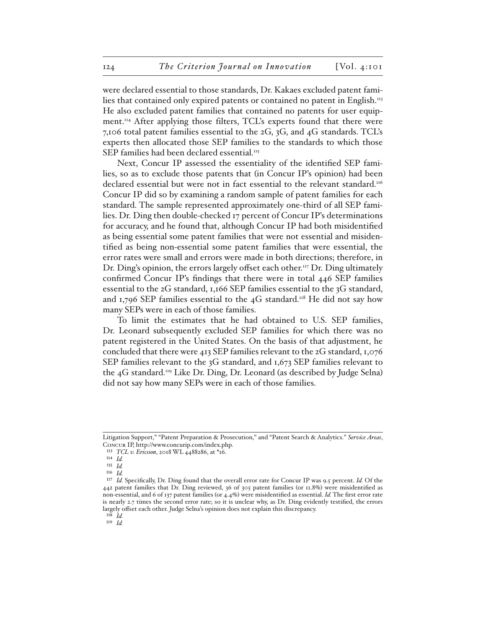were declared essential to those standards, Dr. Kakaes excluded patent families that contained only expired patents or contained no patent in English.<sup>113</sup> He also excluded patent families that contained no patents for user equipment.<sup>114</sup> After applying those filters, TCL's experts found that there were 7,106 total patent families essential to the 2G, 3G, and 4G standards. TCL's experts then allocated those SEP families to the standards to which those SEP families had been declared essential.<sup>115</sup>

Next, Concur IP assessed the essentiality of the identified SEP families, so as to exclude those patents that (in Concur IP's opinion) had been declared essential but were not in fact essential to the relevant standard.<sup>116</sup> Concur IP did so by examining a random sample of patent families for each standard. The sample represented approximately one-third of all SEP families. Dr. Ding then double-checked 17 percent of Concur IP's determinations for accuracy, and he found that, although Concur IP had both misidentified as being essential some patent families that were not essential and misidentified as being non-essential some patent families that were essential, the error rates were small and errors were made in both directions; therefore, in Dr. Ding's opinion, the errors largely offset each other.<sup>117</sup> Dr. Ding ultimately confirmed Concur IP's findings that there were in total 446 SEP families essential to the 2G standard, 1,166 SEP families essential to the 3G standard, and 1,796 SEP families essential to the 4G standard.<sup>118</sup> He did not say how many SEPs were in each of those families.

To limit the estimates that he had obtained to U.S. SEP families, Dr. Leonard subsequently excluded SEP families for which there was no patent registered in the United States. On the basis of that adjustment, he concluded that there were 413 SEP families relevant to the 2G standard, 1,076 SEP families relevant to the 3G standard, and 1,673 SEP families relevant to the 4G standard.119 Like Dr. Ding, Dr. Leonard (as described by Judge Selna) did not say how many SEPs were in each of those families.

Litigation Support," "Patent Preparation & Prosecution," and "Patent Search & Analytics." *Service Areas*, Concur IP, http://www.concurip.com/index.php.

<sup>113</sup> *TCL v. Ericsson*, 2018 WL 4488286, at \*16.

<sup>114</sup> *Id.*

<sup>115</sup> *Id.*

<sup>116</sup> *Id.*

<sup>117</sup> *Id.* Specifically, Dr. Ding found that the overall error rate for Concur IP was 9.5 percent. *Id.* Of the 442 patent families that Dr. Ding reviewed, 36 of 305 patent families (or 11.8%) were misidentified as non-essential, and 6 of 137 patent families (or 4.4%) were misidentified as essential. *Id.* The first error rate is nearly 2.7 times the second error rate; so it is unclear why, as Dr. Ding evidently testified, the errors largely offset each other. Judge Selna's opinion does not explain this discrepancy.

<sup>118</sup> *Id.*

<sup>119</sup> *Id.*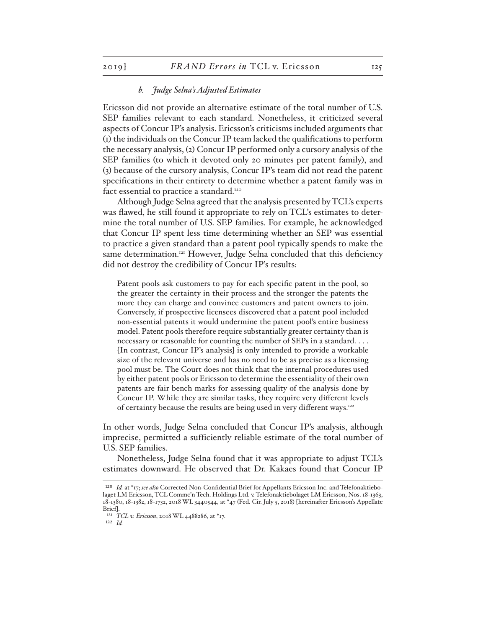#### *b. Judge Selna's Adjusted Estimates*

Ericsson did not provide an alternative estimate of the total number of U.S. SEP families relevant to each standard. Nonetheless, it criticized several aspects of Concur IP's analysis. Ericsson's criticisms included arguments that (1) the individuals on the Concur IP team lacked the qualifications to perform the necessary analysis, (2) Concur IP performed only a cursory analysis of the SEP families (to which it devoted only 20 minutes per patent family), and (3) because of the cursory analysis, Concur IP's team did not read the patent specifications in their entirety to determine whether a patent family was in fact essential to practice a standard.<sup>120</sup>

Although Judge Selna agreed that the analysis presented by TCL's experts was flawed, he still found it appropriate to rely on TCL's estimates to determine the total number of U.S. SEP families. For example, he acknowledged that Concur IP spent less time determining whether an SEP was essential to practice a given standard than a patent pool typically spends to make the same determination.<sup>121</sup> However, Judge Selna concluded that this deficiency did not destroy the credibility of Concur IP's results:

Patent pools ask customers to pay for each specific patent in the pool, so the greater the certainty in their process and the stronger the patents the more they can charge and convince customers and patent owners to join. Conversely, if prospective licensees discovered that a patent pool included non-essential patents it would undermine the patent pool's entire business model. Patent pools therefore require substantially greater certainty than is necessary or reasonable for counting the number of SEPs in a standard. . . . [In contrast, Concur IP's analysis] is only intended to provide a workable size of the relevant universe and has no need to be as precise as a licensing pool must be. The Court does not think that the internal procedures used by either patent pools or Ericsson to determine the essentiality of their own patents are fair bench marks for assessing quality of the analysis done by Concur IP. While they are similar tasks, they require very different levels of certainty because the results are being used in very different ways.122

In other words, Judge Selna concluded that Concur IP's analysis, although imprecise, permitted a sufficiently reliable estimate of the total number of U.S. SEP families.

Nonetheless, Judge Selna found that it was appropriate to adjust TCL's estimates downward. He observed that Dr. Kakaes found that Concur IP

122 *Id.* 

<sup>120</sup> *Id.* at \*17; *see also* Corrected Non-Confidential Brief for Appellants Ericsson Inc. and Telefonaktiebolaget LM Ericsson, TCL Commc'n Tech. Holdings Ltd. v. Telefonaktiebolaget LM Ericsson, Nos. 18-1363, 18-1380, 18-1382, 18-1732, 2018 WL 3440544, at \*47 (Fed. Cir. July 5, 2018) [hereinafter Ericsson's Appellate Brief].

<sup>121</sup> *TCL v. Ericsson*, 2018 WL 4488286, at \*17.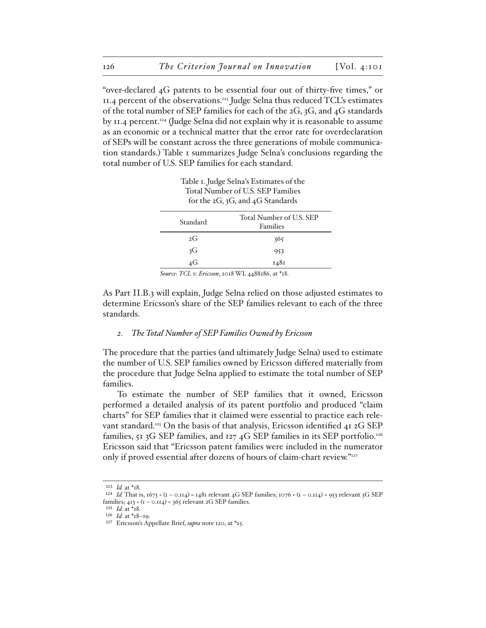"over-declared 4G patents to be essential four out of thirty-five times," or 11.4 percent of the observations.123 Judge Selna thus reduced TCL's estimates of the total number of SEP families for each of the 2G, 3G, and 4G standards by 11.4 percent.<sup>124</sup> (Judge Selna did not explain why it is reasonable to assume as an economic or a technical matter that the error rate for overdeclaration of SEPs will be constant across the three generations of mobile communication standards.) Table 1 summarizes Judge Selna's conclusions regarding the total number of U.S. SEP families for each standard.

Table 1. Judge Selna's Estimates of the Total Number of U.S. SEP Families for the 2G, 3G, and 4G Standards

| Standard | Total Number of U.S. SEP<br>Families |  |  |  |  |
|----------|--------------------------------------|--|--|--|--|
| 2G       | 365                                  |  |  |  |  |
| 3G       | 953                                  |  |  |  |  |
| 4G       | 1481                                 |  |  |  |  |
|          |                                      |  |  |  |  |

*Source*: *TCL v. Ericsson*, 2018 WL 4488286, at \*18.

As Part II.B.3 will explain, Judge Selna relied on those adjusted estimates to determine Ericsson's share of the SEP families relevant to each of the three standards.

### *2. The Total Number of SEP Families Owned by Ericsson*

The procedure that the parties (and ultimately Judge Selna) used to estimate the number of U.S. SEP families owned by Ericsson differed materially from the procedure that Judge Selna applied to estimate the total number of SEP families.

To estimate the number of SEP families that it owned, Ericsson performed a detailed analysis of its patent portfolio and produced "claim charts" for SEP families that it claimed were essential to practice each relevant standard.<sup>125</sup> On the basis of that analysis, Ericsson identified 41 2G SEP families, 51 3G SEP families, and 127 4G SEP families in its SEP portfolio.<sup>126</sup> Ericsson said that "Ericsson patent families were included in the numerator only if proved essential after dozens of hours of claim-chart review."127

<sup>123</sup> *Id.* at \*18.

<sup>&</sup>lt;sup>124</sup> *Id.* That is, 1673 × (1 – 0.114) = 1481 relevant 4G SEP families; 1076 × (1 – 0.114) = 953 relevant 3G SEP families;  $413 \times (1 - 0.114) = 365$  relevant 2G SEP families.

<sup>125</sup> *Id.* at \*18.

<sup>126</sup> *Id.* at \*18–19.

<sup>127</sup> Ericsson's Appellate Brief, *supra* note 120, at \*25.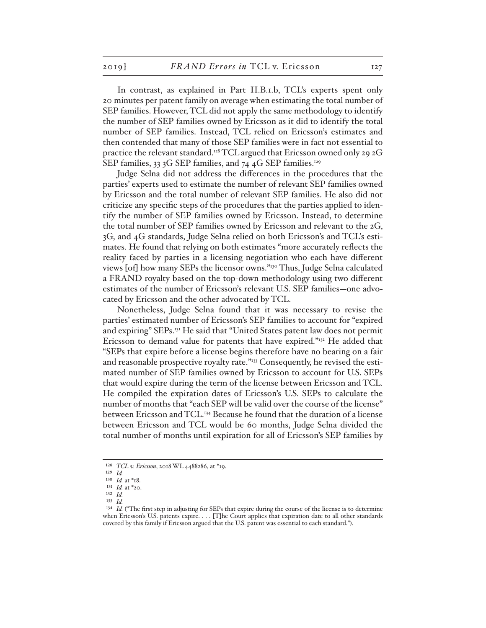In contrast, as explained in Part II.B.1.b, TCL's experts spent only 20 minutes per patent family on average when estimating the total number of SEP families. However, TCL did not apply the same methodology to identify the number of SEP families owned by Ericsson as it did to identify the total number of SEP families. Instead, TCL relied on Ericsson's estimates and then contended that many of those SEP families were in fact not essential to practice the relevant standard.<sup>128</sup> TCL argued that Ericsson owned only 29 2G SEP families, 33 3G SEP families, and 74 4G SEP families.<sup>129</sup>

Judge Selna did not address the differences in the procedures that the parties' experts used to estimate the number of relevant SEP families owned by Ericsson and the total number of relevant SEP families. He also did not criticize any specific steps of the procedures that the parties applied to identify the number of SEP families owned by Ericsson. Instead, to determine the total number of SEP families owned by Ericsson and relevant to the 2G, 3G, and 4G standards, Judge Selna relied on both Ericsson's and TCL's estimates. He found that relying on both estimates "more accurately reflects the reality faced by parties in a licensing negotiation who each have different views [of] how many SEPs the licensor owns."130 Thus, Judge Selna calculated a FRAND royalty based on the top-down methodology using two different estimates of the number of Ericsson's relevant U.S. SEP families—one advocated by Ericsson and the other advocated by TCL.

Nonetheless, Judge Selna found that it was necessary to revise the parties' estimated number of Ericsson's SEP families to account for "expired and expiring" SEPs.131 He said that "United States patent law does not permit Ericsson to demand value for patents that have expired."132 He added that "SEPs that expire before a license begins therefore have no bearing on a fair and reasonable prospective royalty rate."<sup>133</sup> Consequently, he revised the estimated number of SEP families owned by Ericsson to account for U.S. SEPs that would expire during the term of the license between Ericsson and TCL. He compiled the expiration dates of Ericsson's U.S. SEPs to calculate the number of months that "each SEP will be valid over the course of the license" between Ericsson and TCL.<sup>134</sup> Because he found that the duration of a license between Ericsson and TCL would be 60 months, Judge Selna divided the total number of months until expiration for all of Ericsson's SEP families by

<sup>128</sup> *TCL v. Ericsson*, 2018 WL 4488286, at \*19.

<sup>129</sup> *Id.*

<sup>130</sup> *Id.* at \*18. 131 *Id.* at \*20.

<sup>132</sup> *Id.*

<sup>133</sup> *Id.*

<sup>&</sup>lt;sup>134</sup> *Id.* ("The first step in adjusting for SEPs that expire during the course of the license is to determine when Ericsson's U.S. patents expire. . . . [T]he Court applies that expiration date to all other standards covered by this family if Ericsson argued that the U.S. patent was essential to each standard.").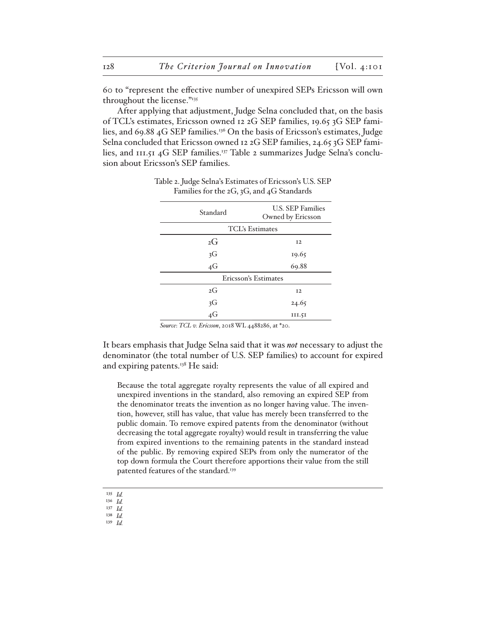60 to "represent the effective number of unexpired SEPs Ericsson will own throughout the license."135

After applying that adjustment, Judge Selna concluded that, on the basis of TCL's estimates, Ericsson owned 12 2G SEP families, 19.65 3G SEP families, and 69.88 4G SEP families.136 On the basis of Ericsson's estimates, Judge Selna concluded that Ericsson owned 12 2G SEP families, 24.65 3G SEP families, and 111.51 4G SEP families.137 Table 2 summarizes Judge Selna's conclusion about Ericsson's SEP families.

| Standard               | <b>U.S. SEP Families</b><br>Owned by Ericsson |  |  |  |  |  |
|------------------------|-----------------------------------------------|--|--|--|--|--|
| <b>TCL's Estimates</b> |                                               |  |  |  |  |  |
| 2G                     | I <sub>2</sub>                                |  |  |  |  |  |
| 3G                     | 19.65                                         |  |  |  |  |  |
| $4\overline{G}$        | 69.88                                         |  |  |  |  |  |
| Ericsson's Estimates   |                                               |  |  |  |  |  |
| 2G                     | I <sub>2</sub>                                |  |  |  |  |  |
| 3G<br>4G               | 24.65                                         |  |  |  |  |  |
|                        | 111.51                                        |  |  |  |  |  |

### Table 2. Judge Selna's Estimates of Ericsson's U.S. SEP Families for the 2G, 3G, and 4G Standards

*Source*: *TCL v. Ericsson*, 2018 WL 4488286, at \*20.

It bears emphasis that Judge Selna said that it was *not* necessary to adjust the denominator (the total number of U.S. SEP families) to account for expired and expiring patents.<sup>138</sup> He said:

Because the total aggregate royalty represents the value of all expired and unexpired inventions in the standard, also removing an expired SEP from the denominator treats the invention as no longer having value. The invention, however, still has value, that value has merely been transferred to the public domain. To remove expired patents from the denominator (without decreasing the total aggregate royalty) would result in transferring the value from expired inventions to the remaining patents in the standard instead of the public. By removing expired SEPs from only the numerator of the top down formula the Court therefore apportions their value from the still patented features of the standard.<sup>139</sup>

- 135 *Id.*
- 136 *Id.*
- 137 *Id.*  138 *Id.*
- 139 *Id.*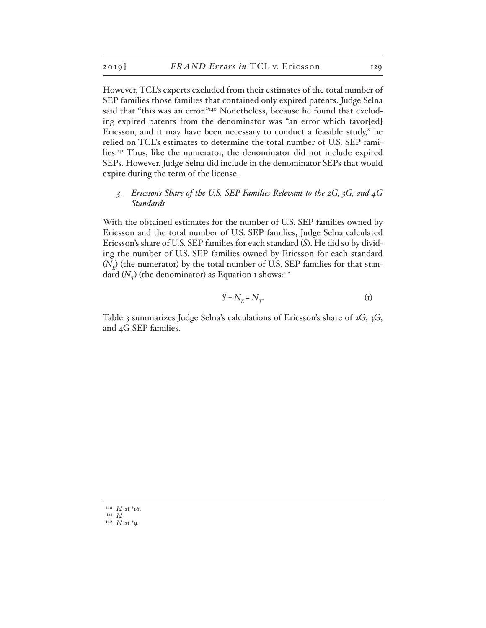However, TCL's experts excluded from their estimates of the total number of SEP families those families that contained only expired patents. Judge Selna said that "this was an error."<sup>140</sup> Nonetheless, because he found that excluding expired patents from the denominator was "an error which favor[ed] Ericsson, and it may have been necessary to conduct a feasible study," he relied on TCL's estimates to determine the total number of U.S. SEP families.141 Thus, like the numerator, the denominator did not include expired SEPs. However, Judge Selna did include in the denominator SEPs that would expire during the term of the license.

# *3. Ericsson's Share of the U.S. SEP Families Relevant to the 2G, 3G, and 4G Standards*

With the obtained estimates for the number of U.S. SEP families owned by Ericsson and the total number of U.S. SEP families, Judge Selna calculated Ericsson's share of U.S. SEP families for each standard (*S*). He did so by dividing the number of U.S. SEP families owned by Ericsson for each standard  $(N<sub>F</sub>)$  (the numerator) by the total number of U.S. SEP families for that standard  $(N_{\tau})$  (the denominator) as Equation 1 shows:<sup>142</sup>

$$
S = N_E \div N_T \tag{1}
$$

Table 3 summarizes Judge Selna's calculations of Ericsson's share of 2G, 3G, and 4G SEP families.

<sup>140</sup> *Id.* at \*16.

<sup>141</sup> *Id.*

<sup>142</sup> *Id.* at \*9.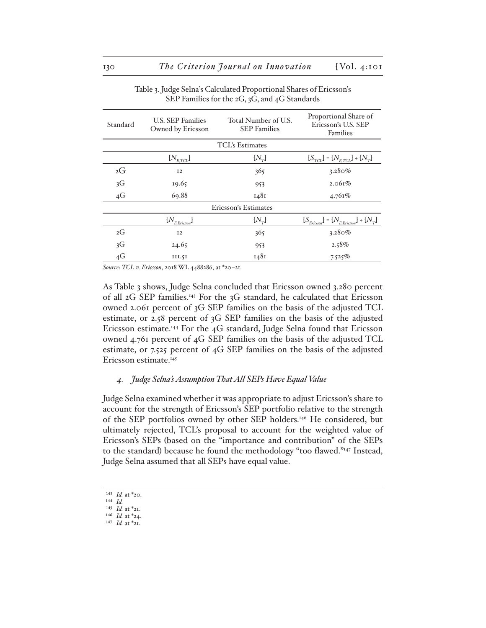| Standard             | <b>U.S. SEP Families</b><br>Owned by Ericsson | Total Number of U.S.<br><b>SEP</b> Families | Proportional Share of<br>Ericsson's U.S. SEP<br>Families |  |  |  |  |  |
|----------------------|-----------------------------------------------|---------------------------------------------|----------------------------------------------------------|--|--|--|--|--|
|                      | <b>TCL's Estimates</b>                        |                                             |                                                          |  |  |  |  |  |
|                      | $\{N_{_{E,TCL}}\}$                            | $[N_r]$                                     | $[S_{TCL}] = [N_{ETCL}] + [N_T]$                         |  |  |  |  |  |
| 2G                   | I <sub>2</sub>                                | 365                                         | $3.280\%$                                                |  |  |  |  |  |
| 3G                   | 19.65                                         | 953                                         | 2.061%                                                   |  |  |  |  |  |
| 4G                   | 69.88                                         | 1481                                        | 4.761%                                                   |  |  |  |  |  |
| Ericsson's Estimates |                                               |                                             |                                                          |  |  |  |  |  |
|                      | $[N_{E, E r i c s s o n}]$                    | $[N_{\tau}]$                                | $[S_{Ericson}] = [N_{EEricson] + [N_{T}]$                |  |  |  |  |  |
| 2G                   | I <sub>2</sub>                                | 365                                         | $3.280\%$                                                |  |  |  |  |  |
| 3 <sub>G</sub>       | 24.65                                         | 953                                         | $2.58\%$                                                 |  |  |  |  |  |
| 4G                   | III.5I                                        | 1481                                        | 7.525%                                                   |  |  |  |  |  |

Table 3. Judge Selna's Calculated Proportional Shares of Ericsson's SEP Families for the 2G, 3G, and 4G Standards

*Source*: *TCL v. Ericsson*, 2018 WL 4488286, at \*20–21.

As Table 3 shows, Judge Selna concluded that Ericsson owned 3.280 percent of all 2G SEP families.<sup>143</sup> For the 3G standard, he calculated that Ericsson owned 2.061 percent of 3G SEP families on the basis of the adjusted TCL estimate, or 2.58 percent of 3G SEP families on the basis of the adjusted Ericsson estimate.144 For the 4G standard, Judge Selna found that Ericsson owned 4.761 percent of 4G SEP families on the basis of the adjusted TCL estimate, or 7.525 percent of 4G SEP families on the basis of the adjusted Ericsson estimate.<sup>145</sup>

### *4. Judge Selna's Assumption That All SEPs Have Equal Value*

Judge Selna examined whether it was appropriate to adjust Ericsson's share to account for the strength of Ericsson's SEP portfolio relative to the strength of the SEP portfolios owned by other SEP holders.146 He considered, but ultimately rejected, TCL's proposal to account for the weighted value of Ericsson's SEPs (based on the "importance and contribution" of the SEPs to the standard) because he found the methodology "too flawed."<sup>147</sup> Instead, Judge Selna assumed that all SEPs have equal value.

<sup>143</sup> *Id.* at \*20.

<sup>144</sup> *Id.*

<sup>145</sup> *Id.* at \*21. 146 *Id.* at \*24.

<sup>147</sup> *Id.* at \*21.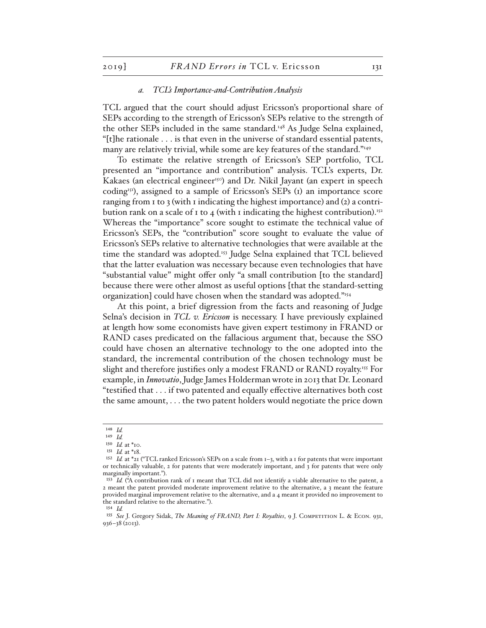#### *a. TCL's Importance-and-Contribution Analysis*

TCL argued that the court should adjust Ericsson's proportional share of SEPs according to the strength of Ericsson's SEPs relative to the strength of the other SEPs included in the same standard.<sup>148</sup> As Judge Selna explained, "[t]he rationale . . . is that even in the universe of standard essential patents, many are relatively trivial, while some are key features of the standard."<sup>149</sup>

To estimate the relative strength of Ericsson's SEP portfolio, TCL presented an "importance and contribution" analysis. TCL's experts, Dr. Kakaes (an electrical engineer<sup>150</sup>) and Dr. Nikil Jayant (an expert in speech coding<sup>151</sup>), assigned to a sample of Ericsson's SEPs (1) an importance score ranging from 1 to 3 (with 1 indicating the highest importance) and (2) a contribution rank on a scale of 1 to 4 (with 1 indicating the highest contribution).<sup>152</sup> Whereas the "importance" score sought to estimate the technical value of Ericsson's SEPs, the "contribution" score sought to evaluate the value of Ericsson's SEPs relative to alternative technologies that were available at the time the standard was adopted.<sup>153</sup> Judge Selna explained that TCL believed that the latter evaluation was necessary because even technologies that have "substantial value" might offer only "a small contribution [to the standard] because there were other almost as useful options [that the standard-setting organization] could have chosen when the standard was adopted."154

At this point, a brief digression from the facts and reasoning of Judge Selna's decision in *TCL v. Ericsson* is necessary. I have previously explained at length how some economists have given expert testimony in FRAND or RAND cases predicated on the fallacious argument that, because the SSO could have chosen an alternative technology to the one adopted into the standard, the incremental contribution of the chosen technology must be slight and therefore justifies only a modest FRAND or RAND royalty.<sup>155</sup> For example, in *Innovatio*, Judge James Holderman wrote in 2013 that Dr. Leonard "testified that . . . if two patented and equally effective alternatives both cost the same amount, . . . the two patent holders would negotiate the price down

<sup>148</sup> *Id.*

<sup>149</sup> *Id.*

<sup>150</sup> *Id.* at \*10.

<sup>151</sup> *Id.* at \*18.

<sup>152</sup> *Id.* at \*21 ("TCL ranked Ericsson's SEPs on a scale from 1–3, with a 1 for patents that were important or technically valuable, 2 for patents that were moderately important, and 3 for patents that were only marginally important.").

<sup>&</sup>lt;sup>153</sup> *Id.* ("A contribution rank of 1 meant that TCL did not identify a viable alternative to the patent, a 2 meant the patent provided moderate improvement relative to the alternative, a 3 meant the feature provided marginal improvement relative to the alternative, and a 4 meant it provided no improvement to the standard relative to the alternative.").

<sup>154</sup> *Id.*

<sup>155</sup> *See* J. Gregory Sidak, *The Meaning of FRAND, Part I: Royalties*, 9 J. Competition L. & Econ. 931, 936–38 (2013).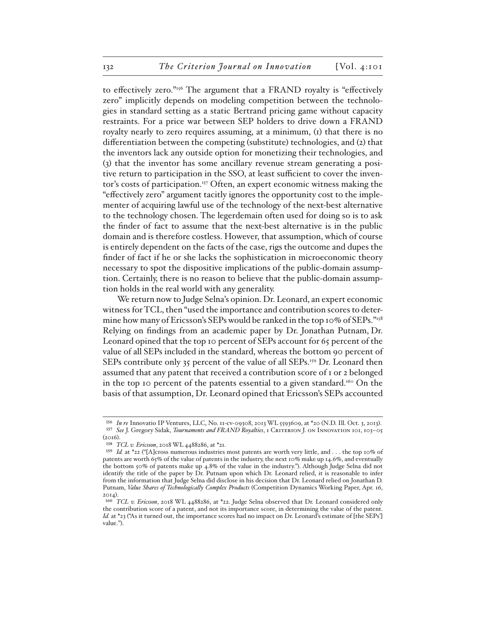to effectively zero."156 The argument that a FRAND royalty is "effectively zero" implicitly depends on modeling competition between the technologies in standard setting as a static Bertrand pricing game without capacity restraints. For a price war between SEP holders to drive down a FRAND royalty nearly to zero requires assuming, at a minimum, (1) that there is no differentiation between the competing (substitute) technologies, and (2) that the inventors lack any outside option for monetizing their technologies, and (3) that the inventor has some ancillary revenue stream generating a positive return to participation in the SSO, at least sufficient to cover the inventor's costs of participation.157 Often, an expert economic witness making the "effectively zero" argument tacitly ignores the opportunity cost to the implementer of acquiring lawful use of the technology of the next-best alternative to the technology chosen. The legerdemain often used for doing so is to ask the finder of fact to assume that the next-best alternative is in the public domain and is therefore costless. However, that assumption, which of course is entirely dependent on the facts of the case, rigs the outcome and dupes the finder of fact if he or she lacks the sophistication in microeconomic theory necessary to spot the dispositive implications of the public-domain assumption. Certainly, there is no reason to believe that the public-domain assumption holds in the real world with any generality.

We return now to Judge Selna's opinion. Dr. Leonard, an expert economic witness for TCL, then "used the importance and contribution scores to determine how many of Ericsson's SEPs would be ranked in the top 10% of SEPs."<sup>158</sup> Relying on findings from an academic paper by Dr. Jonathan Putnam, Dr. Leonard opined that the top 10 percent of SEPs account for 65 percent of the value of all SEPs included in the standard, whereas the bottom 90 percent of SEPs contribute only 35 percent of the value of all SEPs.<sup>159</sup> Dr. Leonard then assumed that any patent that received a contribution score of 1 or 2 belonged in the top 10 percent of the patents essential to a given standard.<sup>160</sup> On the basis of that assumption, Dr. Leonard opined that Ericsson's SEPs accounted

<sup>156</sup> *In re* Innovatio IP Ventures, LLC, No. 11-cv-09308, 2013 WL 5593609, at \*20 (N.D. Ill. Oct. 3, 2013). <sup>157</sup> See J. Gregory Sidak, *Tournaments and FRAND Royalties*, 1 CRITERION J. ON INNOVATION 101, 103-05 (2016).

<sup>158</sup> *TCL v. Ericsson*, 2018 WL 4488286, at \*21.

<sup>159</sup> *Id.* at \*22 ("[A]cross numerous industries most patents are worth very little, and . . . the top 10% of patents are worth 65% of the value of patents in the industry, the next 10% make up 14.6%, and eventually the bottom 50% of patents make up 4.8% of the value in the industry."). Although Judge Selna did not identify the title of the paper by Dr. Putnam upon which Dr. Leonard relied, it is reasonable to infer from the information that Judge Selna did disclose in his decision that Dr. Leonard relied on Jonathan D. Putnam, *Value Shares of Technologically Complex Products* (Competition Dynamics Working Paper, Apr. 16, 2014).

<sup>160</sup> *TCL v. Ericsson*, 2018 WL 4488286, at \*22. Judge Selna observed that Dr. Leonard considered only the contribution score of a patent, and not its importance score, in determining the value of the patent. *Id.* at \*23 ("As it turned out, the importance scores had no impact on Dr. Leonard's estimate of [the SEPs'] value.").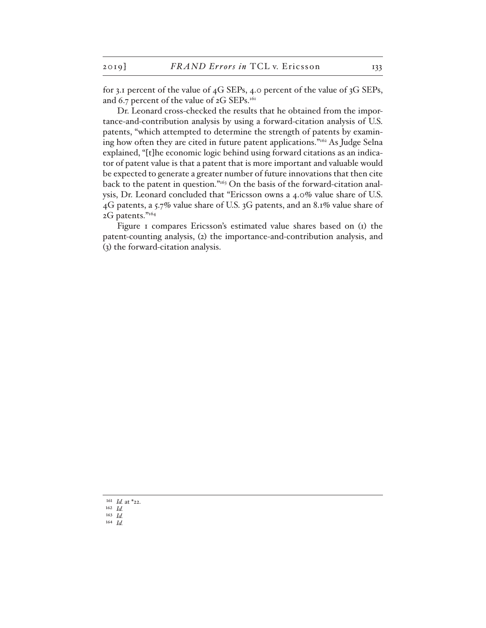for 3.1 percent of the value of 4G SEPs, 4.0 percent of the value of 3G SEPs, and 6.7 percent of the value of 2G SEPs.<sup>161</sup>

Dr. Leonard cross-checked the results that he obtained from the importance-and-contribution analysis by using a forward-citation analysis of U.S. patents, "which attempted to determine the strength of patents by examining how often they are cited in future patent applications."162 As Judge Selna explained, "[t]he economic logic behind using forward citations as an indicator of patent value is that a patent that is more important and valuable would be expected to generate a greater number of future innovations that then cite back to the patent in question."163 On the basis of the forward-citation analysis, Dr. Leonard concluded that "Ericsson owns a 4.0% value share of U.S. 4G patents, a 5.7% value share of U.S. 3G patents, and an 8.1% value share of 2G patents."164

Figure I compares Ericsson's estimated value shares based on (I) the patent-counting analysis, (2) the importance-and-contribution analysis, and (3) the forward-citation analysis.

<sup>161</sup> *Id.* at \*22.

<sup>162</sup> *Id.*

<sup>163</sup> *Id.* 164 *Id.*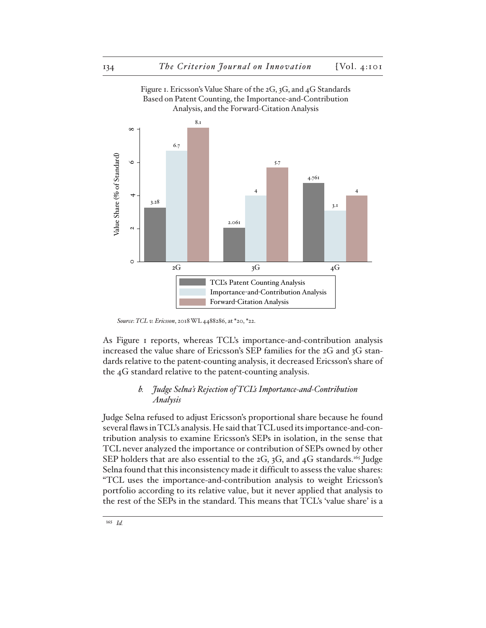

Figure 1. Ericsson's Value Share of the 2G, 3G, and 4G Standards Based on Patent Counting, the Importance-and-Contribution

As Figure 1 reports, whereas TCL's importance-and-contribution analysis increased the value share of Ericsson's SEP families for the 2G and 3G standards relative to the patent-counting analysis, it decreased Ericsson's share of the 4G standard relative to the patent-counting analysis.

 $2G$   $3G$   $4G$ TCL's Patent Counting Analysis Importance-and-Contribution Analysis

Forward-Citation Analysis

# *b. Judge Selna's Rejection of TCL's Importance-and-Contribution Analysis*

Judge Selna refused to adjust Ericsson's proportional share because he found several flaws in TCL's analysis. He said that TCL used its importance-and-contribution analysis to examine Ericsson's SEPs in isolation, in the sense that TCL never analyzed the importance or contribution of SEPs owned by other SEP holders that are also essential to the  $2G$ ,  $3G$ , and  $4G$  standards.<sup>165</sup> Judge Selna found that this inconsistency made it difficult to assess the value shares: "TCL uses the importance-and-contribution analysis to weight Ericsson's portfolio according to its relative value, but it never applied that analysis to the rest of the SEPs in the standard. This means that TCL's 'value share' is a

 $\circ$ 

*Source*: *TCL v. Ericsson*, 2018 WL 4488286, at \*20, \*22.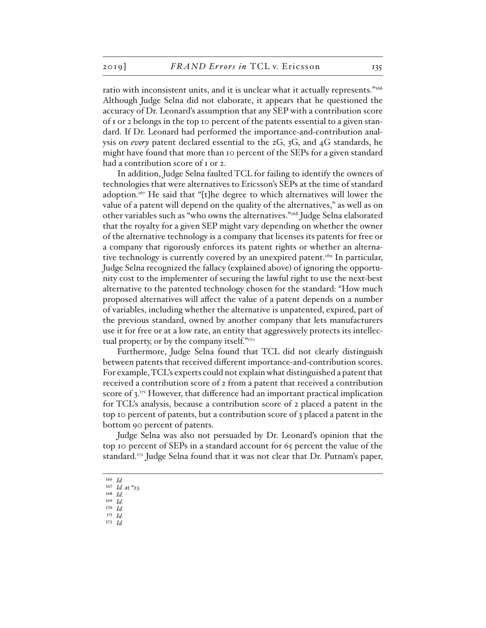ratio with inconsistent units, and it is unclear what it actually represents."166 Although Judge Selna did not elaborate, it appears that he questioned the accuracy of Dr. Leonard's assumption that any SEP with a contribution score of 1 or 2 belongs in the top 10 percent of the patents essential to a given standard. If Dr. Leonard had performed the importance-and-contribution analysis on *every* patent declared essential to the 2G, 3G, and 4G standards, he might have found that more than 10 percent of the SEPs for a given standard had a contribution score of 1 or 2.

In addition, Judge Selna faulted TCL for failing to identify the owners of technologies that were alternatives to Ericsson's SEPs at the time of standard adoption.167 He said that "[t]he degree to which alternatives will lower the value of a patent will depend on the quality of the alternatives," as well as on other variables such as "who owns the alternatives."168 Judge Selna elaborated that the royalty for a given SEP might vary depending on whether the owner of the alternative technology is a company that licenses its patents for free or a company that rigorously enforces its patent rights or whether an alternative technology is currently covered by an unexpired patent.<sup>169</sup> In particular, Judge Selna recognized the fallacy (explained above) of ignoring the opportunity cost to the implementer of securing the lawful right to use the next-best alternative to the patented technology chosen for the standard: "How much proposed alternatives will affect the value of a patent depends on a number of variables, including whether the alternative is unpatented, expired, part of the previous standard, owned by another company that lets manufacturers use it for free or at a low rate, an entity that aggressively protects its intellectual property, or by the company itself." $170^\circ$ 

Furthermore, Judge Selna found that TCL did not clearly distinguish between patents that received different importance-and-contribution scores. For example, TCL's experts could not explain what distinguished a patent that received a contribution score of 2 from a patent that received a contribution score of 3.171 However, that difference had an important practical implication for TCL's analysis, because a contribution score of 2 placed a patent in the top 10 percent of patents, but a contribution score of 3 placed a patent in the bottom 90 percent of patents.

Judge Selna was also not persuaded by Dr. Leonard's opinion that the top 10 percent of SEPs in a standard account for 65 percent the value of the standard.172 Judge Selna found that it was not clear that Dr. Putnam's paper,

- 170 *Id.*
- 171 *Id.*

<sup>166</sup> *Id.*

<sup>167</sup> *Id.* at \*23. 168 *Id.*

<sup>169</sup> *Id*.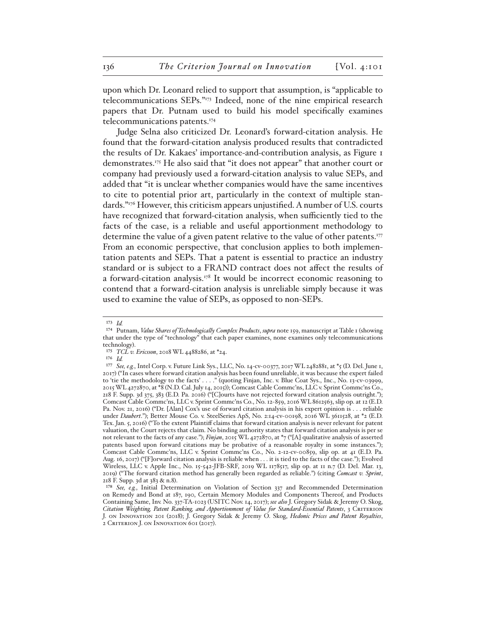upon which Dr. Leonard relied to support that assumption, is "applicable to telecommunications SEPs."173 Indeed, none of the nine empirical research papers that Dr. Putnam used to build his model specifically examines telecommunications patents.174

Judge Selna also criticized Dr. Leonard's forward-citation analysis. He found that the forward-citation analysis produced results that contradicted the results of Dr. Kakaes' importance-and-contribution analysis, as Figure 1 demonstrates.175 He also said that "it does not appear" that another court or company had previously used a forward-citation analysis to value SEPs, and added that "it is unclear whether companies would have the same incentives to cite to potential prior art, particularly in the context of multiple standards."176 However, this criticism appears unjustified. A number of U.S. courts have recognized that forward-citation analysis, when sufficiently tied to the facts of the case, is a reliable and useful apportionment methodology to determine the value of a given patent relative to the value of other patents.177 From an economic perspective, that conclusion applies to both implementation patents and SEPs. That a patent is essential to practice an industry standard or is subject to a FRAND contract does not affect the results of a forward-citation analysis.<sup>178</sup> It would be incorrect economic reasoning to contend that a forward-citation analysis is unreliable simply because it was used to examine the value of SEPs, as opposed to non-SEPs.

<sup>173</sup> *Id.*

<sup>174</sup> Putnam, *Value Shares of Technologically Complex Products*, *supra* note 159, manuscript at Table 1 (showing that under the type of "technology" that each paper examines, none examines only telecommunications technology).

<sup>175</sup> *TCL v. Ericsson*, 2018 WL 4488286, at \*24.

<sup>176</sup> *Id.*

<sup>177</sup> *See, e.g.*, Intel Corp. v. Future Link Sys., LLC, No. 14-cv-00377, 2017 WL 2482881, at \*5 (D. Del. June 1, 2017) ("In cases where forward citation analysis has been found unreliable, it was because the expert failed to 'tie the methodology to the facts' . . . ." (quoting Finjan, Inc. v. Blue Coat Sys., Inc., No. 13-cv-03999, 2015 WL 4272870, at \*8 (N.D. Cal. July 14, 2015)); Comcast Cable Commc'ns, LLC v. Sprint Commc'ns Co., 218 F. Supp. 3d 375, 383 (E.D. Pa. 2016) ("[C]ourts have not rejected forward citation analysis outright."); Comcast Cable Commc'ns, LLC v. Sprint Commc'ns Co., No. 12-859, 2016 WL 8612563, slip op. at 12 (E.D. Pa. Nov. 21, 2016) ("Dr. [Alan] Cox's use of forward citation analysis in his expert opinion is . . . reliable under *Daubert*."); Better Mouse Co. v. SteelSeries ApS, No. 2:14-cv-00198, 2016 WL 3611528, at \*2 (E.D. Tex. Jan. 5, 2016) ("To the extent Plaintiff claims that forward citation analysis is never relevant for patent valuation, the Court rejects that claim. No binding authority states that forward citation analysis is per se not relevant to the facts of any case."); *Finjan*, 2015 WL 4272870, at \*7 ("[A] qualitative analysis of asserted patents based upon forward citations may be probative of a reasonable royalty in some instances."); Comcast Cable Commc'ns, LLC v. Sprint Commc'ns Co., No. 2-12-cv-00859, slip op. at 41 (E.D. Pa. Aug. 16, 2017) ("[F]orward citation analysis is reliable when . . . it is tied to the facts of the case."); Evolved Wireless, LLC v. Apple Inc., No. 15-542-JFB-SRF, 2019 WL 1178517, slip op. at 11 n.7 (D. Del. Mar. 13, 2019) ("The forward citation method has generally been regarded as reliable.") (citing *Comcast v. Sprint*, 218 F. Supp. 3d at 383 & n.8).

<sup>178</sup> *See, e.g.*, Initial Determination on Violation of Section 337 and Recommended Determination on Remedy and Bond at 187, 190, Certain Memory Modules and Components Thereof, and Products Containing Same, Inv. No. 337-TA-1023 (USITC Nov. 14, 2017); *see also* J. Gregory Sidak & Jeremy O. Skog, *Citation Weighting, Patent Ranking, and Apportionment of Value for Standard-Essential Patents*, 3 Criterion J. on Innovation 201 (2018); J. Gregory Sidak & Jeremy O. Skog, *Hedonic Prices and Patent Royalties*, 2 CRITERION J. ON INNOVATION 601 (2017).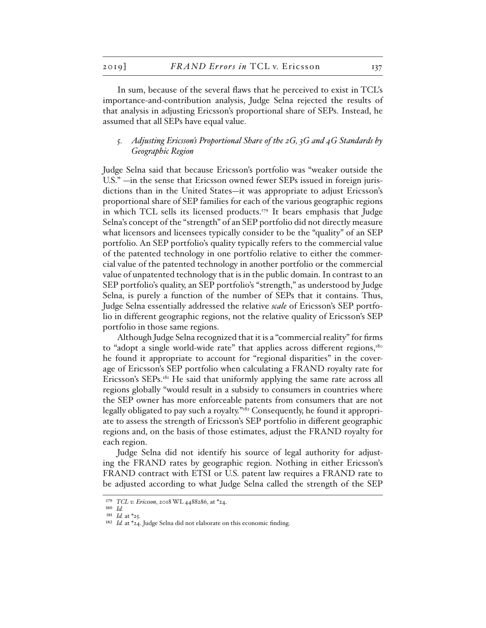In sum, because of the several flaws that he perceived to exist in TCL's importance-and-contribution analysis, Judge Selna rejected the results of that analysis in adjusting Ericsson's proportional share of SEPs. Instead, he assumed that all SEPs have equal value.

## *5. Adjusting Ericsson's Proportional Share of the 2G, 3G and 4G Standards by Geographic Region*

Judge Selna said that because Ericsson's portfolio was "weaker outside the U.S." —in the sense that Ericsson owned fewer SEPs issued in foreign jurisdictions than in the United States—it was appropriate to adjust Ericsson's proportional share of SEP families for each of the various geographic regions in which TCL sells its licensed products.<sup>179</sup> It bears emphasis that Judge Selna's concept of the "strength" of an SEP portfolio did not directly measure what licensors and licensees typically consider to be the "quality" of an SEP portfolio. An SEP portfolio's quality typically refers to the commercial value of the patented technology in one portfolio relative to either the commercial value of the patented technology in another portfolio or the commercial value of unpatented technology that is in the public domain. In contrast to an SEP portfolio's quality, an SEP portfolio's "strength," as understood by Judge Selna, is purely a function of the number of SEPs that it contains. Thus, Judge Selna essentially addressed the relative *scale* of Ericsson's SEP portfolio in different geographic regions, not the relative quality of Ericsson's SEP portfolio in those same regions.

Although Judge Selna recognized that it is a "commercial reality" for firms to "adopt a single world-wide rate" that applies across different regions, $180$ he found it appropriate to account for "regional disparities" in the coverage of Ericsson's SEP portfolio when calculating a FRAND royalty rate for Ericsson's SEPs.<sup>181</sup> He said that uniformly applying the same rate across all regions globally "would result in a subsidy to consumers in countries where the SEP owner has more enforceable patents from consumers that are not legally obligated to pay such a royalty."182 Consequently, he found it appropriate to assess the strength of Ericsson's SEP portfolio in different geographic regions and, on the basis of those estimates, adjust the FRAND royalty for each region.

Judge Selna did not identify his source of legal authority for adjusting the FRAND rates by geographic region. Nothing in either Ericsson's FRAND contract with ETSI or U.S. patent law requires a FRAND rate to be adjusted according to what Judge Selna called the strength of the SEP

<sup>179</sup> *TCL v. Ericsson*, 2018 WL 4488286, at \*24.

<sup>180</sup> *Id.* 181 *Id.* at \*25.

<sup>&</sup>lt;sup>182</sup> *Id.* at \*24. Judge Selna did not elaborate on this economic finding.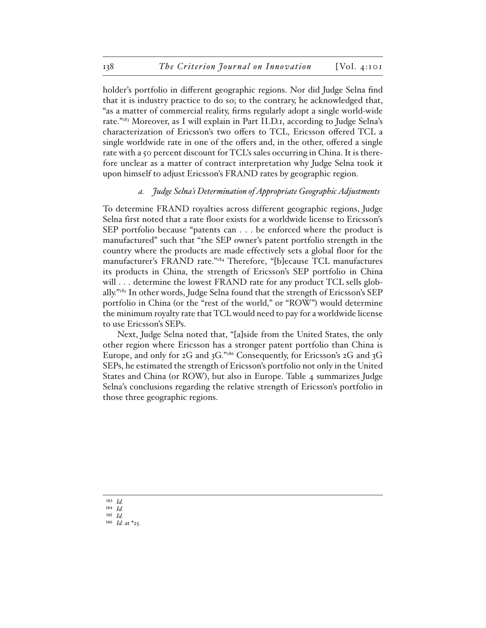holder's portfolio in different geographic regions. Nor did Judge Selna find that it is industry practice to do so; to the contrary, he acknowledged that, "as a matter of commercial reality, firms regularly adopt a single world-wide rate."183 Moreover, as I will explain in Part II.D.1, according to Judge Selna's characterization of Ericsson's two offers to TCL, Ericsson offered TCL a single worldwide rate in one of the offers and, in the other, offered a single rate with a 50 percent discount for TCL's sales occurring in China. It is therefore unclear as a matter of contract interpretation why Judge Selna took it upon himself to adjust Ericsson's FRAND rates by geographic region.

#### *a. Judge Selna's Determination of Appropriate Geographic Adjustments*

To determine FRAND royalties across different geographic regions, Judge Selna first noted that a rate floor exists for a worldwide license to Ericsson's SEP portfolio because "patents can . . . be enforced where the product is manufactured" such that "the SEP owner's patent portfolio strength in the country where the products are made effectively sets a global floor for the manufacturer's FRAND rate."184 Therefore, "[b]ecause TCL manufactures its products in China, the strength of Ericsson's SEP portfolio in China will . . . determine the lowest FRAND rate for any product TCL sells globally."185 In other words, Judge Selna found that the strength of Ericsson's SEP portfolio in China (or the "rest of the world," or "ROW") would determine the minimum royalty rate that TCL would need to pay for a worldwide license to use Ericsson's SEPs.

Next, Judge Selna noted that, "[a]side from the United States, the only other region where Ericsson has a stronger patent portfolio than China is Europe, and only for 2G and 3G."186 Consequently, for Ericsson's 2G and 3G SEPs, he estimated the strength of Ericsson's portfolio not only in the United States and China (or ROW), but also in Europe. Table 4 summarizes Judge Selna's conclusions regarding the relative strength of Ericsson's portfolio in those three geographic regions.

<sup>183</sup> *Id.*

<sup>184</sup> *Id.*

<sup>185</sup> *Id.*

<sup>186</sup> *Id.* at \*25.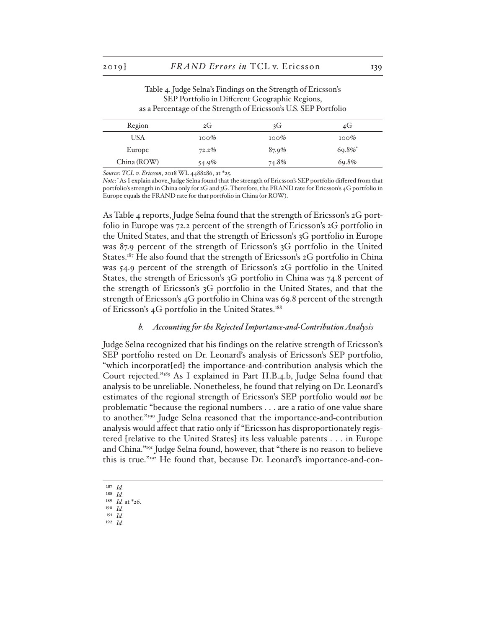Table 4. Judge Selna's Findings on the Strength of Ericsson's SEP Portfolio in Different Geographic Regions, as a Percentage of the Strength of Ericsson's U.S. SEP Portfolio

| Region      | 2G       | 3G       | 4G      |
|-------------|----------|----------|---------|
| USA         | $100\%$  | $100\%$  | $100\%$ |
| Europe      | $72.2\%$ | $87.9\%$ | 69.8%*  |
| China (ROW) | $54.9\%$ | 74.8%    | 69.8%   |

*Source*: *TCL v. Ericsson*, 2018 WL 4488286, at \*25.

*Note*: \* As I explain above, Judge Selna found that the strength of Ericsson's SEP portfolio differed from that portfolio's strength in China only for 2G and 3G. Therefore, the FRAND rate for Ericsson's 4G portfolio in Europe equals the FRAND rate for that portfolio in China (or ROW).

As Table 4 reports, Judge Selna found that the strength of Ericsson's 2G portfolio in Europe was 72.2 percent of the strength of Ericsson's 2G portfolio in the United States, and that the strength of Ericsson's 3G portfolio in Europe was 87.9 percent of the strength of Ericsson's 3G portfolio in the United States.<sup>187</sup> He also found that the strength of Ericsson's  $2G$  portfolio in China was 54.9 percent of the strength of Ericsson's 2G portfolio in the United States, the strength of Ericsson's 3G portfolio in China was 74.8 percent of the strength of Ericsson's 3G portfolio in the United States, and that the strength of Ericsson's 4G portfolio in China was 69.8 percent of the strength of Ericsson's 4G portfolio in the United States.<sup>188</sup>

#### *b. Accounting for the Rejected Importance-and-Contribution Analysis*

Judge Selna recognized that his findings on the relative strength of Ericsson's SEP portfolio rested on Dr. Leonard's analysis of Ericsson's SEP portfolio, "which incorporat[ed] the importance-and-contribution analysis which the Court rejected."189 As I explained in Part II.B.4.b, Judge Selna found that analysis to be unreliable. Nonetheless, he found that relying on Dr. Leonard's estimates of the regional strength of Ericsson's SEP portfolio would *not* be problematic "because the regional numbers . . . are a ratio of one value share to another."190 Judge Selna reasoned that the importance-and-contribution analysis would affect that ratio only if "Ericsson has disproportionately registered [relative to the United States] its less valuable patents . . . in Europe and China."191 Judge Selna found, however, that "there is no reason to believe this is true."192 He found that, because Dr. Leonard's importance-and-con-

- 187 *Id.*
- 188 *Id.* 189 *Id.* at \*26.
- 190 *Id.*
- 191 *Id.*
- 192 *Id.*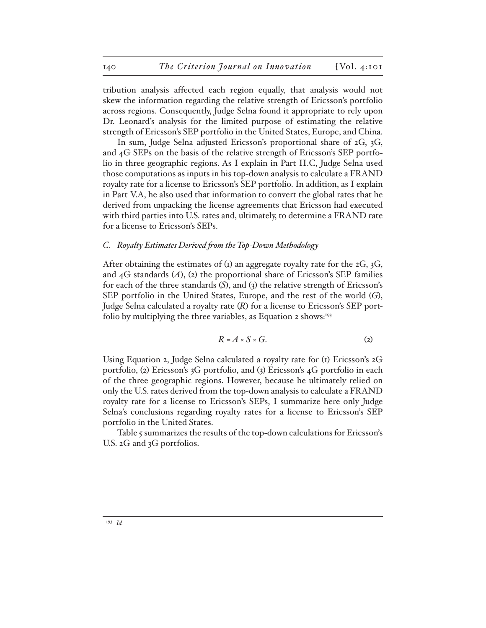tribution analysis affected each region equally, that analysis would not skew the information regarding the relative strength of Ericsson's portfolio across regions. Consequently, Judge Selna found it appropriate to rely upon Dr. Leonard's analysis for the limited purpose of estimating the relative strength of Ericsson's SEP portfolio in the United States, Europe, and China.

In sum, Judge Selna adjusted Ericsson's proportional share of 2G, 3G, and 4G SEPs on the basis of the relative strength of Ericsson's SEP portfolio in three geographic regions. As I explain in Part II.C, Judge Selna used those computations as inputs in his top-down analysis to calculate a FRAND royalty rate for a license to Ericsson's SEP portfolio. In addition, as I explain in Part V.A, he also used that information to convert the global rates that he derived from unpacking the license agreements that Ericsson had executed with third parties into U.S. rates and, ultimately, to determine a FRAND rate for a license to Ericsson's SEPs.

## *C. Royalty Estimates Derived from the Top-Down Methodology*

After obtaining the estimates of ( $\bar{x}$ ) an aggregate royalty rate for the 2G, 3G, and  $_4G$  standards  $(A)$ ,  $(z)$  the proportional share of Ericsson's SEP families for each of the three standards (*S*), and (3) the relative strength of Ericsson's SEP portfolio in the United States, Europe, and the rest of the world (*G*), Judge Selna calculated a royalty rate (*R*) for a license to Ericsson's SEP portfolio by multiplying the three variables, as Equation 2 shows:<sup>193</sup>

$$
R = A \times S \times G. \tag{2}
$$

Using Equation 2, Judge Selna calculated a royalty rate for (1) Ericsson's 2G portfolio, (2) Ericsson's 3G portfolio, and (3) Ericsson's 4G portfolio in each of the three geographic regions. However, because he ultimately relied on only the U.S. rates derived from the top-down analysis to calculate a FRAND royalty rate for a license to Ericsson's SEPs, I summarize here only Judge Selna's conclusions regarding royalty rates for a license to Ericsson's SEP portfolio in the United States.

Table 5 summarizes the results of the top-down calculations for Ericsson's U.S. 2G and 3G portfolios.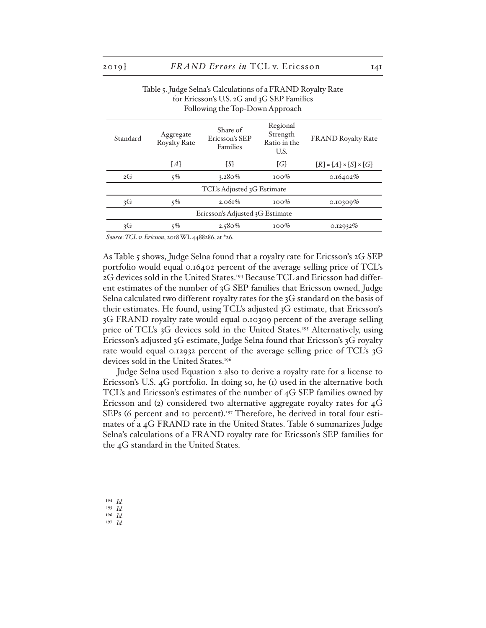#### Table 5. Judge Selna's Calculations of a FRAND Royalty Rate for Ericsson's U.S. 2G and 3G SEP Families Following the Top-Down Approach

| Standard                        | Aggregate<br><b>Royalty Rate</b> | Share of<br>Ericsson's SEP<br><b>Families</b> | Regional<br>Strength<br>Ratio in the<br>U.S. | <b>FRAND Royalty Rate</b>         |
|---------------------------------|----------------------------------|-----------------------------------------------|----------------------------------------------|-----------------------------------|
|                                 | $\{A\}$                          | [S]                                           | $\{G\}$                                      | $[R] = [A] \times [S] \times [G]$ |
| 2G                              | 5%                               | $3.280\%$                                     | $100\%$                                      | $0.16402\%$                       |
|                                 |                                  | TCL's Adjusted 3G Estimate                    |                                              |                                   |
| 3G                              | $5\%$                            | $2.061\%$                                     | $100\%$                                      | 0.10309%                          |
| Ericsson's Adjusted 3G Estimate |                                  |                                               |                                              |                                   |
| 3G                              | 5%                               | $2.580\%$                                     | $100\%$                                      | 0.12932%                          |

*Source*: *TCL v. Ericsson*, 2018 WL 4488286, at \*26.

As Table 5 shows, Judge Selna found that a royalty rate for Ericsson's 2G SEP portfolio would equal 0.16402 percent of the average selling price of TCL's 2G devices sold in the United States.194 Because TCL and Ericsson had different estimates of the number of 3G SEP families that Ericsson owned, Judge Selna calculated two different royalty rates for the 3G standard on the basis of their estimates. He found, using TCL's adjusted 3G estimate, that Ericsson's 3G FRAND royalty rate would equal 0.10309 percent of the average selling price of TCL's 3G devices sold in the United States.195 Alternatively, using Ericsson's adjusted 3G estimate, Judge Selna found that Ericsson's 3G royalty rate would equal 0.12932 percent of the average selling price of TCL's 3G devices sold in the United States.<sup>196</sup>

Judge Selna used Equation 2 also to derive a royalty rate for a license to Ericsson's U.S. 4G portfolio. In doing so, he (1) used in the alternative both TCL's and Ericsson's estimates of the number of 4G SEP families owned by Ericsson and (2) considered two alternative aggregate royalty rates for 4G SEPs (6 percent and 10 percent).<sup>197</sup> Therefore, he derived in total four estimates of a 4G FRAND rate in the United States. Table 6 summarizes Judge Selna's calculations of a FRAND royalty rate for Ericsson's SEP families for the 4G standard in the United States.

# 194 *Id.*

195 *Id.* 196 *Id.*

197 *Id.*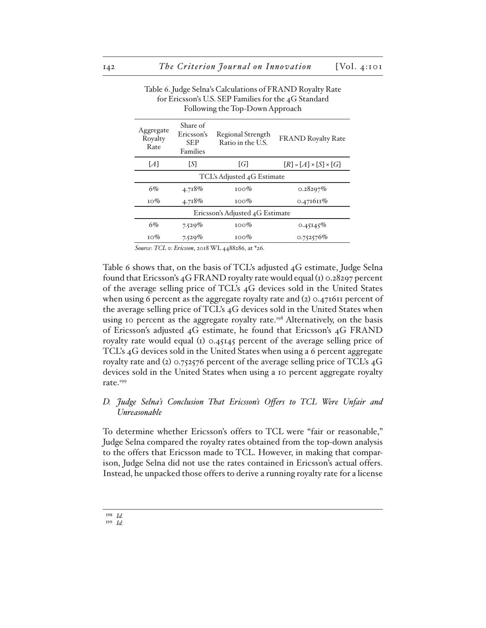| Following the Top-Down Approach |                                                         |                                        |                                   |  |
|---------------------------------|---------------------------------------------------------|----------------------------------------|-----------------------------------|--|
| Aggregate<br>Royalty<br>Rate    | Share of<br>Ericsson's<br><b>SEP</b><br><b>Families</b> | Regional Strength<br>Ratio in the U.S. | <b>FRAND Royalty Rate</b>         |  |
| ${A}$                           | [S]                                                     | $\{G\}$                                | $[R] = [A] \times [S] \times [G]$ |  |
| TCL's Adjusted 4G Estimate      |                                                         |                                        |                                   |  |
| 6%                              | 4.718%                                                  | $100\%$                                | 0.28297%                          |  |
| $10\%$                          | 4.718%                                                  | $100\%$                                | 0.471611%                         |  |
| Ericsson's Adjusted 4G Estimate |                                                         |                                        |                                   |  |
| 6%                              | 7.529%                                                  | $100\%$                                | 0.45145%                          |  |
| $10\%$                          | 7.529%                                                  | $100\%$                                | 0.752576%                         |  |

# Table 6. Judge Selna's Calculations of FRAND Royalty Rate for Ericsson's U.S. SEP Families for the 4G Standard

*Source*: *TCL v. Ericsson*, 2018 WL 4488286, at \*26.

Table 6 shows that, on the basis of TCL's adjusted 4G estimate, Judge Selna found that Ericsson's 4G FRAND royalty rate would equal (1) 0.28297 percent of the average selling price of TCL's 4G devices sold in the United States when using 6 percent as the aggregate royalty rate and (2) 0.471611 percent of the average selling price of TCL's 4G devices sold in the United States when using 10 percent as the aggregate royalty rate.<sup>198</sup> Alternatively, on the basis of Ericsson's adjusted 4G estimate, he found that Ericsson's 4G FRAND royalty rate would equal (1) 0.45145 percent of the average selling price of TCL's 4G devices sold in the United States when using a 6 percent aggregate royalty rate and (2) 0.752576 percent of the average selling price of TCL's 4G devices sold in the United States when using a 10 percent aggregate royalty rate.<sup>199</sup>

# *D. Judge Selna's Conclusion That Ericsson's Offers to TCL Were Unfair and Unreasonable*

To determine whether Ericsson's offers to TCL were "fair or reasonable," Judge Selna compared the royalty rates obtained from the top-down analysis to the offers that Ericsson made to TCL. However, in making that comparison, Judge Selna did not use the rates contained in Ericsson's actual offers. Instead, he unpacked those offers to derive a running royalty rate for a license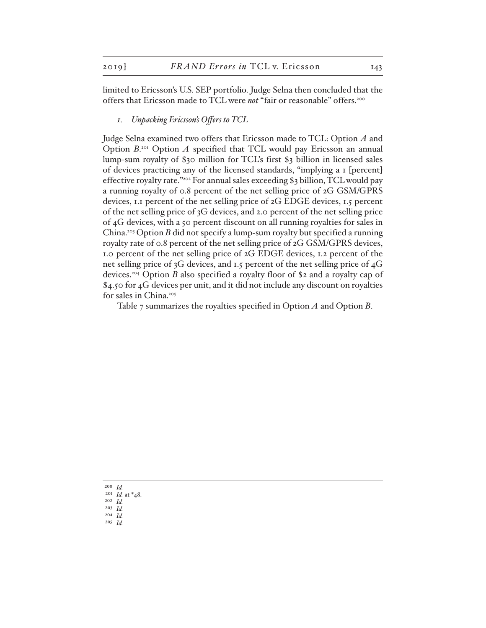limited to Ericsson's U.S. SEP portfolio. Judge Selna then concluded that the offers that Ericsson made to TCL were *not* "fair or reasonable" offers.200

*1. Unpacking Ericsson's Offers to TCL*

Judge Selna examined two offers that Ericsson made to TCL: Option *A* and Option  $B$ <sup>201</sup> Option  $A$  specified that TCL would pay Ericsson an annual lump-sum royalty of \$30 million for TCL's first \$3 billion in licensed sales of devices practicing any of the licensed standards, "implying a 1 [percent] effective royalty rate."202 For annual sales exceeding \$3 billion, TCL would pay a running royalty of 0.8 percent of the net selling price of 2G GSM/GPRS devices, 1.1 percent of the net selling price of 2G EDGE devices, 1.5 percent of the net selling price of 3G devices, and 2.0 percent of the net selling price of 4G devices, with a 50 percent discount on all running royalties for sales in China.203 Option *B* did not specify a lump-sum royalty but specified a running royalty rate of 0.8 percent of the net selling price of 2G GSM/GPRS devices, 1.0 percent of the net selling price of 2G EDGE devices, 1.2 percent of the net selling price of 3G devices, and 1.5 percent of the net selling price of 4G devices.204 Option *B* also specified a royalty floor of \$2 and a royalty cap of \$4.50 for 4G devices per unit, and it did not include any discount on royalties for sales in China.205

Table 7 summarizes the royalties specified in Option *A* and Option *B*.

200 *Id.* 201 *Id.* at \*48. 202 *Id.* 203 *Id.* 204 *Id.* 205 *Id.*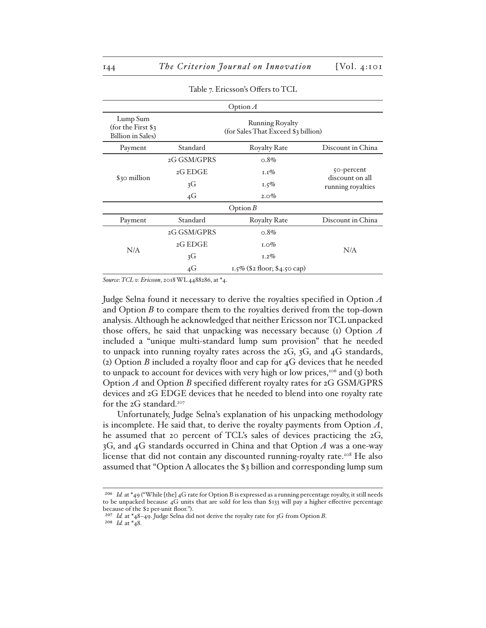| Option $\Lambda$                                            |                                                        |                              |                               |  |
|-------------------------------------------------------------|--------------------------------------------------------|------------------------------|-------------------------------|--|
| Lump Sum<br>(for the First \$3)<br><b>Billion</b> in Sales) | Running Royalty<br>(for Sales That Exceed \$3 billion) |                              |                               |  |
| Payment                                                     | Standard                                               | <b>Royalty Rate</b>          | Discount in China             |  |
|                                                             | 2G GSM/GPRS                                            | $0.8\%$                      |                               |  |
| \$30 million                                                | 2GEDGE                                                 | $1.1\%$                      | 50-percent<br>discount on all |  |
|                                                             | 3G                                                     | $1.5\%$                      | running royalties             |  |
|                                                             | 4G                                                     | $2.0\%$                      |                               |  |
| Option $B$                                                  |                                                        |                              |                               |  |
| Payment                                                     | Standard                                               | <b>Royalty Rate</b>          | Discount in China             |  |
| N/A                                                         | 2G GSM/GPRS                                            | $0.8\%$                      |                               |  |
|                                                             | 2GEDGE                                                 | $1.0\%$                      |                               |  |
|                                                             | 3G                                                     | $1.2\%$                      | N/A                           |  |
|                                                             | 4G                                                     | 1.5% (\$2 floor; \$4.50 cap) |                               |  |

Table 7. Ericsson's Offers to TCL

*Source*: *TCL v. Ericsson*, 2018 WL 4488286, at \*4.

Judge Selna found it necessary to derive the royalties specified in Option *A* and Option *B* to compare them to the royalties derived from the top-down analysis. Although he acknowledged that neither Ericsson nor TCL unpacked those offers, he said that unpacking was necessary because (1) Option *A* included a "unique multi-standard lump sum provision" that he needed to unpack into running royalty rates across the 2G, 3G, and 4G standards, (2) Option *B* included a royalty floor and cap for 4G devices that he needed to unpack to account for devices with very high or low prices,<sup>206</sup> and (3) both Option *A* and Option *B* specified different royalty rates for 2G GSM/GPRS devices and 2G EDGE devices that he needed to blend into one royalty rate for the  $2G$  standard.<sup>207</sup>

Unfortunately, Judge Selna's explanation of his unpacking methodology is incomplete. He said that, to derive the royalty payments from Option *A*, he assumed that 20 percent of TCL's sales of devices practicing the 2G, 3G, and 4G standards occurred in China and that Option *A* was a one-way license that did not contain any discounted running-royalty rate.<sup>208</sup> He also assumed that "Option A allocates the \$3 billion and corresponding lump sum

208 *Id.* at \*48.

<sup>206</sup> *Id.* at \*49 ("While [the] 4G rate for Option B is expressed as a running percentage royalty, it still needs to be unpacked because 4G units that are sold for less than \$133 will pay a higher effective percentage because of the \$2 per-unit floor.").

<sup>207</sup> *Id.* at \*48–49. Judge Selna did not derive the royalty rate for 3G from Option *B*.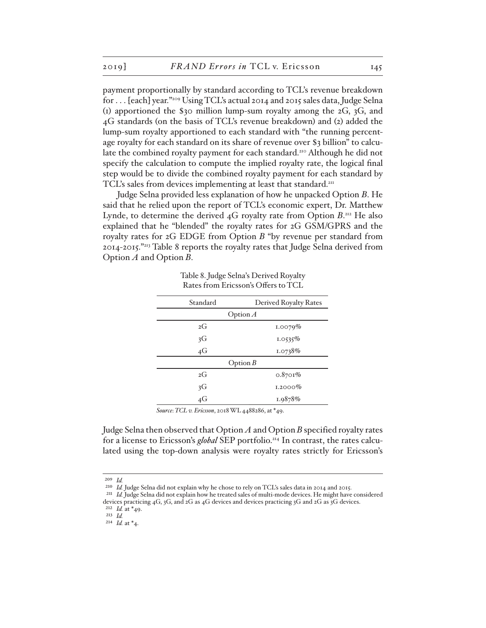payment proportionally by standard according to TCL's revenue breakdown for . . . [each] year."209 Using TCL's actual 2014 and 2015 sales data, Judge Selna (1) apportioned the \$30 million lump-sum royalty among the 2G, 3G, and 4G standards (on the basis of TCL's revenue breakdown) and (2) added the lump-sum royalty apportioned to each standard with "the running percentage royalty for each standard on its share of revenue over \$3 billion" to calculate the combined royalty payment for each standard.<sup>210</sup> Although he did not specify the calculation to compute the implied royalty rate, the logical final step would be to divide the combined royalty payment for each standard by TCL's sales from devices implementing at least that standard.<sup>211</sup>

Judge Selna provided less explanation of how he unpacked Option *B*. He said that he relied upon the report of TCL's economic expert, Dr. Matthew Lynde, to determine the derived 4G royalty rate from Option *B*. 212 He also explained that he "blended" the royalty rates for 2G GSM/GPRS and the royalty rates for 2G EDGE from Option *B* "by revenue per standard from 2014-2015."213 Table 8 reports the royalty rates that Judge Selna derived from Option *A* and Option *B*.

Table 8. Judge Selna's Derived Royalty Rates from Ericsson's Offers to TCL

| Standard         | Derived Royalty Rates |  |  |  |
|------------------|-----------------------|--|--|--|
| Option $\Lambda$ |                       |  |  |  |
| 2G               | 1.0079%               |  |  |  |
| 3G               | 1.0535%               |  |  |  |
| $4\overline{G}$  | 1.0738%               |  |  |  |
|                  | Option $B$            |  |  |  |
| 2G               | $0.8701\%$            |  |  |  |
| 3G               | $1.2000\%$            |  |  |  |
| $4\overline{G}$  | 1.9878%               |  |  |  |
|                  |                       |  |  |  |

*Source*: *TCL v. Ericsson*, 2018 WL 4488286, at \*49.

Judge Selna then observed that Option *A* and Option *B* specified royalty rates for a license to Ericsson's *global* SEP portfolio.<sup>214</sup> In contrast, the rates calculated using the top-down analysis were royalty rates strictly for Ericsson's

<sup>209</sup> *Id.*

<sup>&</sup>lt;sup>210</sup> *Id.* Judge Selna did not explain why he chose to rely on TCL's sales data in 2014 and 2015.

<sup>211</sup> *Id.* Judge Selna did not explain how he treated sales of multi-mode devices. He might have considered devices practicing 4G, 3G, and 2G as 4G devices and devices practicing 3G and 2G as 3G devices. 212 *Id.* at \*49.

<sup>213</sup> *Id.* 

<sup>214</sup> *Id.* at \*4.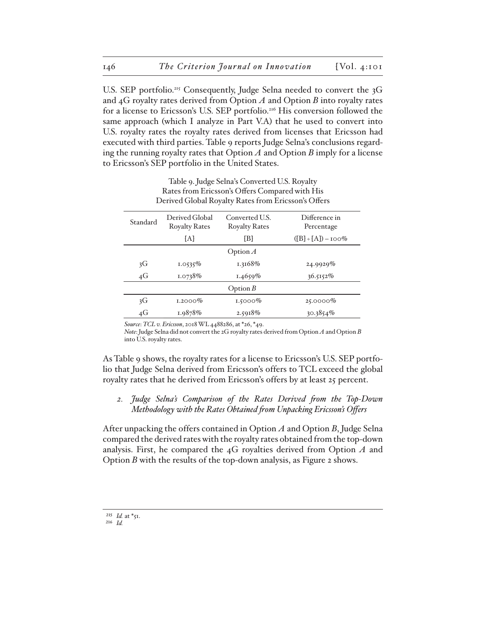U.S. SEP portfolio.<sup>215</sup> Consequently, Judge Selna needed to convert the 3G and 4G royalty rates derived from Option *A* and Option *B* into royalty rates for a license to Ericsson's U.S. SEP portfolio.216 His conversion followed the same approach (which I analyze in Part V.A) that he used to convert into U.S. royalty rates the royalty rates derived from licenses that Ericsson had executed with third parties. Table 9 reports Judge Selna's conclusions regarding the running royalty rates that Option *A* and Option *B* imply for a license to Ericsson's SEP portfolio in the United States.

|          | Derived Global Royalty Rates from Ericsson's Offers                              |            |                             |  |  |
|----------|----------------------------------------------------------------------------------|------------|-----------------------------|--|--|
| Standard | Derived Global<br>Converted U.S.<br><b>Royalty Rates</b><br><b>Royalty Rates</b> |            | Difference in<br>Percentage |  |  |
|          | [A]                                                                              | [B]        | $([B] \div [A]) - 100\%$    |  |  |
|          | Option $\Lambda$                                                                 |            |                             |  |  |
| 3G       | 1.0535%                                                                          | 1.3168%    | 24.9929%                    |  |  |
| 4G       | 1.0738%                                                                          | 1.4659%    | 36.5152%                    |  |  |
|          | Option $B$                                                                       |            |                             |  |  |
| 3G       | $1.2000\%$                                                                       | $1.5000\%$ | $25.0000\%$                 |  |  |
| 4G       | 1.9878%                                                                          | 2.5918%    | $30.3854\%$                 |  |  |

Table 9. Judge Selna's Converted U.S. Royalty Rates from Ericsson's Offers Compared with His Derived Global Royalty Rates from Ericsson's Offers

*Source*: *TCL v. Ericsson*, 2018 WL 4488286, at \*26, \*49.

*Note*: Judge Selna did not convert the 2G royalty rates derived from Option *A* and Option *B* into U.S. royalty rates.

As Table 9 shows, the royalty rates for a license to Ericsson's U.S. SEP portfolio that Judge Selna derived from Ericsson's offers to TCL exceed the global royalty rates that he derived from Ericsson's offers by at least 25 percent.

*2. Judge Selna's Comparison of the Rates Derived from the Top-Down Methodology with the Rates Obtained from Unpacking Ericsson's Offers*

After unpacking the offers contained in Option *A* and Option *B*, Judge Selna compared the derived rates with the royalty rates obtained from the top-down analysis. First, he compared the 4G royalties derived from Option *A* and Option *B* with the results of the top-down analysis, as Figure 2 shows.

<sup>215</sup> *Id.* at \*51.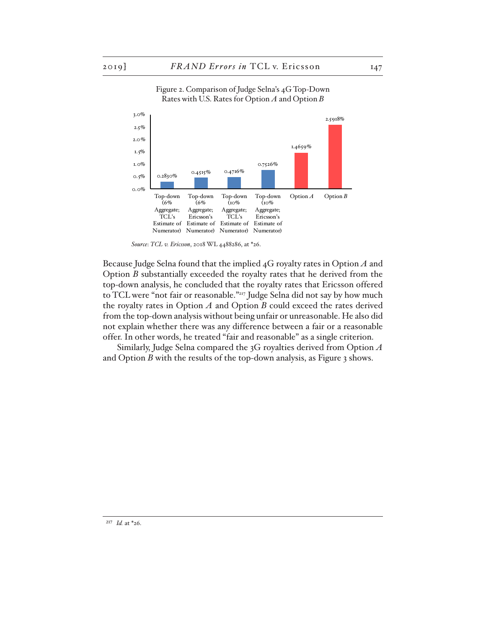

#### Figure 2. Comparison of Judge Selna's 4G Top-Down Rates with U.S. Rates for Option *A* and Option *B*

*Source*: *TCL v. Ericsson*, 2018 WL 4488286, at \*26.

Because Judge Selna found that the implied 4G royalty rates in Option *A* and Option *B* substantially exceeded the royalty rates that he derived from the top-down analysis, he concluded that the royalty rates that Ericsson offered to TCL were "not fair or reasonable."217 Judge Selna did not say by how much the royalty rates in Option *A* and Option *B* could exceed the rates derived from the top-down analysis without being unfair or unreasonable. He also did not explain whether there was any difference between a fair or a reasonable offer. In other words, he treated "fair and reasonable" as a single criterion.

Similarly, Judge Selna compared the 3G royalties derived from Option *A* and Option *B* with the results of the top-down analysis, as Figure 3 shows.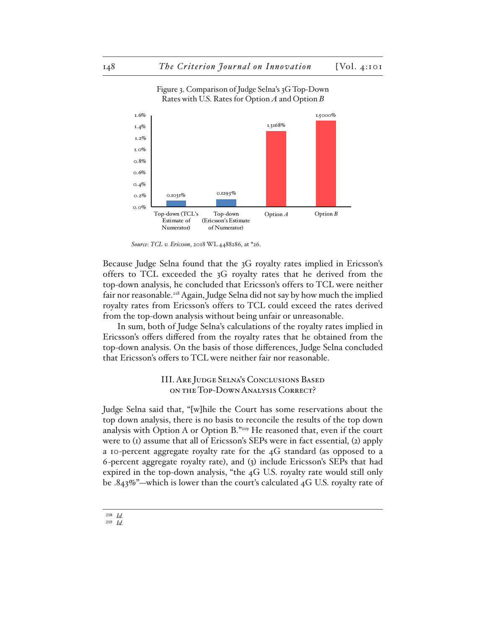

#### Figure 3. Comparison of Judge Selna's 3G Top-Down Rates with U.S. Rates for Option *A* and Option *B*

*Source*: *TCL v. Ericsson*, 2018 WL 4488286, at \*26.

Because Judge Selna found that the 3G royalty rates implied in Ericsson's offers to TCL exceeded the 3G royalty rates that he derived from the top-down analysis, he concluded that Ericsson's offers to TCL were neither fair nor reasonable.<sup>218</sup> Again, Judge Selna did not say by how much the implied royalty rates from Ericsson's offers to TCL could exceed the rates derived from the top-down analysis without being unfair or unreasonable.

In sum, both of Judge Selna's calculations of the royalty rates implied in Ericsson's offers differed from the royalty rates that he obtained from the top-down analysis. On the basis of those differences, Judge Selna concluded that Ericsson's offers to TCL were neither fair nor reasonable.

# III. Are Judge Selna's Conclusions Based on the Top-Down Analysis Correct?

Judge Selna said that, "[w]hile the Court has some reservations about the top down analysis, there is no basis to reconcile the results of the top down analysis with Option A or Option B."219 He reasoned that, even if the court were to (1) assume that all of Ericsson's SEPs were in fact essential, (2) apply a 10-percent aggregate royalty rate for the 4G standard (as opposed to a 6-percent aggregate royalty rate), and (3) include Ericsson's SEPs that had expired in the top-down analysis, "the 4G U.S. royalty rate would still only be .843%"—which is lower than the court's calculated 4G U.S. royalty rate of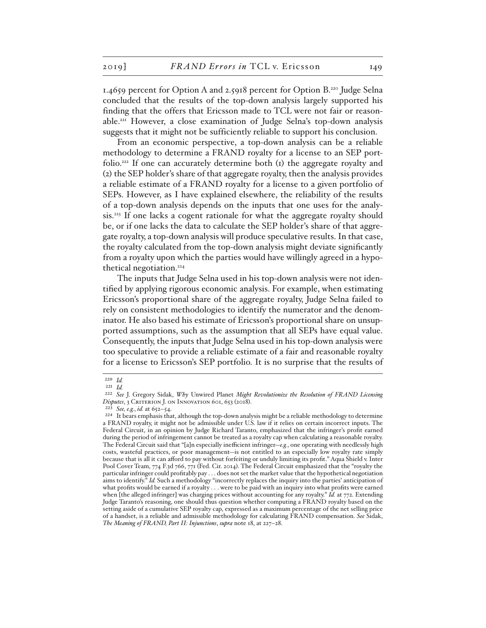1.4659 percent for Option A and 2.5918 percent for Option B.220 Judge Selna concluded that the results of the top-down analysis largely supported his finding that the offers that Ericsson made to TCL were not fair or reasonable.221 However, a close examination of Judge Selna's top-down analysis suggests that it might not be sufficiently reliable to support his conclusion.

From an economic perspective, a top-down analysis can be a reliable methodology to determine a FRAND royalty for a license to an SEP portfolio.<sup>222</sup> If one can accurately determine both  $(i)$  the aggregate royalty and (2) the SEP holder's share of that aggregate royalty, then the analysis provides a reliable estimate of a FRAND royalty for a license to a given portfolio of SEPs. However, as I have explained elsewhere, the reliability of the results of a top-down analysis depends on the inputs that one uses for the analysis.223 If one lacks a cogent rationale for what the aggregate royalty should be, or if one lacks the data to calculate the SEP holder's share of that aggregate royalty, a top-down analysis will produce speculative results. In that case, the royalty calculated from the top-down analysis might deviate significantly from a royalty upon which the parties would have willingly agreed in a hypothetical negotiation.<sup>224</sup>

The inputs that Judge Selna used in his top-down analysis were not identified by applying rigorous economic analysis. For example, when estimating Ericsson's proportional share of the aggregate royalty, Judge Selna failed to rely on consistent methodologies to identify the numerator and the denominator. He also based his estimate of Ericsson's proportional share on unsupported assumptions, such as the assumption that all SEPs have equal value. Consequently, the inputs that Judge Selna used in his top-down analysis were too speculative to provide a reliable estimate of a fair and reasonable royalty for a license to Ericsson's SEP portfolio. It is no surprise that the results of

<sup>220</sup> *Id.* 221 *Id.*

<sup>222</sup> *See* J. Gregory Sidak, *Why* Unwired Planet *Might Revolutionize the Resolution of FRAND Licensing*  Disputes, 3 CRITERION J. ON INNOVATION 601, 653 (2018).

<sup>223</sup> *See, e.g.*, *id.* at 652–54.

<sup>224</sup> It bears emphasis that, although the top-down analysis might be a reliable methodology to determine a FRAND royalty, it might not be admissible under U.S. law if it relies on certain incorrect inputs. The Federal Circuit, in an opinion by Judge Richard Taranto, emphasized that the infringer's profit earned during the period of infringement cannot be treated as a royalty cap when calculating a reasonable royalty. The Federal Circuit said that "[a]n especially inefficient infringer—*e.g.*, one operating with needlessly high costs, wasteful practices, or poor management—is not entitled to an especially low royalty rate simply because that is all it can afford to pay without forfeiting or unduly limiting its profit." Aqua Shield v. Inter Pool Cover Team, 774 F.3d 766, 771 (Fed. Cir. 2014). The Federal Circuit emphasized that the "royalty the particular infringer could profitably pay . . . does not set the market value that the hypothetical negotiation aims to identify." *Id.* Such a methodology "incorrectly replaces the inquiry into the parties' anticipation of what profits would be earned if a royalty . . . were to be paid with an inquiry into what profits were earned when [the alleged infringer] was charging prices without accounting for any royalty." *Id.* at 772. Extending Judge Taranto's reasoning, one should thus question whether computing a FRAND royalty based on the setting aside of a cumulative SEP royalty cap, expressed as a maximum percentage of the net selling price of a handset, is a reliable and admissible methodology for calculating FRAND compensation. *See* Sidak, *The Meaning of FRAND, Part II: Injunctions*, *supra* note 18, at 227–28.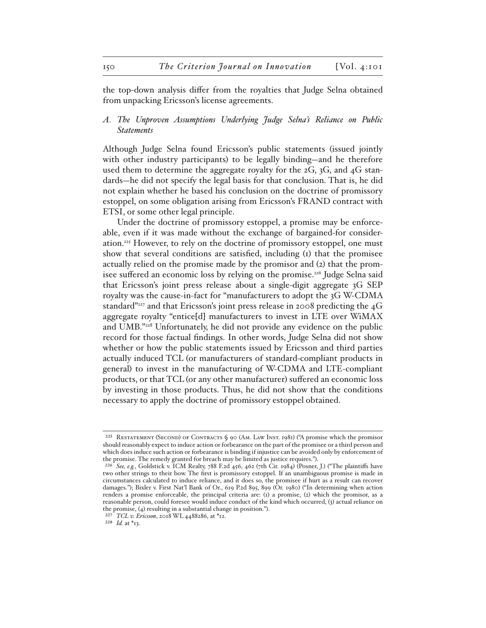the top-down analysis differ from the royalties that Judge Selna obtained from unpacking Ericsson's license agreements.

# *A. The Unproven Assumptions Underlying Judge Selna's Reliance on Public Statements*

Although Judge Selna found Ericsson's public statements (issued jointly with other industry participants) to be legally binding—and he therefore used them to determine the aggregate royalty for the 2G, 3G, and 4G standards—he did not specify the legal basis for that conclusion. That is, he did not explain whether he based his conclusion on the doctrine of promissory estoppel, on some obligation arising from Ericsson's FRAND contract with ETSI, or some other legal principle.

Under the doctrine of promissory estoppel, a promise may be enforceable, even if it was made without the exchange of bargained-for consideration.225 However, to rely on the doctrine of promissory estoppel, one must show that several conditions are satisfied, including (1) that the promisee actually relied on the promise made by the promisor and (2) that the promisee suffered an economic loss by relying on the promise.<sup>226</sup> Judge Selna said that Ericsson's joint press release about a single-digit aggregate 3G SEP royalty was the cause-in-fact for "manufacturers to adopt the 3G W-CDMA standard"<sup>227</sup> and that Ericsson's joint press release in 2008 predicting the  $4G$ aggregate royalty "entice[d] manufacturers to invest in LTE over WiMAX and UMB."228 Unfortunately, he did not provide any evidence on the public record for those factual findings. In other words, Judge Selna did not show whether or how the public statements issued by Ericsson and third parties actually induced TCL (or manufacturers of standard-compliant products in general) to invest in the manufacturing of W-CDMA and LTE-compliant products, or that TCL (or any other manufacturer) suffered an economic loss by investing in those products. Thus, he did not show that the conditions necessary to apply the doctrine of promissory estoppel obtained.

228 *Id.* at \*13.

<sup>&</sup>lt;sup>225</sup> RESTATEMENT (SECOND) OF CONTRACTS  $\zeta$  90 (Am. Law INST. 1981) ("A promise which the promisor should reasonably expect to induce action or forbearance on the part of the promisee or a third person and which does induce such action or forbearance is binding if injustice can be avoided only by enforcement of the promise. The remedy granted for breach may be limited as justice requires.").

<sup>226</sup> *See, e.g.*, Goldstick v. ICM Realty, 788 F.2d 456, 462 (7th Cir. 1984) (Posner, J.) ("The plaintiffs have two other strings to their bow. The first is promissory estoppel. If an unambiguous promise is made in circumstances calculated to induce reliance, and it does so, the promisee if hurt as a result can recover damages."); Bixler v. First Nat'l Bank of Or., 619 P.2d 895, 899 (Or. 1980) ("In determining when action renders a promise enforceable, the principal criteria are: (1) a promise, (2) which the promisor, as a reasonable person, could foresee would induce conduct of the kind which occurred, (3) actual reliance on the promise, (4) resulting in a substantial change in position.").

<sup>227</sup> *TCL v. Ericsson*, 2018 WL 4488286, at \*12.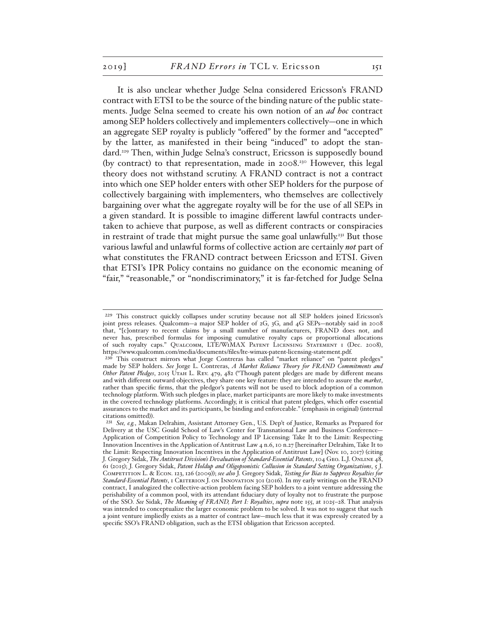It is also unclear whether Judge Selna considered Ericsson's FRAND contract with ETSI to be the source of the binding nature of the public statements. Judge Selna seemed to create his own notion of an *ad hoc* contract among SEP holders collectively and implementers collectively—one in which an aggregate SEP royalty is publicly "offered" by the former and "accepted" by the latter, as manifested in their being "induced" to adopt the standard.229 Then, within Judge Selna's construct, Ericsson is supposedly bound (by contract) to that representation, made in  $2008.^{30}$  However, this legal theory does not withstand scrutiny. A FRAND contract is not a contract into which one SEP holder enters with other SEP holders for the purpose of collectively bargaining with implementers, who themselves are collectively bargaining over what the aggregate royalty will be for the use of all SEPs in a given standard. It is possible to imagine different lawful contracts undertaken to achieve that purpose, as well as different contracts or conspiracies in restraint of trade that might pursue the same goal unlawfully.<sup>231</sup> But those various lawful and unlawful forms of collective action are certainly *not* part of what constitutes the FRAND contract between Ericsson and ETSI. Given that ETSI's IPR Policy contains no guidance on the economic meaning of "fair," "reasonable," or "nondiscriminatory," it is far-fetched for Judge Selna

<sup>229</sup> This construct quickly collapses under scrutiny because not all SEP holders joined Ericsson's joint press releases. Qualcomm—a major SEP holder of 2G, 3G, and 4G SEPs—notably said in 2008 that, "[c]ontrary to recent claims by a small number of manufacturers, FRAND does not, and never has, prescribed formulas for imposing cumulative royalty caps or proportional allocations of such royalty caps." Qualcomm, LTE/WiMAX Patent Licensing Statement 1 (Dec. 2008), https://www.qualcomm.com/media/documents/files/lte-wimax-patent-licensing-statement.pdf.

<sup>230</sup> This construct mirrors what Jorge Contreras has called "market reliance" on "patent pledges" made by SEP holders. *See* Jorge L. Contreras, *A Market Reliance Theory for FRAND Commitments and Other Patent Pledges*, 2015 Utah L. Rev. 479, 482 ("Though patent pledges are made by different means and with different outward objectives, they share one key feature: they are intended to assure the *market*, rather than specific firms, that the pledgor's patents will not be used to block adoption of a common technology platform. With such pledges in place, market participants are more likely to make investments in the covered technology platforms. Accordingly, it is critical that patent pledges, which offer essential assurances to the market and its participants, be binding and enforceable." (emphasis in original) (internal citations omitted)).

<sup>231</sup> *See, e.g.*, Makan Delrahim, Assistant Attorney Gen., U.S. Dep't of Justice, Remarks as Prepared for Delivery at the USC Gould School of Law's Center for Transnational Law and Business Conference— Application of Competition Policy to Technology and IP Licensing: Take It to the Limit: Respecting Innovation Incentives in the Application of Antitrust Law 4 n.6, 10 n.27 [hereinafter Delrahim, Take It to the Limit: Respecting Innovation Incentives in the Application of Antitrust Law] (Nov. 10, 2017) (citing J. Gregory Sidak, *The Antitrust Division's Devaluation of Standard-Essential Patents*, 104 Geo. L.J. Online 48, 61 (2015); J. Gregory Sidak, *Patent Holdup and Oligopsonistic Collusion in Standard Setting Organizations*, 5 J. Competition L. & Econ. 123, 126 (2009)); *see also* J. Gregory Sidak, *Testing for Bias to Suppress Royalties for Standard-Essential Patents*, 1 Criterion J. on Innovation 301 (2016). In my early writings on the FRAND contract, I analogized the collective-action problem facing SEP holders to a joint venture addressing the perishability of a common pool, with its attendant fiduciary duty of loyalty not to frustrate the purpose of the SSO. *See* Sidak, *The Meaning of FRAND, Part I: Royalties*, *supra* note 155, at 1025–28. That analysis was intended to conceptualize the larger economic problem to be solved. It was not to suggest that such a joint venture impliedly exists as a matter of contract law—much less that it was expressly created by a specific SSO's FRAND obligation, such as the ETSI obligation that Ericsson accepted.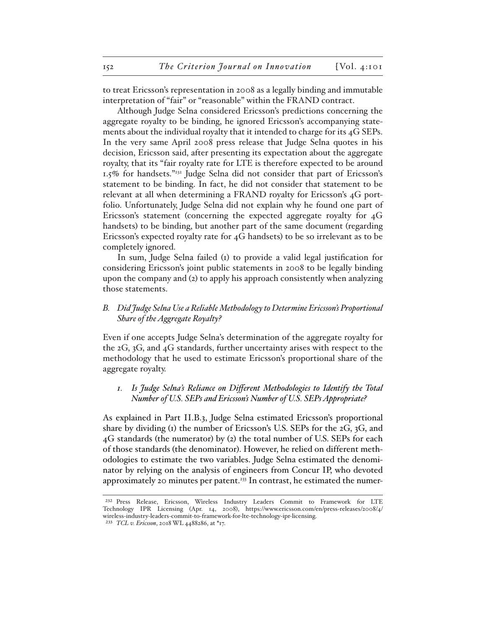to treat Ericsson's representation in 2008 as a legally binding and immutable interpretation of "fair" or "reasonable" within the FRAND contract.

Although Judge Selna considered Ericsson's predictions concerning the aggregate royalty to be binding, he ignored Ericsson's accompanying statements about the individual royalty that it intended to charge for its 4G SEPs. In the very same April 2008 press release that Judge Selna quotes in his decision, Ericsson said, after presenting its expectation about the aggregate royalty, that its "fair royalty rate for LTE is therefore expected to be around 1.5% for handsets."232 Judge Selna did not consider that part of Ericsson's statement to be binding. In fact, he did not consider that statement to be relevant at all when determining a FRAND royalty for Ericsson's 4G portfolio. Unfortunately, Judge Selna did not explain why he found one part of Ericsson's statement (concerning the expected aggregate royalty for 4G handsets) to be binding, but another part of the same document (regarding Ericsson's expected royalty rate for 4G handsets) to be so irrelevant as to be completely ignored.

In sum, Judge Selna failed (1) to provide a valid legal justification for considering Ericsson's joint public statements in 2008 to be legally binding upon the company and (2) to apply his approach consistently when analyzing those statements.

# *B. Did Judge Selna Use a Reliable Methodology to Determine Ericsson's Proportional Share of the Aggregate Royalty?*

Even if one accepts Judge Selna's determination of the aggregate royalty for the 2G, 3G, and 4G standards, further uncertainty arises with respect to the methodology that he used to estimate Ericsson's proportional share of the aggregate royalty.

# *1. Is Judge Selna's Reliance on Different Methodologies to Identify the Total Number of U.S. SEPs and Ericsson's Number of U.S. SEPs Appropriate?*

As explained in Part II.B.3, Judge Selna estimated Ericsson's proportional share by dividing (1) the number of Ericsson's U.S. SEPs for the 2G, 3G, and 4G standards (the numerator) by (2) the total number of U.S. SEPs for each of those standards (the denominator). However, he relied on different methodologies to estimate the two variables. Judge Selna estimated the denominator by relying on the analysis of engineers from Concur IP, who devoted approximately 20 minutes per patent.<sup>233</sup> In contrast, he estimated the numer-

<sup>232</sup> Press Release, Ericsson, Wireless Industry Leaders Commit to Framework for LTE Technology IPR Licensing (Apr. 14, 2008), https://www.ericsson.com/en/press-releases/2008/4/ wireless-industry-leaders-commit-to-framework-for-lte-technology-ipr-licensing.

<sup>233</sup> *TCL v. Ericsson*, 2018 WL 4488286, at \*17.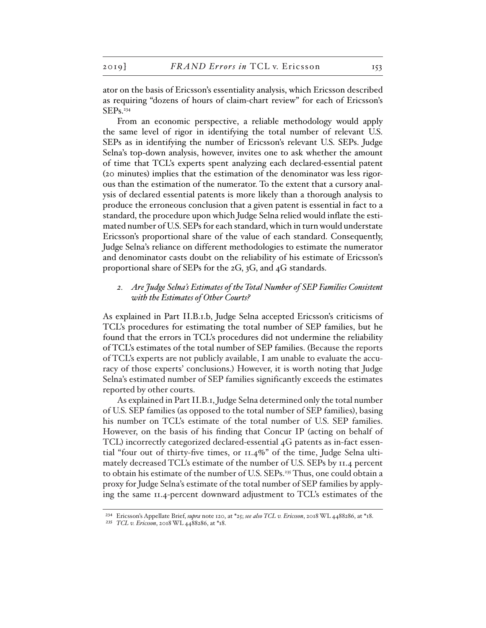ator on the basis of Ericsson's essentiality analysis, which Ericsson described as requiring "dozens of hours of claim-chart review" for each of Ericsson's SEPs.234

From an economic perspective, a reliable methodology would apply the same level of rigor in identifying the total number of relevant U.S. SEPs as in identifying the number of Ericsson's relevant U.S. SEPs. Judge Selna's top-down analysis, however, invites one to ask whether the amount of time that TCL's experts spent analyzing each declared-essential patent (20 minutes) implies that the estimation of the denominator was less rigorous than the estimation of the numerator. To the extent that a cursory analysis of declared essential patents is more likely than a thorough analysis to produce the erroneous conclusion that a given patent is essential in fact to a standard, the procedure upon which Judge Selna relied would inflate the estimated number of U.S. SEPs for each standard, which in turn would understate Ericsson's proportional share of the value of each standard. Consequently, Judge Selna's reliance on different methodologies to estimate the numerator and denominator casts doubt on the reliability of his estimate of Ericsson's proportional share of SEPs for the 2G, 3G, and 4G standards.

# *2. Are Judge Selna's Estimates of the Total Number of SEP Families Consistent with the Estimates of Other Courts?*

As explained in Part II.B.1.b, Judge Selna accepted Ericsson's criticisms of TCL's procedures for estimating the total number of SEP families, but he found that the errors in TCL's procedures did not undermine the reliability of TCL's estimates of the total number of SEP families. (Because the reports of TCL's experts are not publicly available, I am unable to evaluate the accuracy of those experts' conclusions.) However, it is worth noting that Judge Selna's estimated number of SEP families significantly exceeds the estimates reported by other courts.

As explained in Part II.B.1, Judge Selna determined only the total number of U.S. SEP families (as opposed to the total number of SEP families), basing his number on TCL's estimate of the total number of U.S. SEP families. However, on the basis of his finding that Concur IP (acting on behalf of TCL) incorrectly categorized declared-essential 4G patents as in-fact essential "four out of thirty-five times, or 11.4%" of the time, Judge Selna ultimately decreased TCL's estimate of the number of U.S. SEPs by 11.4 percent to obtain his estimate of the number of U.S. SEPs.235 Thus, one could obtain a proxy for Judge Selna's estimate of the total number of SEP families by applying the same 11.4-percent downward adjustment to TCL's estimates of the

<sup>234</sup> Ericsson's Appellate Brief, *supra* note 120, at \*25; *see also TCL v. Ericsson*, 2018 WL 4488286, at \*18.

<sup>235</sup> *TCL v. Ericsson*, 2018 WL 4488286, at \*18.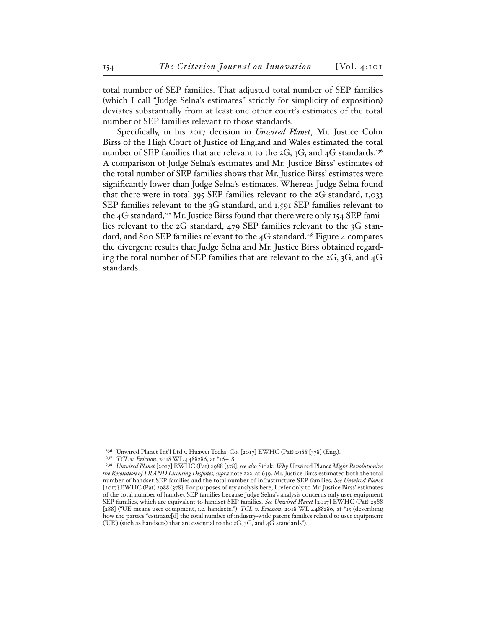total number of SEP families. That adjusted total number of SEP families (which I call "Judge Selna's estimates" strictly for simplicity of exposition) deviates substantially from at least one other court's estimates of the total number of SEP families relevant to those standards.

Specifically, in his 2017 decision in *Unwired Planet*, Mr. Justice Colin Birss of the High Court of Justice of England and Wales estimated the total number of SEP families that are relevant to the 2G, 3G, and 4G standards.<sup>236</sup> A comparison of Judge Selna's estimates and Mr. Justice Birss' estimates of the total number of SEP families shows that Mr. Justice Birss' estimates were significantly lower than Judge Selna's estimates. Whereas Judge Selna found that there were in total 395 SEP families relevant to the 2G standard, 1,033 SEP families relevant to the 3G standard, and 1,591 SEP families relevant to the  $4G$  standard,<sup>237</sup> Mr. Justice Birss found that there were only 154 SEP families relevant to the 2G standard, 479 SEP families relevant to the 3G standard, and 800 SEP families relevant to the 4G standard.<sup>238</sup> Figure 4 compares the divergent results that Judge Selna and Mr. Justice Birss obtained regarding the total number of SEP families that are relevant to the 2G, 3G, and 4G standards.

237 *TCL v. Ericsson*, 2018 WL 4488286, at \*16–18.

<sup>236</sup> Unwired Planet Int'l Ltd v. Huawei Techs. Co. [2017] EWHC (Pat) 2988 [378] (Eng.).

<sup>238</sup> *Unwired Planet* [2017] EWHC (Pat) 2988 [378]; *see also* Sidak, *Why* Unwired Plane*t Might Revolutionize the Resolution of FRAND Licensing Disputes, supra* note 222, at 639. Mr. Justice Birss estimated both the total number of handset SEP families and the total number of infrastructure SEP families. *See Unwired Planet* [2017] EWHC (Pat) 2988 [378]. For purposes of my analysis here, I refer only to Mr. Justice Birss' estimates of the total number of handset SEP families because Judge Selna's analysis concerns only user-equipment SEP families, which are equivalent to handset SEP families. *See Unwired Planet* [2017] EWHC (Pat) 2988 [288] ("UE means user equipment, i.e. handsets."); *TCL v. Ericsson*, 2018 WL 4488286, at \*15 (describing how the parties "estimate[d] the total number of industry-wide patent families related to user equipment ('UE') (such as handsets) that are essential to the 2G, 3G, and 4G standards").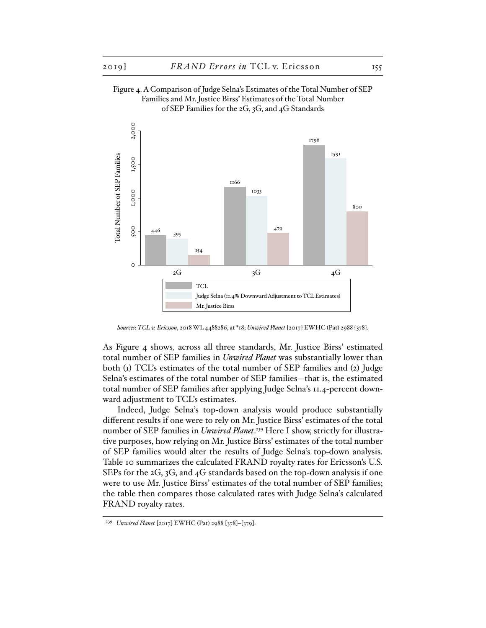



*Sources*: *TCL v. Ericsson*, 2018 WL 4488286, at \*18; *Unwired Planet* [2017] EWHC (Pat) 2988 [378].

As Figure 4 shows, across all three standards, Mr. Justice Birss' estimated total number of SEP families in *Unwired Planet* was substantially lower than both (1) TCL's estimates of the total number of SEP families and (2) Judge Selna's estimates of the total number of SEP families—that is, the estimated total number of SEP families after applying Judge Selna's 11.4-percent downward adjustment to TCL's estimates.

Indeed, Judge Selna's top-down analysis would produce substantially different results if one were to rely on Mr. Justice Birss' estimates of the total number of SEP families in *Unwired Planet*. 239 Here I show, strictly for illustrative purposes, how relying on Mr. Justice Birss' estimates of the total number of SEP families would alter the results of Judge Selna's top-down analysis. Table 10 summarizes the calculated FRAND royalty rates for Ericsson's U.S. SEPs for the 2G, 3G, and 4G standards based on the top-down analysis if one were to use Mr. Justice Birss' estimates of the total number of SEP families; the table then compares those calculated rates with Judge Selna's calculated FRAND royalty rates.

<sup>239</sup> *Unwired Planet* [2017] EWHC (Pat) 2988 [378]–[379].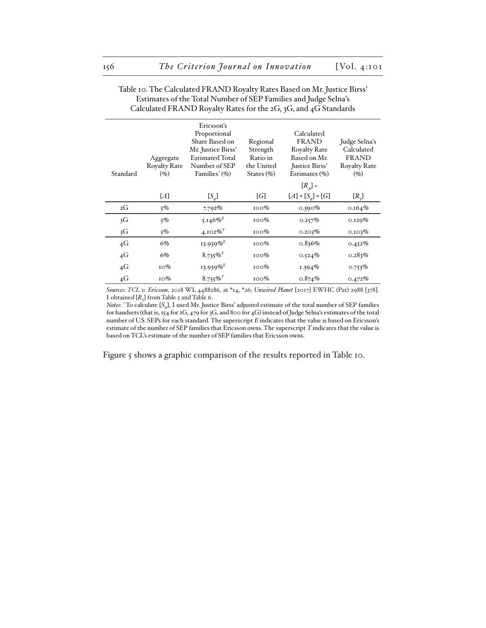| Standard       | Aggregate<br><b>Royalty Rate</b><br>$(\%)$ | Ericsson's<br>Proportional<br>Share Based on<br>Mr. Justice Birss'<br><b>Estimated Total</b><br>Number of SEP<br>Families <sup>*</sup> (%) | Regional<br>Strength<br>Ratio in<br>the United<br>States $(\% )$ | Calculated<br><b>FRAND</b><br><b>Royalty Rate</b><br>Based on Mr.<br>Justice Birss'<br>Estimates (%) | Judge Selna's<br>Calculated<br><b>FRAND</b><br><b>Royalty Rate</b><br>$(\%)$ |
|----------------|--------------------------------------------|--------------------------------------------------------------------------------------------------------------------------------------------|------------------------------------------------------------------|------------------------------------------------------------------------------------------------------|------------------------------------------------------------------------------|
|                |                                            |                                                                                                                                            |                                                                  | $[R_{n}]$ =                                                                                          |                                                                              |
|                | [A]                                        | [S <sub>R</sub> ]                                                                                                                          | [G]                                                              | $[A] \times [S_n] \times [G]$                                                                        | $[R_{\rm s}]$                                                                |
| 2G             | $5\%$                                      | $7.792\%$                                                                                                                                  | $100\%$                                                          | $0.390\%$                                                                                            | $0.164\%$                                                                    |
| 3G             | $5\%$                                      | 5.146%                                                                                                                                     | 100%                                                             | 0.257%                                                                                               | $0.129\%$                                                                    |
| 3 <sub>G</sub> | $5\%$                                      | 4.102% <sup>T</sup>                                                                                                                        | $100\%$                                                          | 0.205%                                                                                               | 0.103%                                                                       |
| 4G             | 6%                                         | $13.939\%$ <sup>E</sup>                                                                                                                    | $100\%$                                                          | 0.836%                                                                                               | $0.452\%$                                                                    |
| 4G             | 6%                                         | $8.735\%$ <sup>T</sup>                                                                                                                     | $100\%$                                                          | $0.524\%$                                                                                            | 0.283%                                                                       |
| 4G             | 10%                                        | 13.939%                                                                                                                                    | $100\%$                                                          | $1.394\%$                                                                                            | $0.753\%$                                                                    |
| 4G             | $10\%$                                     | $8.735\%$ <sup>T</sup>                                                                                                                     | $100\%$                                                          | 0.874%                                                                                               | 0.472%                                                                       |

#### Table 10. The Calculated FRAND Royalty Rates Based on Mr. Justice Birss' Estimates of the Total Number of SEP Families and Judge Selna's Calculated FRAND Royalty Rates for the 2G, 3G, and 4G Standards

*Sources*: *TCL v. Ericsson*, 2018 WL 4488286, at \*14, \*26; *Unwired Planet* [2017] EWHC (Pat) 2988 [378]. I obtained  $[R<sub>s</sub>]$  from Table 5 and Table 6.

*Notes*:  $*$  To calculate [ $S_B$ ], I used Mr. Justice Birss' adjusted estimate of the total number of SEP families for handsets (that is, 154 for 2G, 479 for 3G, and 800 for 4G) instead of Judge Selna's estimates of the total number of U.S. SEPs for each standard. The superscript *E* indicates that the value is based on Ericsson's estimate of the number of SEP families that Ericsson owns. The superscript *T* indicates that the value is based on TCL's estimate of the number of SEP families that Ericsson owns.

Figure 5 shows a graphic comparison of the results reported in Table 10.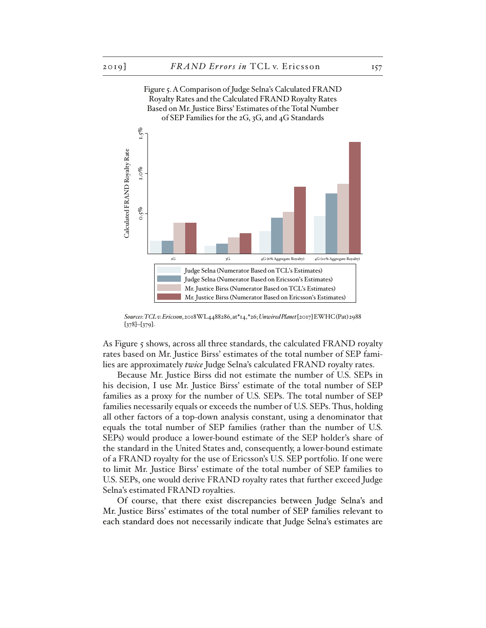Figure 5. A Comparison of Judge Selna's Calculated FRAND



*Sources*: *TCL v. Ericsson*, 2018 WL 4488286, at\*14, \*26; *Unwired Planet* [2017] EWHC (Pat) 2988 [378]–[379].

As Figure 5 shows, across all three standards, the calculated FRAND royalty rates based on Mr. Justice Birss' estimates of the total number of SEP families are approximately *twice* Judge Selna's calculated FRAND royalty rates.

Because Mr. Justice Birss did not estimate the number of U.S. SEPs in his decision, I use Mr. Justice Birss' estimate of the total number of SEP families as a proxy for the number of U.S. SEPs. The total number of SEP families necessarily equals or exceeds the number of U.S. SEPs. Thus, holding all other factors of a top-down analysis constant, using a denominator that equals the total number of SEP families (rather than the number of U.S. SEPs) would produce a lower-bound estimate of the SEP holder's share of the standard in the United States and, consequently, a lower-bound estimate of a FRAND royalty for the use of Ericsson's U.S. SEP portfolio. If one were to limit Mr. Justice Birss' estimate of the total number of SEP families to U.S. SEPs, one would derive FRAND royalty rates that further exceed Judge Selna's estimated FRAND royalties.

Of course, that there exist discrepancies between Judge Selna's and Mr. Justice Birss' estimates of the total number of SEP families relevant to each standard does not necessarily indicate that Judge Selna's estimates are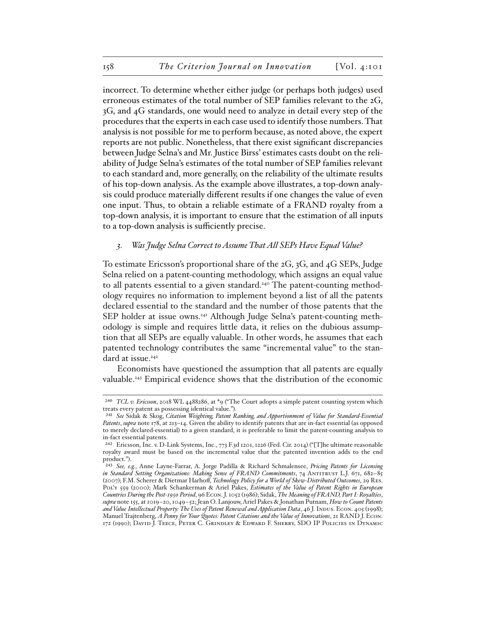incorrect. To determine whether either judge (or perhaps both judges) used erroneous estimates of the total number of SEP families relevant to the 2G, 3G, and 4G standards, one would need to analyze in detail every step of the procedures that the experts in each case used to identify those numbers. That analysis is not possible for me to perform because, as noted above, the expert reports are not public. Nonetheless, that there exist significant discrepancies between Judge Selna's and Mr. Justice Birss' estimates casts doubt on the reliability of Judge Selna's estimates of the total number of SEP families relevant to each standard and, more generally, on the reliability of the ultimate results of his top-down analysis. As the example above illustrates, a top-down analysis could produce materially different results if one changes the value of even one input. Thus, to obtain a reliable estimate of a FRAND royalty from a top-down analysis, it is important to ensure that the estimation of all inputs to a top-down analysis is sufficiently precise.

#### *3. Was Judge Selna Correct to Assume That All SEPs Have Equal Value?*

To estimate Ericsson's proportional share of the 2G, 3G, and 4G SEPs, Judge Selna relied on a patent-counting methodology, which assigns an equal value to all patents essential to a given standard.240 The patent-counting methodology requires no information to implement beyond a list of all the patents declared essential to the standard and the number of those patents that the SEP holder at issue owns.241 Although Judge Selna's patent-counting methodology is simple and requires little data, it relies on the dubious assumption that all SEPs are equally valuable. In other words, he assumes that each patented technology contributes the same "incremental value" to the standard at issue.<sup>242</sup>

Economists have questioned the assumption that all patents are equally valuable.<sup>243</sup> Empirical evidence shows that the distribution of the economic

<sup>240</sup> *TCL v. Ericsson*, 2018 WL 4488286, at \*9 ("The Court adopts a simple patent counting system which treats every patent as possessing identical value.").

<sup>241</sup> *See* Sidak & Skog, *Citation Weighting, Patent Ranking, and Apportionment of Value for Standard-Essential Patents*, *supra* note 178, at 213–14. Given the ability to identify patents that are in-fact essential (as opposed to merely declared-essential) to a given standard, it is preferable to limit the patent-counting analysis to in-fact essential patents.

<sup>242</sup> Ericsson, Inc. v. D-Link Systems, Inc., 773 F.3d 1201, 1226 (Fed. Cir. 2014) ("[T]he ultimate reasonable royalty award must be based on the incremental value that the patented invention adds to the end product.").

<sup>243</sup> *See, e.g.*, Anne Layne-Farrar, A. Jorge Padilla & Richard Schmalensee, *Pricing Patents for Licensing in Standard Setting Organizations: Making Sense of FRAND Commitments*, 74 Antitrust L.J. 671, 682–85 (2007); F.M. Scherer & Dietmar Harhoff, *Technology Policy for a World of Skew-Distributed Outcomes*, 29 Res. Pol'y 559 (2000); Mark Schankerman & Ariel Pakes, *Estimates of the Value of Patent Rights in European Countries During the Post-1950 Period*, 96 Econ. J. 1052 (1986); Sidak, *The Meaning of FRAND, Part I: Royalties*, *supra* note 155, at 1019–20, 1049–52; Jean O. Lanjouw, Ariel Pakes & Jonathan Putnam, *How to Count Patents and Value Intellectual Property: The Uses of Patent Renewal and Application Data*, 46 J. Indus. Econ. 405 (1998); Manuel Trajtenberg, *A Penny for Your Quotes: Patent Citations and the Value of Innovations*, 21 RAND J. Econ. 172 (1990); David J. Teece, Peter C. Grindley & Edward F. Sherry, SDO IP Policies in Dynamic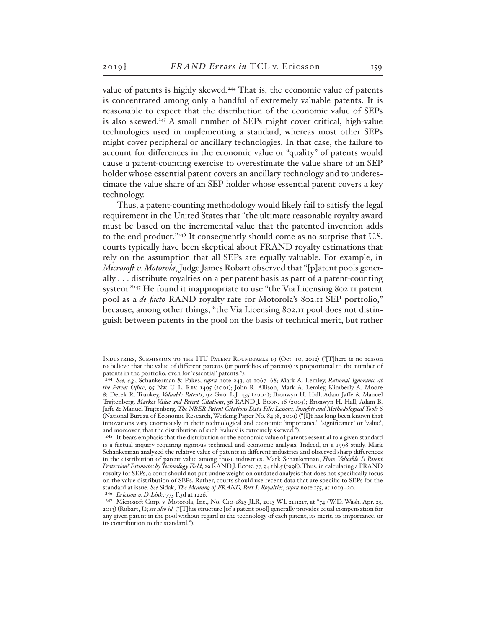value of patents is highly skewed.244 That is, the economic value of patents is concentrated among only a handful of extremely valuable patents. It is reasonable to expect that the distribution of the economic value of SEPs is also skewed.<sup>245</sup> A small number of SEPs might cover critical, high-value technologies used in implementing a standard, whereas most other SEPs might cover peripheral or ancillary technologies. In that case, the failure to account for differences in the economic value or "quality" of patents would cause a patent-counting exercise to overestimate the value share of an SEP holder whose essential patent covers an ancillary technology and to underestimate the value share of an SEP holder whose essential patent covers a key technology.

Thus, a patent-counting methodology would likely fail to satisfy the legal requirement in the United States that "the ultimate reasonable royalty award must be based on the incremental value that the patented invention adds to the end product."246 It consequently should come as no surprise that U.S. courts typically have been skeptical about FRAND royalty estimations that rely on the assumption that all SEPs are equally valuable. For example, in *Microsoft v. Motorola*, Judge James Robart observed that "[p]atent pools generally . . . distribute royalties on a per patent basis as part of a patent-counting system."<sup>247</sup> He found it inappropriate to use "the Via Licensing 802.11 patent pool as a *de facto* RAND royalty rate for Motorola's 802.11 SEP portfolio," because, among other things, "the Via Licensing 802.11 pool does not distinguish between patents in the pool on the basis of technical merit, but rather

INDUSTRIES, SUBMISSION TO THE ITU PATENT ROUNDTABLE 19 (Oct. 10, 2012) ("[T]here is no reason to believe that the value of different patents (or portfolios of patents) is proportional to the number of patents in the portfolio, even for 'essential' patents.").

<sup>244</sup> *See, e.g.*, Schankerman & Pakes, *supra* note 243, at 1067–68; Mark A. Lemley, *Rational Ignorance at the Patent Office*, 95 Nw. U. L. Rev. 1495 (2001); John R. Allison, Mark A. Lemley, Kimberly A. Moore & Derek R. Trunkey, *Valuable Patents*, 92 Geo. L.J. 435 (2004); Bronwyn H. Hall, Adam Jaffe & Manuel Trajtenberg, *Market Value and Patent Citations*, 36 RAND J. Econ. 16 (2005); Bronwyn H. Hall, Adam B. Jaffe & Manuel Trajtenberg, *The NBER Patent Citations Data File: Lessons, Insights and Methodological Tools* 6 (National Bureau of Economic Research, Working Paper No. 8498, 2001) ("[I]t has long been known that innovations vary enormously in their technological and economic 'importance', 'significance' or 'value', and moreover, that the distribution of such 'values' is extremely skewed.").

<sup>245</sup> It bears emphasis that the distribution of the economic value of patents essential to a given standard is a factual inquiry requiring rigorous technical and economic analysis. Indeed, in a 1998 study, Mark Schankerman analyzed the relative value of patents in different industries and observed sharp differences in the distribution of patent value among those industries. Mark Schankerman, *How Valuable Is Patent Protection? Estimates by Technology Field*, 29 RAND J. Econ. 77, 94 tbl.5 (1998). Thus, in calculating a FRAND royalty for SEPs, a court should not put undue weight on outdated analysis that does not specifically focus on the value distribution of SEPs. Rather, courts should use recent data that are specific to SEPs for the standard at issue. *See* Sidak, *The Meaning of FRAND, Part I: Royalties*, *supra* note 155, at 1019–20. 246 *Ericsson v. D-Link*, 773 F.3d at 1226.

<sup>247</sup> Microsoft Corp. v. Motorola, Inc., No. C10-1823-JLR, 2013 WL 2111217, at \*74 (W.D. Wash. Apr. 25, 2013) (Robart, J.); *see also id.* ("[T]his structure [of a patent pool] generally provides equal compensation for any given patent in the pool without regard to the technology of each patent, its merit, its importance, or its contribution to the standard.").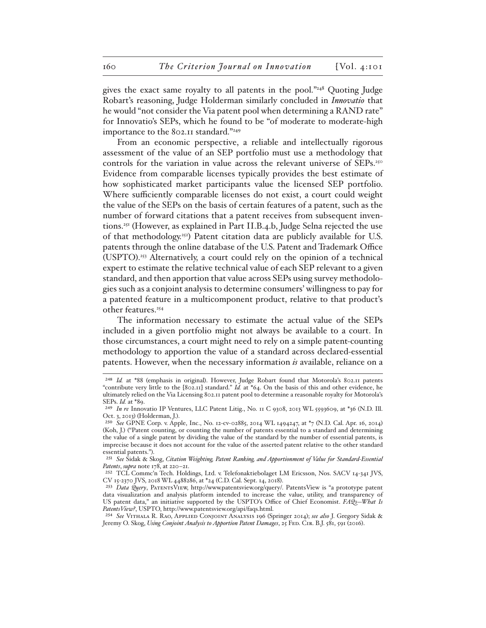gives the exact same royalty to all patents in the pool."248 Quoting Judge Robart's reasoning, Judge Holderman similarly concluded in *Innovatio* that he would "not consider the Via patent pool when determining a RAND rate" for Innovatio's SEPs, which he found to be "of moderate to moderate-high importance to the 802.11 standard."249

From an economic perspective, a reliable and intellectually rigorous assessment of the value of an SEP portfolio must use a methodology that controls for the variation in value across the relevant universe of SEPs.<sup>250</sup> Evidence from comparable licenses typically provides the best estimate of how sophisticated market participants value the licensed SEP portfolio. Where sufficiently comparable licenses do not exist, a court could weight the value of the SEPs on the basis of certain features of a patent, such as the number of forward citations that a patent receives from subsequent inventions.251 (However, as explained in Part II.B.4.b, Judge Selna rejected the use of that methodology.<sup>252</sup>) Patent citation data are publicly available for U.S. patents through the online database of the U.S. Patent and Trademark Office (USPTO).253 Alternatively, a court could rely on the opinion of a technical expert to estimate the relative technical value of each SEP relevant to a given standard, and then apportion that value across SEPs using survey methodologies such as a conjoint analysis to determine consumers' willingness to pay for a patented feature in a multicomponent product, relative to that product's other features.<sup>254</sup>

The information necessary to estimate the actual value of the SEPs included in a given portfolio might not always be available to a court. In those circumstances, a court might need to rely on a simple patent-counting methodology to apportion the value of a standard across declared-essential patents. However, when the necessary information *is* available, reliance on a

<sup>248</sup> *Id.* at \*88 (emphasis in original). However, Judge Robart found that Motorola's 802.11 patents "contribute very little to the [802.11] standard." *Id.* at \*64. On the basis of this and other evidence, he ultimately relied on the Via Licensing 802.11 patent pool to determine a reasonable royalty for Motorola's SEPs. *Id.* at \*89.

<sup>249</sup> *In re* Innovatio IP Ventures, LLC Patent Litig., No. 11 C 9308, 2013 WL 5593609, at \*36 (N.D. Ill. Oct. 3, 2013) (Holderman, J.).

<sup>250</sup> *See* GPNE Corp. v. Apple, Inc., No. 12-cv-02885, 2014 WL 1494247, at \*7 (N.D. Cal. Apr. 16, 2014) (Koh, J.) ("Patent counting, or counting the number of patents essential to a standard and determining the value of a single patent by dividing the value of the standard by the number of essential patents, is imprecise because it does not account for the value of the asserted patent relative to the other standard essential patents.").

<sup>251</sup> *See* Sidak & Skog, *Citation Weighting, Patent Ranking, and Apportionment of Value for Standard-Essential Patents*, *supra* note 178, at 220–21.

<sup>252</sup> TCL Commc'n Tech. Holdings, Ltd. v. Telefonaktiebolaget LM Ericsson, Nos. SACV 14-341 JVS, CV 15-2370 JVS, 2018 WL 4488286, at \*24 (C.D. Cal. Sept. 14, 2018).

<sup>253</sup> *Data Query*, PatentsView, http://www.patentsview.org/query/. PatentsView is "a prototype patent data visualization and analysis platform intended to increase the value, utility, and transparency of US patent data," an initiative supported by the USPTO's Office of Chief Economist. *FAQs—What Is PatentsView?*, USPTO, http://www.patentsview.org/api/faqs.html.

<sup>254</sup> *See* Vithala R. Rao, Applied Conjoint Analysis 196 (Springer 2014); *see also* J. Gregory Sidak & Jeremy O. Skog, *Using Conjoint Analysis to Apportion Patent Damages*, 25 FED. CIR. B.J. 581, 591 (2016).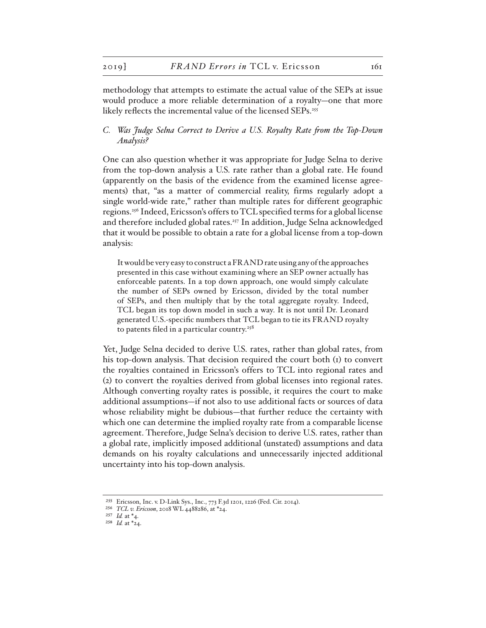methodology that attempts to estimate the actual value of the SEPs at issue would produce a more reliable determination of a royalty—one that more likely reflects the incremental value of the licensed SEPs.<sup>255</sup>

## *C. Was Judge Selna Correct to Derive a U.S. Royalty Rate from the Top-Down Analysis?*

One can also question whether it was appropriate for Judge Selna to derive from the top-down analysis a U.S. rate rather than a global rate. He found (apparently on the basis of the evidence from the examined license agreements) that, "as a matter of commercial reality, firms regularly adopt a single world-wide rate," rather than multiple rates for different geographic regions.256 Indeed, Ericsson's offers to TCL specified terms for a global license and therefore included global rates.<sup>257</sup> In addition, Judge Selna acknowledged that it would be possible to obtain a rate for a global license from a top-down analysis:

It would be very easy to construct a FRAND rate using any of the approaches presented in this case without examining where an SEP owner actually has enforceable patents. In a top down approach, one would simply calculate the number of SEPs owned by Ericsson, divided by the total number of SEPs, and then multiply that by the total aggregate royalty. Indeed, TCL began its top down model in such a way. It is not until Dr. Leonard generated U.S.-specific numbers that TCL began to tie its FRAND royalty to patents filed in a particular country. $258$ 

Yet, Judge Selna decided to derive U.S. rates, rather than global rates, from his top-down analysis. That decision required the court both (1) to convert the royalties contained in Ericsson's offers to TCL into regional rates and (2) to convert the royalties derived from global licenses into regional rates. Although converting royalty rates is possible, it requires the court to make additional assumptions—if not also to use additional facts or sources of data whose reliability might be dubious—that further reduce the certainty with which one can determine the implied royalty rate from a comparable license agreement. Therefore, Judge Selna's decision to derive U.S. rates, rather than a global rate, implicitly imposed additional (unstated) assumptions and data demands on his royalty calculations and unnecessarily injected additional uncertainty into his top-down analysis.

<sup>255</sup> Ericsson, Inc. v. D-Link Sys., Inc., 773 F.3d 1201, 1226 (Fed. Cir. 2014).

<sup>256</sup> *TCL v. Ericsson*, 2018 WL 4488286, at \*24.

<sup>257</sup> *Id.* at \*4.

<sup>258</sup> *Id.* at \*24.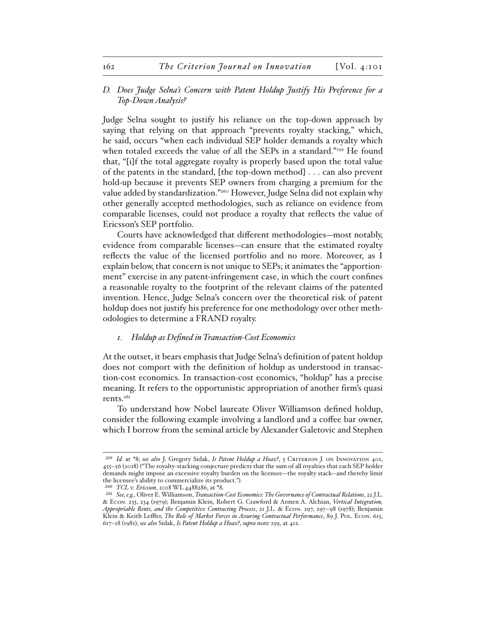# *D. Does Judge Selna's Concern with Patent Holdup Justify His Preference for a Top-Down Analysis?*

Judge Selna sought to justify his reliance on the top-down approach by saying that relying on that approach "prevents royalty stacking," which, he said, occurs "when each individual SEP holder demands a royalty which when totaled exceeds the value of all the SEPs in a standard."259 He found that, "[i]f the total aggregate royalty is properly based upon the total value of the patents in the standard, [the top-down method] . . . can also prevent hold-up because it prevents SEP owners from charging a premium for the value added by standardization."<sup>260</sup> However, Judge Selna did not explain why other generally accepted methodologies, such as reliance on evidence from comparable licenses, could not produce a royalty that reflects the value of Ericsson's SEP portfolio.

Courts have acknowledged that different methodologies—most notably, evidence from comparable licenses—can ensure that the estimated royalty reflects the value of the licensed portfolio and no more. Moreover, as I explain below, that concern is not unique to SEPs; it animates the "apportionment" exercise in any patent-infringement case, in which the court confines a reasonable royalty to the footprint of the relevant claims of the patented invention. Hence, Judge Selna's concern over the theoretical risk of patent holdup does not justify his preference for one methodology over other methodologies to determine a FRAND royalty.

#### *1. Holdup as Defined in Transaction-Cost Economics*

At the outset, it bears emphasis that Judge Selna's definition of patent holdup does not comport with the definition of holdup as understood in transaction-cost economics. In transaction-cost economics, "holdup" has a precise meaning. It refers to the opportunistic appropriation of another firm's quasi rents.261

To understand how Nobel laureate Oliver Williamson defined holdup, consider the following example involving a landlord and a coffee bar owner, which I borrow from the seminal article by Alexander Galetovic and Stephen

<sup>259</sup> *Id.* at \*8; *see also* J. Gregory Sidak, *Is Patent Holdup a Hoax?*, 3 Criterion J. on Innovation 401, 455–56 (2018) ("The royalty-stacking conjecture predicts that the sum of all royalties that each SEP holder demands might impose an excessive royalty burden on the licensee—the royalty stack—and thereby limit the licensee's ability to commercialize its product.").

<sup>260</sup> *TCL v. Ericsson*, 2018 WL 4488286, at \*8.

<sup>261</sup> *See, e.g.*, Oliver E. Williamson, *Transaction-Cost Economics: The Governance of Contractual Relations*, 22 J.L. & Econ. 233, 234 (1979); Benjamin Klein, Robert G. Crawford & Armen A. Alchian, *Vertical Integration, Appropriable Rents, and the Competitive Contracting Process*, 21 J.L. & Econ. 297, 297–98 (1978); Benjamin Klein & Keith Leffler, *The Role of Market Forces in Assuring Contractual Performance*, 89 J. Pol. Econ. 615, 617–18 (1981); *see also* Sidak, *Is Patent Holdup a Hoax?*, *supra* note 259, at 412.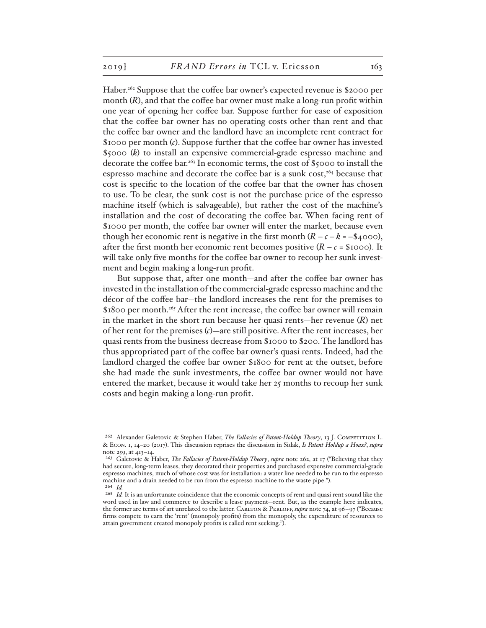Haber.<sup>262</sup> Suppose that the coffee bar owner's expected revenue is \$2000 per month (*R*), and that the coffee bar owner must make a long-run profit within one year of opening her coffee bar. Suppose further for ease of exposition that the coffee bar owner has no operating costs other than rent and that the coffee bar owner and the landlord have an incomplete rent contract for \$1000 per month (*c*). Suppose further that the coffee bar owner has invested \$5000 (*k*) to install an expensive commercial-grade espresso machine and decorate the coffee bar.<sup>263</sup> In economic terms, the cost of \$5000 to install the espresso machine and decorate the coffee bar is a sunk  $cost<sub>1</sub><sup>264</sup>$  because that cost is specific to the location of the coffee bar that the owner has chosen to use. To be clear, the sunk cost is not the purchase price of the espresso machine itself (which is salvageable), but rather the cost of the machine's installation and the cost of decorating the coffee bar. When facing rent of \$1000 per month, the coffee bar owner will enter the market, because even though her economic rent is negative in the first month  $(R - c - k = -\$4000)$ , after the first month her economic rent becomes positive  $(R - c = $1000)$ . It will take only five months for the coffee bar owner to recoup her sunk investment and begin making a long-run profit.

But suppose that, after one month—and after the coffee bar owner has invested in the installation of the commercial-grade espresso machine and the décor of the coffee bar—the landlord increases the rent for the premises to \$1800 per month.<sup>265</sup> After the rent increase, the coffee bar owner will remain in the market in the short run because her quasi rents—her revenue (*R*) net of her rent for the premises (*c*)—are still positive. After the rent increases, her quasi rents from the business decrease from \$1000 to \$200. The landlord has thus appropriated part of the coffee bar owner's quasi rents. Indeed, had the landlord charged the coffee bar owner \$1800 for rent at the outset, before she had made the sunk investments, the coffee bar owner would not have entered the market, because it would take her 25 months to recoup her sunk costs and begin making a long-run profit.

<sup>262</sup> Alexander Galetovic & Stephen Haber, *The Fallacies of Patent-Holdup Theory*, 13 J. Competition L. & Econ. 1, 14–20 (2017). This discussion reprises the discussion in Sidak, *Is Patent Holdup a Hoax?*, *supra* note 259, at 413–14.

<sup>263</sup> Galetovic & Haber, *The Fallacies of Patent-Holdup Theory*, *supra* note 262, at 17 ("Believing that they had secure, long-term leases, they decorated their properties and purchased expensive commercial-grade espresso machines, much of whose cost was for installation: a water line needed to be run to the espresso machine and a drain needed to be run from the espresso machine to the waste pipe."). 264 *Id.*

<sup>&</sup>lt;sup>265</sup> *Id.* It is an unfortunate coincidence that the economic concepts of rent and quasi rent sound like the word used in law and commerce to describe a lease payment—rent. But, as the example here indicates, the former are terms of art unrelated to the latter. CARLTON & PERLOFF, *supra* note 74, at 96-97 ("Because firms compete to earn the 'rent' (monopoly profits) from the monopoly, the expenditure of resources to attain government created monopoly profits is called rent seeking.").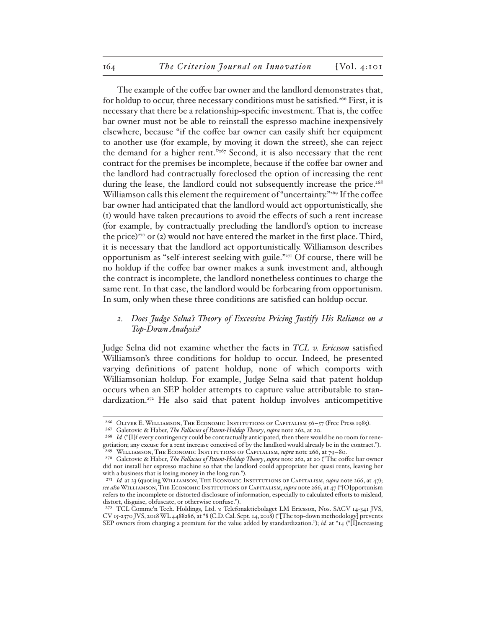The example of the coffee bar owner and the landlord demonstrates that, for holdup to occur, three necessary conditions must be satisfied.<sup>266</sup> First, it is necessary that there be a relationship-specific investment. That is, the coffee bar owner must not be able to reinstall the espresso machine inexpensively elsewhere, because "if the coffee bar owner can easily shift her equipment to another use (for example, by moving it down the street), she can reject the demand for a higher rent."<sup>267</sup> Second, it is also necessary that the rent contract for the premises be incomplete, because if the coffee bar owner and the landlord had contractually foreclosed the option of increasing the rent during the lease, the landlord could not subsequently increase the price.<sup>268</sup> Williamson calls this element the requirement of "uncertainty."<sup>269</sup> If the coffee bar owner had anticipated that the landlord would act opportunistically, she (1) would have taken precautions to avoid the effects of such a rent increase (for example, by contractually precluding the landlord's option to increase the price)<sup>270</sup> or (2) would not have entered the market in the first place. Third, it is necessary that the landlord act opportunistically. Williamson describes opportunism as "self-interest seeking with guile."271 Of course, there will be no holdup if the coffee bar owner makes a sunk investment and, although the contract is incomplete, the landlord nonetheless continues to charge the same rent. In that case, the landlord would be forbearing from opportunism. In sum, only when these three conditions are satisfied can holdup occur.

# *2. Does Judge Selna's Theory of Excessive Pricing Justify His Reliance on a Top-Down Analysis?*

Judge Selna did not examine whether the facts in *TCL v. Ericsson* satisfied Williamson's three conditions for holdup to occur. Indeed, he presented varying definitions of patent holdup, none of which comports with Williamsonian holdup. For example, Judge Selna said that patent holdup occurs when an SEP holder attempts to capture value attributable to standardization.<sup>272</sup> He also said that patent holdup involves anticompetitive

<sup>266</sup> Oliver E. Williamson, The Economic Institutions of Capitalism 56–57 (Free Press 1985).

<sup>267</sup> Galetovic & Haber, *The Fallacies of Patent-Holdup Theory*, *supra* note 262, at 20.

<sup>268</sup> *Id.* ("[I]f every contingency could be contractually anticipated, then there would be no room for renegotiation; any excuse for a rent increase conceived of by the landlord would already be in the contract."). 269 Williamson, The Economic Institutions of Capitalism, *supra* note 266, at 79–80.

<sup>270</sup> Galetovic & Haber, *The Fallacies of Patent-Holdup Theory*, *supra* note 262, at 20 ("The coffee bar owner did not install her espresso machine so that the landlord could appropriate her quasi rents, leaving her with a business that is losing money in the long run.").

<sup>&</sup>lt;sup>271</sup> *Id.* at 23 (quoting WILLIAMSON, THE ECONOMIC INSTITUTIONS OF CAPITALISM, *supra* note 266, at 47); *see also*Williamson, The Economic Institutions of Capitalism, *supra* note 266, at 47 ("[O]pportunism refers to the incomplete or distorted disclosure of information, especially to calculated efforts to mislead, distort, disguise, obfuscate, or otherwise confuse.").

<sup>272</sup> TCL Commc'n Tech. Holdings, Ltd. v. Telefonaktiebolaget LM Ericsson, Nos. SACV 14-341 JVS, CV 15-2370 JVS, 2018 WL 4488286, at \*8 (C.D. Cal. Sept. 14, 2018) ("[The top-down methodology] prevents SEP owners from charging a premium for the value added by standardization."); *id.* at \*14 ("[I]ncreasing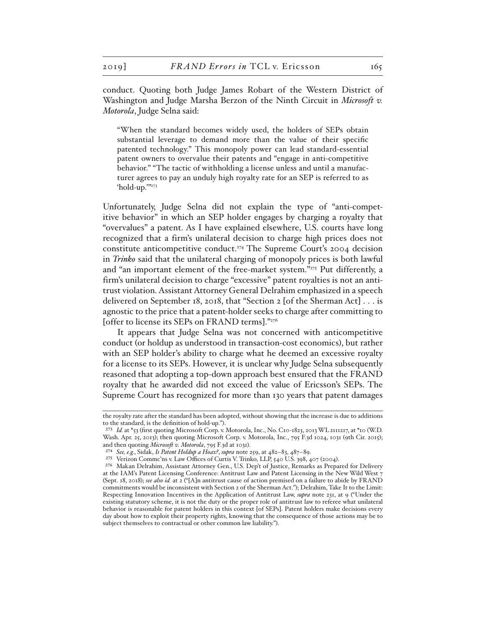conduct. Quoting both Judge James Robart of the Western District of Washington and Judge Marsha Berzon of the Ninth Circuit in *Microsoft v. Motorola*, Judge Selna said:

"When the standard becomes widely used, the holders of SEPs obtain substantial leverage to demand more than the value of their specific patented technology." This monopoly power can lead standard-essential patent owners to overvalue their patents and "engage in anti-competitive behavior." "The tactic of withholding a license unless and until a manufacturer agrees to pay an unduly high royalty rate for an SEP is referred to as 'hold-up.'"273

Unfortunately, Judge Selna did not explain the type of "anti-competitive behavior" in which an SEP holder engages by charging a royalty that "overvalues" a patent. As I have explained elsewhere, U.S. courts have long recognized that a firm's unilateral decision to charge high prices does not constitute anticompetitive conduct.274 The Supreme Court's 2004 decision in *Trinko* said that the unilateral charging of monopoly prices is both lawful and "an important element of the free-market system."275 Put differently, a firm's unilateral decision to charge "excessive" patent royalties is not an antitrust violation. Assistant Attorney General Delrahim emphasized in a speech delivered on September 18, 2018, that "Section 2 [of the Sherman Act] . . . is agnostic to the price that a patent-holder seeks to charge after committing to [offer to license its SEPs on FRAND terms]."276

It appears that Judge Selna was not concerned with anticompetitive conduct (or holdup as understood in transaction-cost economics), but rather with an SEP holder's ability to charge what he deemed an excessive royalty for a license to its SEPs. However, it is unclear why Judge Selna subsequently reasoned that adopting a top-down approach best ensured that the FRAND royalty that he awarded did not exceed the value of Ericsson's SEPs. The Supreme Court has recognized for more than 130 years that patent damages

the royalty rate after the standard has been adopted, without showing that the increase is due to additions to the standard, is the definition of hold-up.").

<sup>273</sup> *Id.* at \*53 (first quoting Microsoft Corp. v. Motorola, Inc., No. C10-1823, 2013 WL 2111217, at \*10 (W.D. Wash. Apr. 25, 2013); then quoting Microsoft Corp. v. Motorola, Inc., 795 F.3d 1024, 1031 (9th Cir. 2015); and then quoting *Microsoft v. Motorola*, 795 F.3d at 1031).

<sup>274</sup> *See, e.g.*, Sidak, *Is Patent Holdup a Hoax?*, *supra* note 259, at 482–83, 487–89.

<sup>275</sup> Verizon Commc'ns v. Law Offices of Curtis V. Trinko, LLP, 540 U.S. 398, 407 (2004).

<sup>276</sup> Makan Delrahim, Assistant Attorney Gen., U.S. Dep't of Justice, Remarks as Prepared for Delivery at the IAM's Patent Licensing Conference: Antitrust Law and Patent Licensing in the New Wild West 7 (Sept. 18, 2018); *see also id.* at 2 ("[A]n antitrust cause of action premised on a failure to abide by FRAND commitments would be inconsistent with Section 2 of the Sherman Act."); Delrahim, Take It to the Limit: Respecting Innovation Incentives in the Application of Antitrust Law, *supra* note 231, at 9 ("Under the existing statutory scheme, it is not the duty or the proper role of antitrust law to referee what unilateral behavior is reasonable for patent holders in this context [of SEPs]. Patent holders make decisions every day about how to exploit their property rights, knowing that the consequence of those actions may be to subject themselves to contractual or other common law liability.").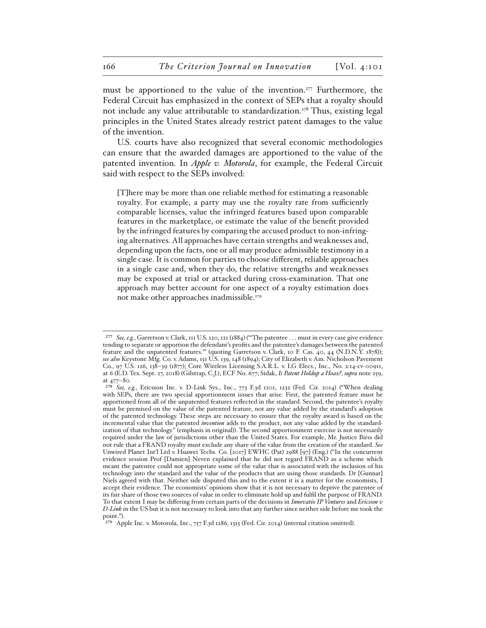must be apportioned to the value of the invention.277 Furthermore, the Federal Circuit has emphasized in the context of SEPs that a royalty should not include any value attributable to standardization.<sup>278</sup> Thus, existing legal principles in the United States already restrict patent damages to the value of the invention.

U.S. courts have also recognized that several economic methodologies can ensure that the awarded damages are apportioned to the value of the patented invention. In *Apple v. Motorola*, for example, the Federal Circuit said with respect to the SEPs involved:

[T]here may be more than one reliable method for estimating a reasonable royalty. For example, a party may use the royalty rate from sufficiently comparable licenses, value the infringed features based upon comparable features in the marketplace, or estimate the value of the benefit provided by the infringed features by comparing the accused product to non-infringing alternatives. All approaches have certain strengths and weaknesses and, depending upon the facts, one or all may produce admissible testimony in a single case. It is common for parties to choose different, reliable approaches in a single case and, when they do, the relative strengths and weaknesses may be exposed at trial or attacked during cross-examination. That one approach may better account for one aspect of a royalty estimation does not make other approaches inadmissible.<sup>279</sup>

<sup>277</sup> *See, e.g.*, Garretson v. Clark, 111 U.S. 120, 121 (1884) ("'The patentee . . . must in every case give evidence tending to separate or apportion the defendant's profits and the patentee's damages between the patented feature and the unpatented features.'" (quoting Garretson v. Clark, 10 F. Cas. 40, 44 (N.D.N.Y. 1878)); *see also* Keystone Mfg. Co. v. Adams, 151 U.S. 139, 148 (1894); City of Elizabeth v. Am. Nicholson Pavement Co., 97 U.S. 126, 138–39 (1877); Core Wireless Licensing S.A.R.L. v. LG Elecs., Inc., No. 2:14-cv-00911, at 6 (E.D. Tex. Sept. 27, 2018) (Gilstrap, C.J.), ECF No. 677; Sidak, *Is Patent Holdup a Hoax?*, *supra* note 259, at 477–80.

<sup>278</sup> *See, e.g.*, Ericsson Inc. v. D-Link Sys., Inc., 773 F.3d 1201, 1232 (Fed. Cir. 2014) ("When dealing with SEPs, there are two special apportionment issues that arise. First, the patented feature must be apportioned from all of the unpatented features reflected in the standard. Second, the patentee's royalty must be premised on the value of the patented feature, not any value added by the standard's adoption of the patented technology. These steps are necessary to ensure that the royalty award is based on the incremental value that the patented *invention* adds to the product, not any value added by the standardization of that technology." (emphasis in original)). The second apportionment exercise is not necessarily required under the law of jurisdictions other than the United States. For example, Mr. Justice Birss did not rule that a FRAND royalty must exclude any share of the value from the creation of the standard. *See* Unwired Planet Int'l Ltd v. Huawei Techs. Co. [2017] EWHC (Pat) 2988 [97] (Eng.) ("In the concurrent evidence session Prof [Damien] Neven explained that he did not regard FRAND as a scheme which meant the patentee could not appropriate some of the value that is associated with the inclusion of his technology into the standard and the value of the products that are using those standards. Dr [Gunnar] Niels agreed with that. Neither side disputed this and to the extent it is a matter for the economists, I accept their evidence. The economists' opinions show that it is not necessary to deprive the patentee of its fair share of those two sources of value in order to eliminate hold up and fulfil the purpose of FRAND. To that extent I may be differing from certain parts of the decisions in *Innovatio IP Ventures* and *Ericsson v D-Link* in the US but it is not necessary to look into that any further since neither side before me took the point.").

<sup>279</sup> Apple Inc. v. Motorola, Inc., 757 F.3d 1286, 1315 (Fed. Cir. 2014) (internal citation omitted).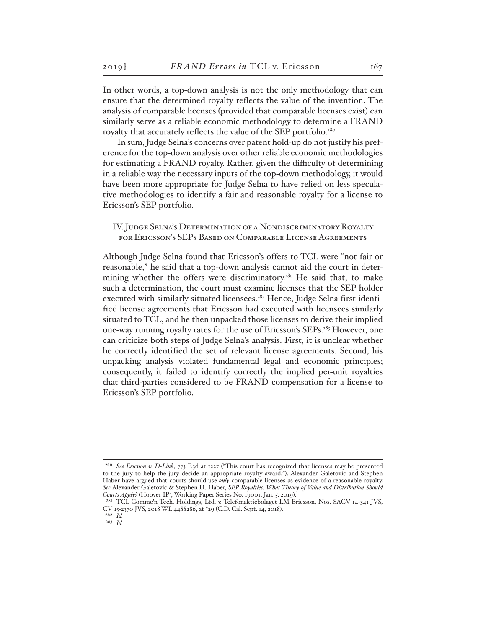In other words, a top-down analysis is not the only methodology that can ensure that the determined royalty reflects the value of the invention. The analysis of comparable licenses (provided that comparable licenses exist) can similarly serve as a reliable economic methodology to determine a FRAND royalty that accurately reflects the value of the SEP portfolio.<sup>280</sup>

In sum, Judge Selna's concerns over patent hold-up do not justify his preference for the top-down analysis over other reliable economic methodologies for estimating a FRAND royalty. Rather, given the difficulty of determining in a reliable way the necessary inputs of the top-down methodology, it would have been more appropriate for Judge Selna to have relied on less speculative methodologies to identify a fair and reasonable royalty for a license to Ericsson's SEP portfolio.

## IV. Judge Selna's Determination of a Nondiscriminatory Royalty for Ericsson's SEPs Based on Comparable License Agreements

Although Judge Selna found that Ericsson's offers to TCL were "not fair or reasonable," he said that a top-down analysis cannot aid the court in determining whether the offers were discriminatory.<sup>281</sup> He said that, to make such a determination, the court must examine licenses that the SEP holder executed with similarly situated licensees.<sup>282</sup> Hence, Judge Selna first identified license agreements that Ericsson had executed with licensees similarly situated to TCL, and he then unpacked those licenses to derive their implied one-way running royalty rates for the use of Ericsson's SEPs.283 However, one can criticize both steps of Judge Selna's analysis. First, it is unclear whether he correctly identified the set of relevant license agreements. Second, his unpacking analysis violated fundamental legal and economic principles; consequently, it failed to identify correctly the implied per-unit royalties that third-parties considered to be FRAND compensation for a license to Ericsson's SEP portfolio.

<sup>280</sup> *See Ericsson v. D-Link*, 773 F.3d at 1227 ("This court has recognized that licenses may be presented to the jury to help the jury decide an appropriate royalty award."). Alexander Galetovic and Stephen Haber have argued that courts should use *only* comparable licenses as evidence of a reasonable royalty. *See* Alexander Galetovic & Stephen H. Haber, *SEP Royalties: What Theory of Value and Distribution Should*  Courts Apply? (Hoover IP<sup>2</sup>, Working Paper Series No. 19001, Jan. 5. 2019).

<sup>&</sup>lt;sup>281</sup> TCL Commc'n Tech. Holdings, Ltd. v. Telefonaktiebolaget LM Ericsson, Nos. SACV 14-341 JVS, CV 15-2370 JVS, 2018 WL 4488286, at \*29 (C.D. Cal. Sept. 14, 2018).

<sup>282</sup> *Id.*

<sup>283</sup> *Id.*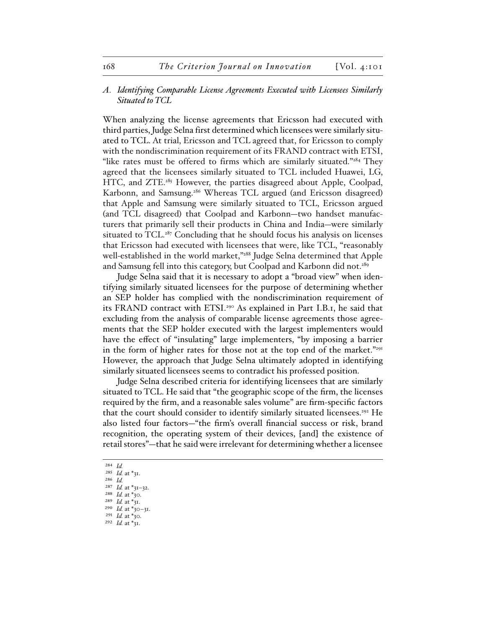## *A. Identifying Comparable License Agreements Executed with Licensees Similarly Situated to TCL*

When analyzing the license agreements that Ericsson had executed with third parties, Judge Selna first determined which licensees were similarly situated to TCL. At trial, Ericsson and TCL agreed that, for Ericsson to comply with the nondiscrimination requirement of its FRAND contract with ETSI, "like rates must be offered to firms which are similarly situated."<sup>284</sup> They agreed that the licensees similarly situated to TCL included Huawei, LG, HTC, and ZTE.<sup>285</sup> However, the parties disagreed about Apple, Coolpad, Karbonn, and Samsung.<sup>286</sup> Whereas TCL argued (and Ericsson disagreed) that Apple and Samsung were similarly situated to TCL, Ericsson argued (and TCL disagreed) that Coolpad and Karbonn—two handset manufacturers that primarily sell their products in China and India—were similarly situated to TCL.<sup>287</sup> Concluding that he should focus his analysis on licenses that Ericsson had executed with licensees that were, like TCL, "reasonably well-established in the world market,"<sup>288</sup> Judge Selna determined that Apple and Samsung fell into this category, but Coolpad and Karbonn did not.<sup>289</sup>

Judge Selna said that it is necessary to adopt a "broad view" when identifying similarly situated licensees for the purpose of determining whether an SEP holder has complied with the nondiscrimination requirement of its FRAND contract with ETSI.<sup>290</sup> As explained in Part I.B.I, he said that excluding from the analysis of comparable license agreements those agreements that the SEP holder executed with the largest implementers would have the effect of "insulating" large implementers, "by imposing a barrier in the form of higher rates for those not at the top end of the market."291 However, the approach that Judge Selna ultimately adopted in identifying similarly situated licensees seems to contradict his professed position.

Judge Selna described criteria for identifying licensees that are similarly situated to TCL. He said that "the geographic scope of the firm, the licenses required by the firm, and a reasonable sales volume" are firm-specific factors that the court should consider to identify similarly situated licensees.<sup>292</sup> He also listed four factors—"the firm's overall financial success or risk, brand recognition, the operating system of their devices, [and] the existence of retail stores"—that he said were irrelevant for determining whether a licensee

- 284 *Id.*
- 285 *Id.* at \*31.
- 286 *Id.*
- 287 *Id.* at \*31–32.
- 288 *Id.* at \*30.
- 289 *Id.* at \*31.
- 290 *Id.* at \*30–31. 291 *Id.* at \*30.
- 292 *Id.* at \*31.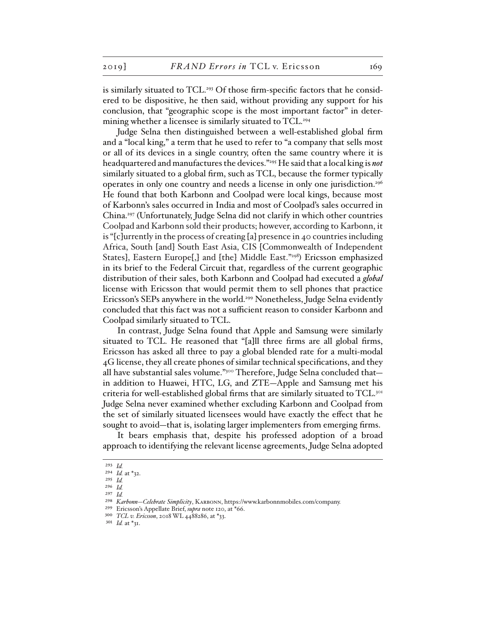is similarly situated to TCL.<sup>293</sup> Of those firm-specific factors that he considered to be dispositive, he then said, without providing any support for his conclusion, that "geographic scope is the most important factor" in determining whether a licensee is similarly situated to TCL.<sup>294</sup>

Judge Selna then distinguished between a well-established global firm and a "local king," a term that he used to refer to "a company that sells most or all of its devices in a single country, often the same country where it is headquartered and manufactures the devices."295 He said that a local king is *not* similarly situated to a global firm, such as TCL, because the former typically operates in only one country and needs a license in only one jurisdiction.<sup>296</sup> He found that both Karbonn and Coolpad were local kings, because most of Karbonn's sales occurred in India and most of Coolpad's sales occurred in China.297 (Unfortunately, Judge Selna did not clarify in which other countries Coolpad and Karbonn sold their products; however, according to Karbonn, it is "[c]urrently in the process of creating [a] presence in 40 countries including Africa, South [and] South East Asia, CIS [Commonwealth of Independent States], Eastern Europe[,] and [the] Middle East."298) Ericsson emphasized in its brief to the Federal Circuit that, regardless of the current geographic distribution of their sales, both Karbonn and Coolpad had executed a *global* license with Ericsson that would permit them to sell phones that practice Ericsson's SEPs anywhere in the world.299 Nonetheless, Judge Selna evidently concluded that this fact was not a sufficient reason to consider Karbonn and Coolpad similarly situated to TCL.

In contrast, Judge Selna found that Apple and Samsung were similarly situated to TCL. He reasoned that "[a]ll three firms are all global firms, Ericsson has asked all three to pay a global blended rate for a multi-modal 4G license, they all create phones of similar technical specifications, and they all have substantial sales volume."<sup>300</sup> Therefore, Judge Selna concluded thatin addition to Huawei, HTC, LG, and ZTE—Apple and Samsung met his criteria for well-established global firms that are similarly situated to TCL.301 Judge Selna never examined whether excluding Karbonn and Coolpad from the set of similarly situated licensees would have exactly the effect that he sought to avoid—that is, isolating larger implementers from emerging firms.

It bears emphasis that, despite his professed adoption of a broad approach to identifying the relevant license agreements, Judge Selna adopted

<sup>293</sup> *Id.*

<sup>294</sup> *Id.* at \*32.

<sup>295</sup> *Id.* 296 *Id.*

<sup>297</sup> *Id.*

<sup>298</sup> *Karbonn—Celebrate Simplicity*, Karbonn, https://www.karbonnmobiles.com/company.

<sup>299</sup> Ericsson's Appellate Brief, *supra* note 120, at \*66.

<sup>300</sup> *TCL v. Ericsson*, 2018 WL 4488286, at \*33.

<sup>301</sup> *Id.* at \*31.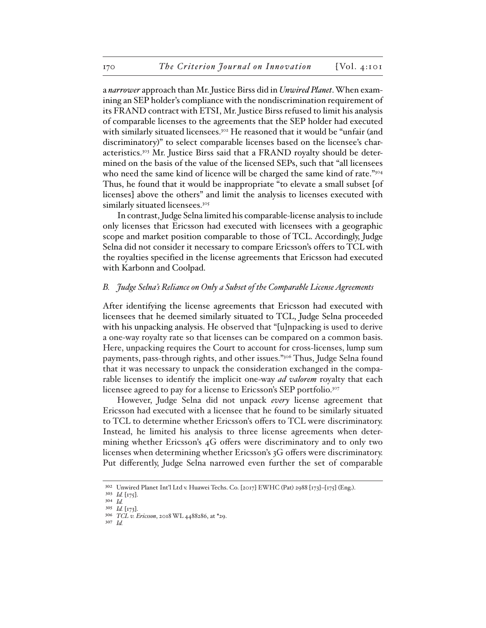a *narrower* approach than Mr. Justice Birss did in *Unwired Planet*. When examining an SEP holder's compliance with the nondiscrimination requirement of its FRAND contract with ETSI, Mr. Justice Birss refused to limit his analysis of comparable licenses to the agreements that the SEP holder had executed with similarly situated licensees.302 He reasoned that it would be "unfair (and discriminatory)" to select comparable licenses based on the licensee's characteristics.303 Mr. Justice Birss said that a FRAND royalty should be determined on the basis of the value of the licensed SEPs, such that "all licensees who need the same kind of licence will be charged the same kind of rate."304 Thus, he found that it would be inappropriate "to elevate a small subset [of licenses] above the others" and limit the analysis to licenses executed with similarly situated licensees.<sup>305</sup>

In contrast, Judge Selna limited his comparable-license analysis to include only licenses that Ericsson had executed with licensees with a geographic scope and market position comparable to those of TCL. Accordingly, Judge Selna did not consider it necessary to compare Ericsson's offers to TCL with the royalties specified in the license agreements that Ericsson had executed with Karbonn and Coolpad.

#### *B. Judge Selna's Reliance on Only a Subset of the Comparable License Agreements*

After identifying the license agreements that Ericsson had executed with licensees that he deemed similarly situated to TCL, Judge Selna proceeded with his unpacking analysis. He observed that "[u]npacking is used to derive a one-way royalty rate so that licenses can be compared on a common basis. Here, unpacking requires the Court to account for cross-licenses, lump sum payments, pass-through rights, and other issues."306 Thus, Judge Selna found that it was necessary to unpack the consideration exchanged in the comparable licenses to identify the implicit one-way *ad valorem* royalty that each licensee agreed to pay for a license to Ericsson's SEP portfolio.<sup>307</sup>

However, Judge Selna did not unpack *every* license agreement that Ericsson had executed with a licensee that he found to be similarly situated to TCL to determine whether Ericsson's offers to TCL were discriminatory. Instead, he limited his analysis to three license agreements when determining whether Ericsson's 4G offers were discriminatory and to only two licenses when determining whether Ericsson's 3G offers were discriminatory. Put differently, Judge Selna narrowed even further the set of comparable

<sup>302</sup> Unwired Planet Int'l Ltd v. Huawei Techs. Co. [2017] EWHC (Pat) 2988 [173]–[175] (Eng.).

<sup>303</sup> *Id.* [175]. 304 *Id.*

<sup>305</sup> *Id.* [173].

<sup>306</sup> *TCL v. Ericsson*, 2018 WL 4488286, at \*29.

<sup>307</sup> *Id.*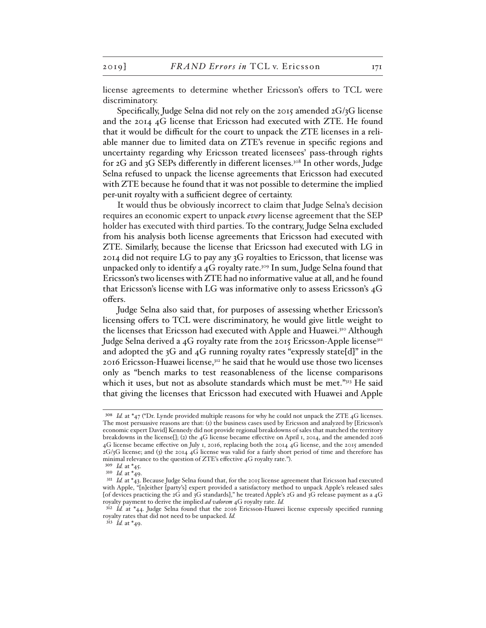license agreements to determine whether Ericsson's offers to TCL were discriminatory.

Specifically, Judge Selna did not rely on the 2015 amended 2G/3G license and the 2014 4G license that Ericsson had executed with ZTE. He found that it would be difficult for the court to unpack the ZTE licenses in a reliable manner due to limited data on ZTE's revenue in specific regions and uncertainty regarding why Ericsson treated licensees' pass-through rights for 2G and 3G SEPs differently in different licenses.<sup>308</sup> In other words, Judge Selna refused to unpack the license agreements that Ericsson had executed with ZTE because he found that it was not possible to determine the implied per-unit royalty with a sufficient degree of certainty.

It would thus be obviously incorrect to claim that Judge Selna's decision requires an economic expert to unpack *every* license agreement that the SEP holder has executed with third parties. To the contrary, Judge Selna excluded from his analysis both license agreements that Ericsson had executed with ZTE. Similarly, because the license that Ericsson had executed with LG in 2014 did not require LG to pay any 3G royalties to Ericsson, that license was unpacked only to identify a  $4G$  royalty rate.<sup>309</sup> In sum, Judge Selna found that Ericsson's two licenses with ZTE had no informative value at all, and he found that Ericsson's license with LG was informative only to assess Ericsson's 4G offers.

Judge Selna also said that, for purposes of assessing whether Ericsson's licensing offers to TCL were discriminatory, he would give little weight to the licenses that Ericsson had executed with Apple and Huawei.<sup>310</sup> Although Judge Selna derived a 4G royalty rate from the 2015 Ericsson-Apple license<sup>311</sup> and adopted the 3G and 4G running royalty rates "expressly state[d]" in the 2016 Ericsson-Huawei license,<sup>312</sup> he said that he would use those two licenses only as "bench marks to test reasonableness of the license comparisons which it uses, but not as absolute standards which must be met."313 He said that giving the licenses that Ericsson had executed with Huawei and Apple

<sup>308</sup> *Id.* at \*47 ("Dr. Lynde provided multiple reasons for why he could not unpack the ZTE 4G licenses. The most persuasive reasons are that: (1) the business cases used by Ericsson and analyzed by [Ericsson's economic expert David] Kennedy did not provide regional breakdowns of sales that matched the territory breakdowns in the license[]; (2) the 4G license became effective on April 1, 2014, and the amended 2016 4G license became effective on July 1, 2016, replacing both the 2014 4G license, and the 2015 amended 2G/3G license; and (3) the 2014 4G license was valid for a fairly short period of time and therefore has minimal relevance to the question of ZTE's effective 4G royalty rate.").

<sup>309</sup> *Id.* at \*45.

<sup>310</sup> *Id.* at \*49.

<sup>&</sup>lt;sup>311</sup> *Id.* at \*43. Because Judge Selna found that, for the 2015 license agreement that Ericsson had executed with Apple, "[n]either [party's] expert provided a satisfactory method to unpack Apple's released sales [of devices practicing the 2G and 3G standards]," he treated Apple's 2G and 3G release payment as a 4G royalty payment to derive the implied *ad valorem* 4G royalty rate. *Id.*

<sup>&</sup>lt;sup>312</sup> *Id.* at \*44. Judge Selna found that the 2016 Ericsson-Huawei license expressly specified running royalty rates that did not need to be unpacked. *Id.*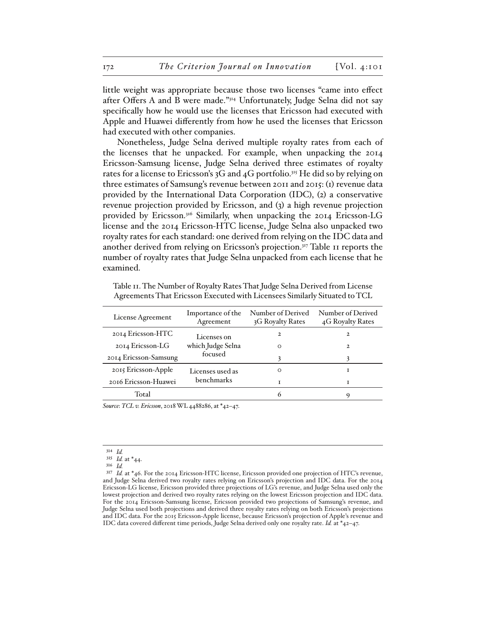little weight was appropriate because those two licenses "came into effect after Offers A and B were made."314 Unfortunately, Judge Selna did not say specifically how he would use the licenses that Ericsson had executed with Apple and Huawei differently from how he used the licenses that Ericsson had executed with other companies.

Nonetheless, Judge Selna derived multiple royalty rates from each of the licenses that he unpacked. For example, when unpacking the 2014 Ericsson-Samsung license, Judge Selna derived three estimates of royalty rates for a license to Ericsson's  $3G$  and  $4G$  portfolio.<sup>315</sup> He did so by relying on three estimates of Samsung's revenue between 2011 and 2015: (1) revenue data provided by the International Data Corporation (IDC), (2) a conservative revenue projection provided by Ericsson, and (3) a high revenue projection provided by Ericsson.316 Similarly, when unpacking the 2014 Ericsson-LG license and the 2014 Ericsson-HTC license, Judge Selna also unpacked two royalty rates for each standard: one derived from relying on the IDC data and another derived from relying on Ericsson's projection.317 Table 11 reports the number of royalty rates that Judge Selna unpacked from each license that he examined.

Table 11. The Number of Royalty Rates That Judge Selna Derived from License Agreements That Ericsson Executed with Licensees Similarly Situated to TCL

| License Agreement     | Importance of the<br>Agreement | Number of Derived<br>3G Royalty Rates | Number of Derived<br>4G Royalty Rates |
|-----------------------|--------------------------------|---------------------------------------|---------------------------------------|
| 2014 Ericsson-HTC     | Licenses on                    | 2                                     | $\mathbf{2}$                          |
| 2014 Ericsson-LG      | which Judge Selna              | $\Omega$                              | $\mathbf{2}$                          |
| 2014 Ericsson-Samsung | focused                        |                                       |                                       |
| 2015 Ericsson-Apple   | Licenses used as               | ∩                                     |                                       |
| 2016 Ericsson-Huawei  | <b>benchmarks</b>              |                                       |                                       |
| Total                 |                                | 6                                     | 9                                     |

*Source*: *TCL v. Ericsson*, 2018 WL 4488286, at \*42–47.

315 *Id.* at \*44.

<sup>314</sup> *Id.*

<sup>316</sup> *Id.* 

<sup>317</sup> *Id.* at \*46. For the 2014 Ericsson-HTC license, Ericsson provided one projection of HTC's revenue, and Judge Selna derived two royalty rates relying on Ericsson's projection and IDC data. For the 2014 Ericsson-LG license, Ericsson provided three projections of LG's revenue, and Judge Selna used only the lowest projection and derived two royalty rates relying on the lowest Ericsson projection and IDC data. For the 2014 Ericsson-Samsung license, Ericsson provided two projections of Samsung's revenue, and Judge Selna used both projections and derived three royalty rates relying on both Ericsson's projections and IDC data. For the 2015 Ericsson-Apple license, because Ericsson's projection of Apple's revenue and IDC data covered different time periods, Judge Selna derived only one royalty rate. *Id.* at \*42–47.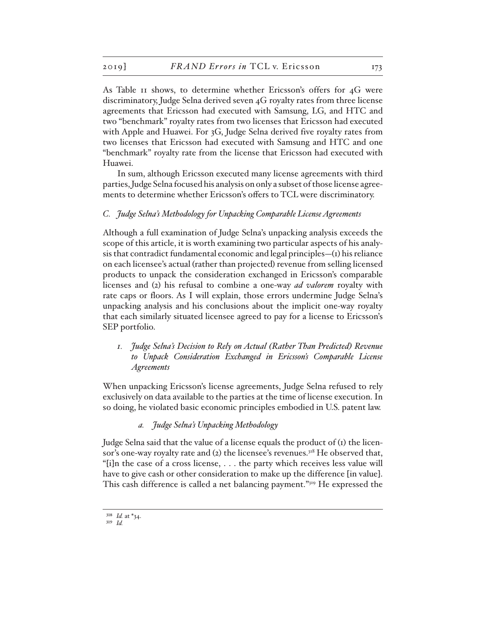As Table 11 shows, to determine whether Ericsson's offers for 4G were discriminatory, Judge Selna derived seven 4G royalty rates from three license agreements that Ericsson had executed with Samsung, LG, and HTC and two "benchmark" royalty rates from two licenses that Ericsson had executed with Apple and Huawei. For 3G, Judge Selna derived five royalty rates from two licenses that Ericsson had executed with Samsung and HTC and one "benchmark" royalty rate from the license that Ericsson had executed with Huawei.

In sum, although Ericsson executed many license agreements with third parties, Judge Selna focused his analysis on only a subset of those license agreements to determine whether Ericsson's offers to TCL were discriminatory.

### *C. Judge Selna's Methodology for Unpacking Comparable License Agreements*

Although a full examination of Judge Selna's unpacking analysis exceeds the scope of this article, it is worth examining two particular aspects of his analysis that contradict fundamental economic and legal principles— $(r)$  his reliance on each licensee's actual (rather than projected) revenue from selling licensed products to unpack the consideration exchanged in Ericsson's comparable licenses and (2) his refusal to combine a one-way *ad valorem* royalty with rate caps or floors. As I will explain, those errors undermine Judge Selna's unpacking analysis and his conclusions about the implicit one-way royalty that each similarly situated licensee agreed to pay for a license to Ericsson's SEP portfolio.

*1. Judge Selna's Decision to Rely on Actual (Rather Than Predicted) Revenue to Unpack Consideration Exchanged in Ericsson's Comparable License Agreements* 

When unpacking Ericsson's license agreements, Judge Selna refused to rely exclusively on data available to the parties at the time of license execution. In so doing, he violated basic economic principles embodied in U.S. patent law.

## *a. Judge Selna's Unpacking Methodology*

Judge Selna said that the value of a license equals the product of (1) the licensor's one-way royalty rate and (2) the licensee's revenues.<sup>318</sup> He observed that, "[i]n the case of a cross license, . . . the party which receives less value will have to give cash or other consideration to make up the difference [in value]. This cash difference is called a net balancing payment."319 He expressed the

<sup>318</sup> *Id.* at \*34.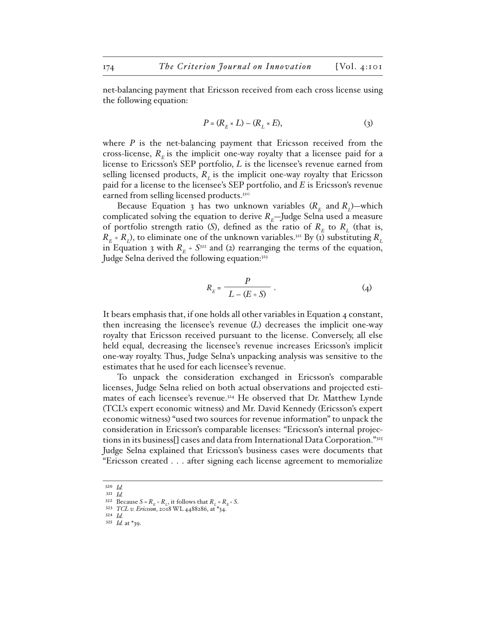net-balancing payment that Ericsson received from each cross license using the following equation:

$$
P = (R_E \times L) - (R_L \times E), \tag{3}
$$

where *P* is the net-balancing payment that Ericsson received from the cross-license,  $R<sub>F</sub>$  is the implicit one-way royalty that a licensee paid for a license to Ericsson's SEP portfolio, *L* is the licensee's revenue earned from selling licensed products,  $R<sub>r</sub>$  is the implicit one-way royalty that Ericsson paid for a license to the licensee's SEP portfolio, and *E* is Ericsson's revenue earned from selling licensed products.<sup>320</sup>

Because Equation 3 has two unknown variables  $(R<sub>r</sub>$  and  $R<sub>r</sub>$ )—which complicated solving the equation to derive  $R<sub>E</sub>$ —Judge Selna used a measure of portfolio strength ratio (S), defined as the ratio of  $R<sub>E</sub>$  to  $R<sub>L</sub>$  (that is,  $R_E$  ÷  $R_L$ ), to eliminate one of the unknown variables.<sup>321</sup> By (1) substituting  $R_L$ in Equation 3 with  $R<sub>E</sub> \div S<sup>322</sup>$  and (2) rearranging the terms of the equation, Judge Selna derived the following equation:<sup>323</sup>

$$
R_E = \frac{P}{L - (E \div S)} \tag{4}
$$

It bears emphasis that, if one holds all other variables in Equation 4 constant, then increasing the licensee's revenue (*L*) decreases the implicit one-way royalty that Ericsson received pursuant to the license. Conversely, all else held equal, decreasing the licensee's revenue increases Ericsson's implicit one-way royalty. Thus, Judge Selna's unpacking analysis was sensitive to the estimates that he used for each licensee's revenue.

To unpack the consideration exchanged in Ericsson's comparable licenses, Judge Selna relied on both actual observations and projected estimates of each licensee's revenue.324 He observed that Dr. Matthew Lynde (TCL's expert economic witness) and Mr. David Kennedy (Ericsson's expert economic witness) "used two sources for revenue information" to unpack the consideration in Ericsson's comparable licenses: "Ericsson's internal projections in its business[] cases and data from International Data Corporation."325 Judge Selna explained that Ericsson's business cases were documents that "Ericsson created . . . after signing each license agreement to memorialize

<sup>320</sup> *Id.* 321 *Id.*

<sup>322</sup> Because  $S = R_E + R_L$ , it follows that  $R_L = R_E + S$ . 323 *TCL v. Ericsson*, 2018 WL 4488286, at \*34.

<sup>324</sup> *Id.*

<sup>325</sup> *Id.* at \*39.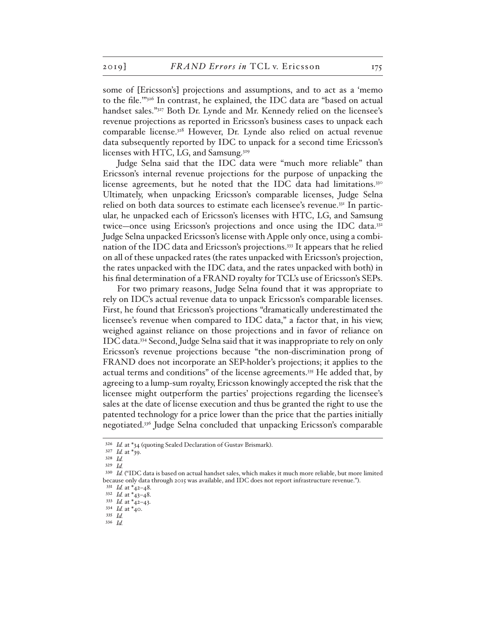some of [Ericsson's] projections and assumptions, and to act as a 'memo to the file.'"326 In contrast, he explained, the IDC data are "based on actual handset sales."<sup>327</sup> Both Dr. Lynde and Mr. Kennedy relied on the licensee's revenue projections as reported in Ericsson's business cases to unpack each comparable license.328 However, Dr. Lynde also relied on actual revenue data subsequently reported by IDC to unpack for a second time Ericsson's licenses with HTC, LG, and Samsung.<sup>329</sup>

Judge Selna said that the IDC data were "much more reliable" than Ericsson's internal revenue projections for the purpose of unpacking the license agreements, but he noted that the IDC data had limitations. $330$ Ultimately, when unpacking Ericsson's comparable licenses, Judge Selna relied on both data sources to estimate each licensee's revenue.<sup>331</sup> In particular, he unpacked each of Ericsson's licenses with HTC, LG, and Samsung twice—once using Ericsson's projections and once using the IDC data.332 Judge Selna unpacked Ericsson's license with Apple only once, using a combination of the IDC data and Ericsson's projections.333 It appears that he relied on all of these unpacked rates (the rates unpacked with Ericsson's projection, the rates unpacked with the IDC data, and the rates unpacked with both) in his final determination of a FRAND royalty for TCL's use of Ericsson's SEPs.

For two primary reasons, Judge Selna found that it was appropriate to rely on IDC's actual revenue data to unpack Ericsson's comparable licenses. First, he found that Ericsson's projections "dramatically underestimated the licensee's revenue when compared to IDC data," a factor that, in his view, weighed against reliance on those projections and in favor of reliance on IDC data.334 Second, Judge Selna said that it was inappropriate to rely on only Ericsson's revenue projections because "the non-discrimination prong of FRAND does not incorporate an SEP-holder's projections; it applies to the actual terms and conditions" of the license agreements.335 He added that, by agreeing to a lump-sum royalty, Ericsson knowingly accepted the risk that the licensee might outperform the parties' projections regarding the licensee's sales at the date of license execution and thus be granted the right to use the patented technology for a price lower than the price that the parties initially negotiated.336 Judge Selna concluded that unpacking Ericsson's comparable

<sup>326</sup> *Id.* at \*34 (quoting Sealed Declaration of Gustav Brismark).

<sup>327</sup> *Id.* at \*39.

<sup>328</sup> *Id.*

<sup>329</sup> *Id.*

<sup>330</sup> *Id.* ("IDC data is based on actual handset sales, which makes it much more reliable, but more limited because only data through 2015 was available, and IDC does not report infrastructure revenue.").

<sup>331</sup> *Id.* at \*42–48.

<sup>332</sup> *Id.* at \*43–48.

<sup>333</sup> *Id.* at \*42–43. 334 *Id.* at \*40.

<sup>335</sup> *Id.* 

<sup>336</sup> *Id.*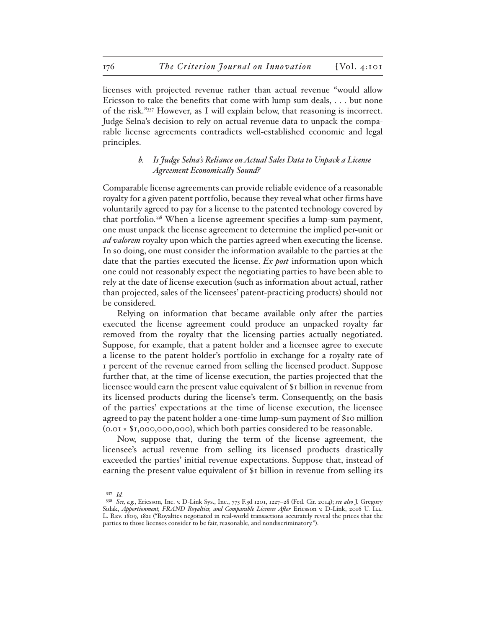licenses with projected revenue rather than actual revenue "would allow Ericsson to take the benefits that come with lump sum deals, . . . but none of the risk."337 However, as I will explain below, that reasoning is incorrect. Judge Selna's decision to rely on actual revenue data to unpack the comparable license agreements contradicts well-established economic and legal principles.

## *b. Is Judge Selna's Reliance on Actual Sales Data to Unpack a License Agreement Economically Sound?*

Comparable license agreements can provide reliable evidence of a reasonable royalty for a given patent portfolio, because they reveal what other firms have voluntarily agreed to pay for a license to the patented technology covered by that portfolio.338 When a license agreement specifies a lump-sum payment, one must unpack the license agreement to determine the implied per-unit or *ad valorem* royalty upon which the parties agreed when executing the license. In so doing, one must consider the information available to the parties at the date that the parties executed the license. *Ex post* information upon which one could not reasonably expect the negotiating parties to have been able to rely at the date of license execution (such as information about actual, rather than projected, sales of the licensees' patent-practicing products) should not be considered.

Relying on information that became available only after the parties executed the license agreement could produce an unpacked royalty far removed from the royalty that the licensing parties actually negotiated. Suppose, for example, that a patent holder and a licensee agree to execute a license to the patent holder's portfolio in exchange for a royalty rate of 1 percent of the revenue earned from selling the licensed product. Suppose further that, at the time of license execution, the parties projected that the licensee would earn the present value equivalent of \$1 billion in revenue from its licensed products during the license's term. Consequently, on the basis of the parties' expectations at the time of license execution, the licensee agreed to pay the patent holder a one-time lump-sum payment of \$10 million (0.01 × \$1,000,000,000), which both parties considered to be reasonable.

Now, suppose that, during the term of the license agreement, the licensee's actual revenue from selling its licensed products drastically exceeded the parties' initial revenue expectations. Suppose that, instead of earning the present value equivalent of \$1 billion in revenue from selling its

<sup>337</sup> *Id.* 

<sup>338</sup> *See, e.g.*, Ericsson, Inc. v. D-Link Sys., Inc., 773 F.3d 1201, 1227–28 (Fed. Cir. 2014); *see also* J. Gregory Sidak, *Apportionment, FRAND Royalties, and Comparable Licenses After Ericsson v. D-Link, 2016 U. ILL.* L. Rev. 1809, 1821 ("Royalties negotiated in real-world transactions accurately reveal the prices that the parties to those licenses consider to be fair, reasonable, and nondiscriminatory.").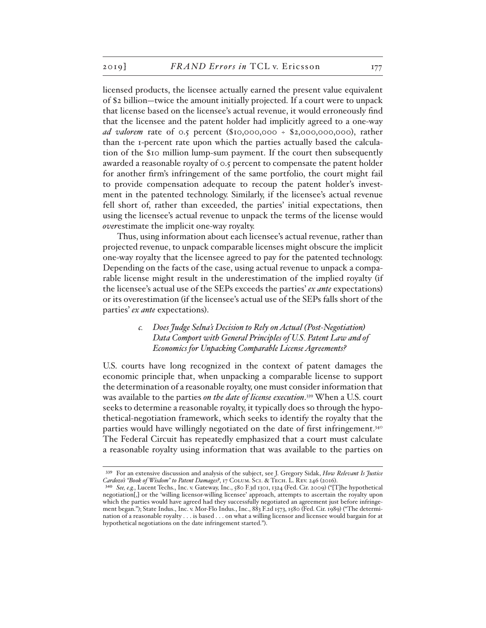licensed products, the licensee actually earned the present value equivalent of \$2 billion—twice the amount initially projected. If a court were to unpack that license based on the licensee's actual revenue, it would erroneously find that the licensee and the patent holder had implicitly agreed to a one-way *ad valorem* rate of 0.5 percent (\$10,000,000 ÷ \$2,000,000,000), rather than the 1-percent rate upon which the parties actually based the calculation of the \$10 million lump-sum payment. If the court then subsequently awarded a reasonable royalty of 0.5 percent to compensate the patent holder for another firm's infringement of the same portfolio, the court might fail to provide compensation adequate to recoup the patent holder's investment in the patented technology. Similarly, if the licensee's actual revenue fell short of, rather than exceeded, the parties' initial expectations, then using the licensee's actual revenue to unpack the terms of the license would *over*estimate the implicit one-way royalty.

Thus, using information about each licensee's actual revenue, rather than projected revenue, to unpack comparable licenses might obscure the implicit one-way royalty that the licensee agreed to pay for the patented technology. Depending on the facts of the case, using actual revenue to unpack a comparable license might result in the underestimation of the implied royalty (if the licensee's actual use of the SEPs exceeds the parties' *ex ante* expectations) or its overestimation (if the licensee's actual use of the SEPs falls short of the parties' *ex ante* expectations).

# *c. Does Judge Selna's Decision to Rely on Actual (Post-Negotiation) Data Comport with General Principles of U.S. Patent Law and of Economics for Unpacking Comparable License Agreements?*

U.S. courts have long recognized in the context of patent damages the economic principle that, when unpacking a comparable license to support the determination of a reasonable royalty, one must consider information that was available to the parties *on the date of license execution*. 339 When a U.S. court seeks to determine a reasonable royalty, it typically does so through the hypothetical-negotiation framework, which seeks to identify the royalty that the parties would have willingly negotiated on the date of first infringement.340 The Federal Circuit has repeatedly emphasized that a court must calculate a reasonable royalty using information that was available to the parties on

<sup>339</sup> For an extensive discussion and analysis of the subject, see J. Gregory Sidak, *How Relevant Is Justice Cardozo's "Book of Wisdom" to Patent Damages?*, 17 Colum. Sci. & Tech. L. Rev. 246 (2016).

<sup>340</sup> *See, e.g.*, Lucent Techs., Inc. v. Gateway, Inc., 580 F.3d 1301, 1324 (Fed. Cir. 2009) ("[T]he hypothetical negotiation[,] or the 'willing licensor-willing licensee' approach, attempts to ascertain the royalty upon which the parties would have agreed had they successfully negotiated an agreement just before infringement began."); State Indus., Inc. v. Mor-Flo Indus., Inc., 883 F.2d 1573, 1580 (Fed. Cir. 1989) ("The determination of a reasonable royalty . . . is based . . . on what a willing licensor and licensee would bargain for at hypothetical negotiations on the date infringement started.").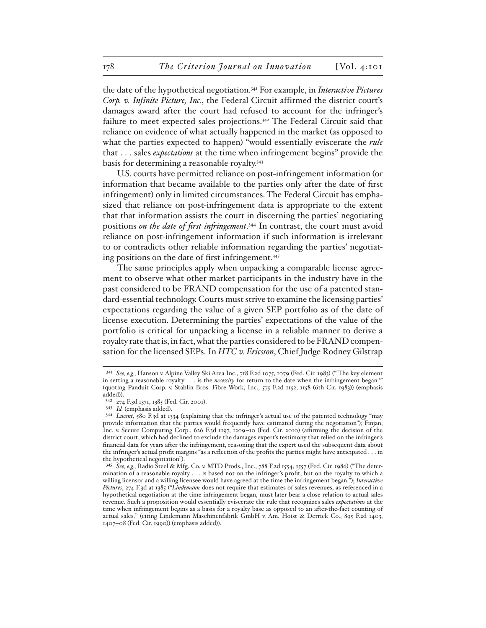the date of the hypothetical negotiation.341 For example, in *Interactive Pictures Corp. v. Infinite Picture, Inc.*, the Federal Circuit affirmed the district court's damages award after the court had refused to account for the infringer's failure to meet expected sales projections.342 The Federal Circuit said that reliance on evidence of what actually happened in the market (as opposed to what the parties expected to happen) "would essentially eviscerate the *rule* that . . . sales *expectations* at the time when infringement begins" provide the basis for determining a reasonable royalty.343

U.S. courts have permitted reliance on post-infringement information (or information that became available to the parties only after the date of first infringement) only in limited circumstances. The Federal Circuit has emphasized that reliance on post-infringement data is appropriate to the extent that that information assists the court in discerning the parties' negotiating positions *on the date of first infringement*. 344 In contrast, the court must avoid reliance on post-infringement information if such information is irrelevant to or contradicts other reliable information regarding the parties' negotiating positions on the date of first infringement.<sup>345</sup>

The same principles apply when unpacking a comparable license agreement to observe what other market participants in the industry have in the past considered to be FRAND compensation for the use of a patented standard-essential technology. Courts must strive to examine the licensing parties' expectations regarding the value of a given SEP portfolio as of the date of license execution. Determining the parties' expectations of the value of the portfolio is critical for unpacking a license in a reliable manner to derive a royalty rate that is, in fact, what the parties considered to be FRAND compensation for the licensed SEPs. In *HTC v. Ericsson*, Chief Judge Rodney Gilstrap

<sup>341</sup> *See, e.g.*, Hanson v. Alpine Valley Ski Area Inc., 718 F.2d 1075, 1079 (Fed. Cir. 1983) ("'The key element in setting a reasonable royalty . . . is the *necessity* for return to the date when the infringement began.'" (quoting Panduit Corp. v. Stahlin Bros. Fibre Work, Inc., 575 F.2d 1152, 1158 (6th Cir. 1983)) (emphasis added)).

<sup>342</sup> 274 F.3d 1371, 1385 (Fed. Cir. 2001).

<sup>343</sup> *Id.* (emphasis added).

<sup>344</sup> *Lucent*, 580 F.3d at 1334 (explaining that the infringer's actual use of the patented technology "may provide information that the parties would frequently have estimated during the negotiation"); Finjan, Inc. v. Secure Computing Corp., 626 F.3d 1197, 1209–10 (Fed. Cir. 2010) (affirming the decision of the district court, which had declined to exclude the damages expert's testimony that relied on the infringer's financial data for years after the infringement, reasoning that the expert used the subsequent data about the infringer's actual profit margins "as a reflection of the profits the parties might have anticipated . . . in the hypothetical negotiation").

<sup>345</sup> *See, e.g.*, Radio Steel & Mfg. Co. v. MTD Prods., Inc., 788 F.2d 1554, 1557 (Fed. Cir. 1986) ("The determination of a reasonable royalty . . . is based not on the infringer's profit, but on the royalty to which a willing licensor and a willing licensee would have agreed at the time the infringement began."); *Interactive Pictures*, 274 F.3d at 1385 ("*Lindemann* does not require that estimates of sales revenues, as referenced in a hypothetical negotiation at the time infringement began, must later bear a close relation to actual sales revenue. Such a proposition would essentially eviscerate the rule that recognizes sales *expectations* at the time when infringement begins as a basis for a royalty base as opposed to an after-the-fact counting of actual sales." (citing Lindemann Maschinenfabrik GmbH v. Am. Hoist & Derrick Co., 895 F.2d 1403, 1407–08 (Fed. Cir. 1990)) (emphasis added)).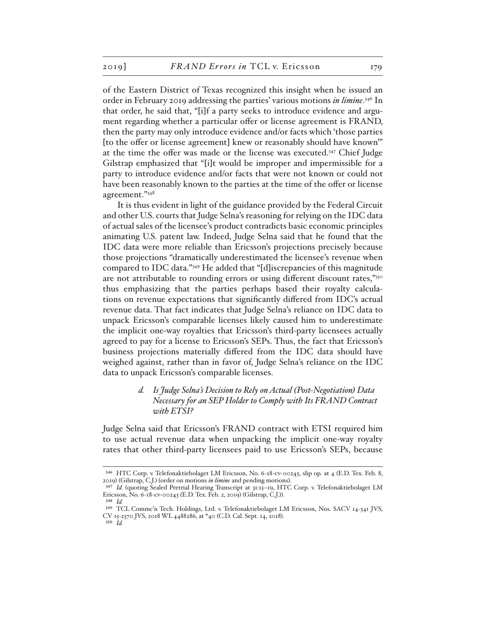of the Eastern District of Texas recognized this insight when he issued an order in February 2019 addressing the parties' various motions *in limine*. 346 In that order, he said that, "[i]f a party seeks to introduce evidence and argument regarding whether a particular offer or license agreement is FRAND, then the party may only introduce evidence and/or facts which 'those parties [to the offer or license agreement] knew or reasonably should have known'" at the time the offer was made or the license was executed.<sup>347</sup> Chief Judge Gilstrap emphasized that "[i]t would be improper and impermissible for a party to introduce evidence and/or facts that were not known or could not have been reasonably known to the parties at the time of the offer or license agreement."348

It is thus evident in light of the guidance provided by the Federal Circuit and other U.S. courts that Judge Selna's reasoning for relying on the IDC data of actual sales of the licensee's product contradicts basic economic principles animating U.S. patent law. Indeed, Judge Selna said that he found that the IDC data were more reliable than Ericsson's projections precisely because those projections "dramatically underestimated the licensee's revenue when compared to IDC data."349 He added that "[d]iscrepancies of this magnitude are not attributable to rounding errors or using different discount rates,"350 thus emphasizing that the parties perhaps based their royalty calculations on revenue expectations that significantly differed from IDC's actual revenue data. That fact indicates that Judge Selna's reliance on IDC data to unpack Ericsson's comparable licenses likely caused him to underestimate the implicit one-way royalties that Ericsson's third-party licensees actually agreed to pay for a license to Ericsson's SEPs. Thus, the fact that Ericsson's business projections materially differed from the IDC data should have weighed against, rather than in favor of, Judge Selna's reliance on the IDC data to unpack Ericsson's comparable licenses.

## *d. Is Judge Selna's Decision to Rely on Actual (Post-Negotiation) Data Necessary for an SEP Holder to Comply with Its FRAND Contract with ETSI?*

Judge Selna said that Ericsson's FRAND contract with ETSI required him to use actual revenue data when unpacking the implicit one-way royalty rates that other third-party licensees paid to use Ericsson's SEPs, because

<sup>346</sup> HTC Corp. v. Telefonaktiebolaget LM Ericsson, No. 6-18-cv-00243, slip op. at 4 (E.D. Tex. Feb. 8, 2019) (Gilstrap, C.J.) (order on motions *in limine* and pending motions).

<sup>347</sup> *Id.* (quoting Sealed Pretrial Hearing Transcript at 31:15–19, HTC Corp. v. Telefonaktiebolaget LM Ericsson, No. 6-18-cv-00243 (E.D. Tex. Feb. 2, 2019) (Gilstrap, C.J.)).

<sup>348</sup> *Id.*

<sup>349</sup> TCL Commc'n Tech. Holdings, Ltd. v. Telefonaktiebolaget LM Ericsson, Nos. SACV 14-341 JVS, CV 15-2370 JVS, 2018 WL 4488286, at \*40 (C.D. Cal. Sept. 14, 2018).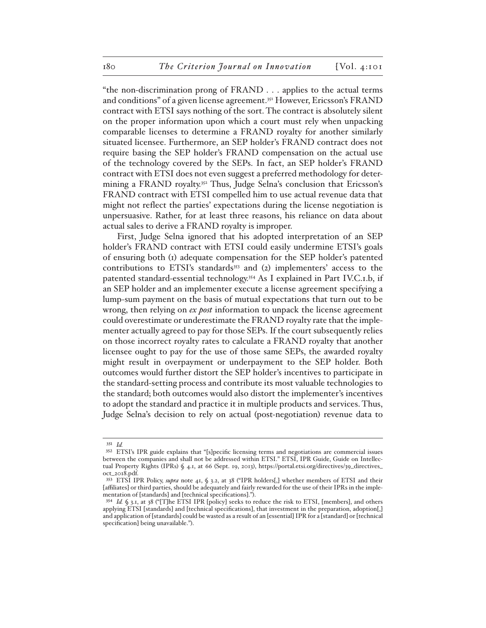"the non-discrimination prong of FRAND . . . applies to the actual terms and conditions" of a given license agreement.351 However, Ericsson's FRAND contract with ETSI says nothing of the sort. The contract is absolutely silent on the proper information upon which a court must rely when unpacking comparable licenses to determine a FRAND royalty for another similarly situated licensee. Furthermore, an SEP holder's FRAND contract does not require basing the SEP holder's FRAND compensation on the actual use of the technology covered by the SEPs. In fact, an SEP holder's FRAND contract with ETSI does not even suggest a preferred methodology for determining a FRAND royalty.<sup>352</sup> Thus, Judge Selna's conclusion that Ericsson's FRAND contract with ETSI compelled him to use actual revenue data that might not reflect the parties' expectations during the license negotiation is unpersuasive. Rather, for at least three reasons, his reliance on data about actual sales to derive a FRAND royalty is improper.

First, Judge Selna ignored that his adopted interpretation of an SEP holder's FRAND contract with ETSI could easily undermine ETSI's goals of ensuring both (1) adequate compensation for the SEP holder's patented contributions to ETSI's standards<sup>353</sup> and (2) implementers' access to the patented standard-essential technology.354 As I explained in Part IV.C.1.b, if an SEP holder and an implementer execute a license agreement specifying a lump-sum payment on the basis of mutual expectations that turn out to be wrong, then relying on *ex post* information to unpack the license agreement could overestimate or underestimate the FRAND royalty rate that the implementer actually agreed to pay for those SEPs. If the court subsequently relies on those incorrect royalty rates to calculate a FRAND royalty that another licensee ought to pay for the use of those same SEPs, the awarded royalty might result in overpayment or underpayment to the SEP holder. Both outcomes would further distort the SEP holder's incentives to participate in the standard-setting process and contribute its most valuable technologies to the standard; both outcomes would also distort the implementer's incentives to adopt the standard and practice it in multiple products and services. Thus, Judge Selna's decision to rely on actual (post-negotiation) revenue data to

<sup>351</sup> *Id.*

<sup>352</sup> ETSI's IPR guide explains that "[s]pecific licensing terms and negotiations are commercial issues between the companies and shall not be addressed within ETSI." ETSI, IPR Guide, Guide on Intellectual Property Rights (IPRs) § 4.1, at 66 (Sept. 19, 2013), https://portal.etsi.org/directives/39\_directives\_ oct\_2018.pdf.

<sup>353</sup> ETSI IPR Policy, *supra* note 41, § 3.2, at 38 ("IPR holders[,] whether members of ETSI and their [affiliates] or third parties, should be adequately and fairly rewarded for the use of their IPRs in the implementation of [standards] and [technical specifications].").

<sup>354</sup> *Id.* § 3.1, at 38 ("[T]he ETSI IPR [policy] seeks to reduce the risk to ETSI, [members], and others applying ETSI [standards] and [technical specifications], that investment in the preparation, adoption[,] and application of [standards] could be wasted as a result of an [essential] IPR for a [standard] or [technical specification] being unavailable.").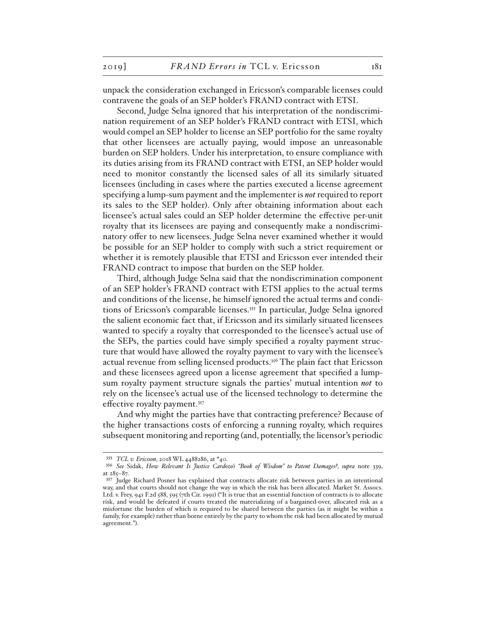unpack the consideration exchanged in Ericsson's comparable licenses could contravene the goals of an SEP holder's FRAND contract with ETSI.

Second, Judge Selna ignored that his interpretation of the nondiscrimination requirement of an SEP holder's FRAND contract with ETSI, which would compel an SEP holder to license an SEP portfolio for the same royalty that other licensees are actually paying, would impose an unreasonable burden on SEP holders. Under his interpretation, to ensure compliance with its duties arising from its FRAND contract with ETSI, an SEP holder would need to monitor constantly the licensed sales of all its similarly situated licensees (including in cases where the parties executed a license agreement specifying a lump-sum payment and the implementer is *not* required to report its sales to the SEP holder). Only after obtaining information about each licensee's actual sales could an SEP holder determine the effective per-unit royalty that its licensees are paying and consequently make a nondiscriminatory offer to new licensees. Judge Selna never examined whether it would be possible for an SEP holder to comply with such a strict requirement or whether it is remotely plausible that ETSI and Ericsson ever intended their FRAND contract to impose that burden on the SEP holder.

Third, although Judge Selna said that the nondiscrimination component of an SEP holder's FRAND contract with ETSI applies to the actual terms and conditions of the license, he himself ignored the actual terms and conditions of Ericsson's comparable licenses.355 In particular, Judge Selna ignored the salient economic fact that, if Ericsson and its similarly situated licensees wanted to specify a royalty that corresponded to the licensee's actual use of the SEPs, the parties could have simply specified a royalty payment structure that would have allowed the royalty payment to vary with the licensee's actual revenue from selling licensed products.<sup>356</sup> The plain fact that Ericsson and these licensees agreed upon a license agreement that specified a lumpsum royalty payment structure signals the parties' mutual intention *not* to rely on the licensee's actual use of the licensed technology to determine the effective royalty payment.357

And why might the parties have that contracting preference? Because of the higher transactions costs of enforcing a running royalty, which requires subsequent monitoring and reporting (and, potentially, the licensor's periodic

<sup>355</sup> *TCL v. Ericsson*, 2018 WL 4488286, at \*40.

<sup>356</sup> *See* Sidak, *How Relevant Is Justice Cardozo's "Book of Wisdom" to Patent Damages?*, *supra* note 339, at 285–87.

<sup>357</sup> Judge Richard Posner has explained that contracts allocate risk between parties in an intentional way, and that courts should not change the way in which the risk has been allocated. Market St. Assocs. Ltd. v. Frey, 941 F.2d 588, 595 (7th Cir. 1991) ("It is true that an essential function of contracts is to allocate risk, and would be defeated if courts treated the materializing of a bargained-over, allocated risk as a misfortune the burden of which is required to be shared between the parties (as it might be within a family, for example) rather than borne entirely by the party to whom the risk had been allocated by mutual agreement.").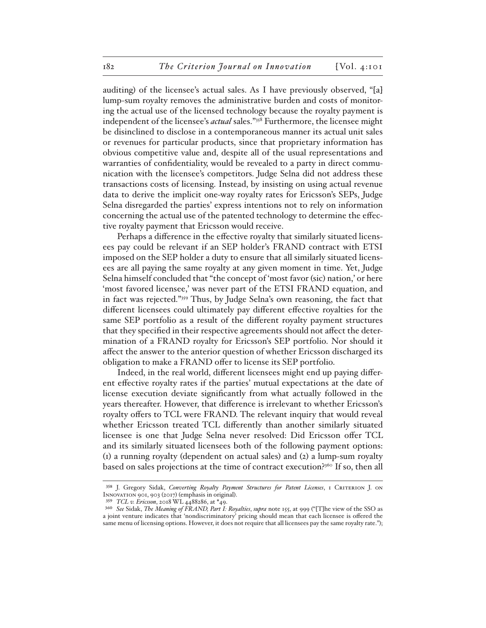auditing) of the licensee's actual sales. As I have previously observed, "[a] lump-sum royalty removes the administrative burden and costs of monitoring the actual use of the licensed technology because the royalty payment is independent of the licensee's *actual* sales."358 Furthermore, the licensee might be disinclined to disclose in a contemporaneous manner its actual unit sales or revenues for particular products, since that proprietary information has obvious competitive value and, despite all of the usual representations and warranties of confidentiality, would be revealed to a party in direct communication with the licensee's competitors. Judge Selna did not address these transactions costs of licensing. Instead, by insisting on using actual revenue data to derive the implicit one-way royalty rates for Ericsson's SEPs, Judge Selna disregarded the parties' express intentions not to rely on information concerning the actual use of the patented technology to determine the effective royalty payment that Ericsson would receive.

Perhaps a difference in the effective royalty that similarly situated licensees pay could be relevant if an SEP holder's FRAND contract with ETSI imposed on the SEP holder a duty to ensure that all similarly situated licensees are all paying the same royalty at any given moment in time. Yet, Judge Selna himself concluded that "the concept of 'most favor (sic) nation,' or here 'most favored licensee,' was never part of the ETSI FRAND equation, and in fact was rejected."359 Thus, by Judge Selna's own reasoning, the fact that different licensees could ultimately pay different effective royalties for the same SEP portfolio as a result of the different royalty payment structures that they specified in their respective agreements should not affect the determination of a FRAND royalty for Ericsson's SEP portfolio. Nor should it affect the answer to the anterior question of whether Ericsson discharged its obligation to make a FRAND offer to license its SEP portfolio.

Indeed, in the real world, different licensees might end up paying different effective royalty rates if the parties' mutual expectations at the date of license execution deviate significantly from what actually followed in the years thereafter. However, that difference is irrelevant to whether Ericsson's royalty offers to TCL were FRAND. The relevant inquiry that would reveal whether Ericsson treated TCL differently than another similarly situated licensee is one that Judge Selna never resolved: Did Ericsson offer TCL and its similarly situated licensees both of the following payment options: (1) a running royalty (dependent on actual sales) and (2) a lump-sum royalty based on sales projections at the time of contract execution?360 If so, then all

<sup>358</sup> J. Gregory Sidak, *Converting Royalty Payment Structures for Patent Licenses*, 1 CRITERION J. ON Innovation 901, 903 (2017) (emphasis in original).

<sup>359</sup> *TCL v. Ericsson*, 2018 WL 4488286, at \*49.

<sup>360</sup> *See* Sidak, *The Meaning of FRAND, Part I: Royalties*, *supra* note 155, at 999 ("[T]he view of the SSO as a joint venture indicates that 'nondiscriminatory' pricing should mean that each licensee is offered the same menu of licensing options. However, it does not require that all licensees pay the same royalty rate.");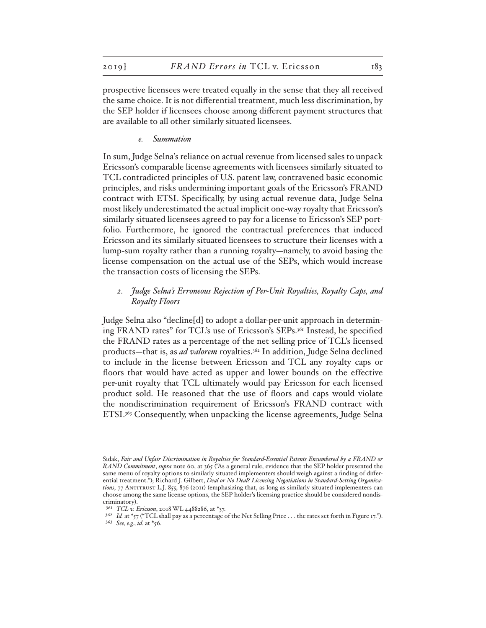prospective licensees were treated equally in the sense that they all received the same choice. It is not differential treatment, much less discrimination, by the SEP holder if licensees choose among different payment structures that are available to all other similarly situated licensees.

*e. Summation*

In sum, Judge Selna's reliance on actual revenue from licensed sales to unpack Ericsson's comparable license agreements with licensees similarly situated to TCL contradicted principles of U.S. patent law, contravened basic economic principles, and risks undermining important goals of the Ericsson's FRAND contract with ETSI. Specifically, by using actual revenue data, Judge Selna most likely underestimated the actual implicit one-way royalty that Ericsson's similarly situated licensees agreed to pay for a license to Ericsson's SEP portfolio. Furthermore, he ignored the contractual preferences that induced Ericsson and its similarly situated licensees to structure their licenses with a lump-sum royalty rather than a running royalty—namely, to avoid basing the license compensation on the actual use of the SEPs, which would increase the transaction costs of licensing the SEPs.

# *2. Judge Selna's Erroneous Rejection of Per-Unit Royalties, Royalty Caps, and Royalty Floors*

Judge Selna also "decline[d] to adopt a dollar-per-unit approach in determining FRAND rates" for TCL's use of Ericsson's SEPs.361 Instead, he specified the FRAND rates as a percentage of the net selling price of TCL's licensed products—that is, as *ad valorem* royalties.<sup>362</sup> In addition, Judge Selna declined to include in the license between Ericsson and TCL any royalty caps or floors that would have acted as upper and lower bounds on the effective per-unit royalty that TCL ultimately would pay Ericsson for each licensed product sold. He reasoned that the use of floors and caps would violate the nondiscrimination requirement of Ericsson's FRAND contract with ETSI.<sup>363</sup> Consequently, when unpacking the license agreements, Judge Selna

Sidak, *Fair and Unfair Discrimination in Royalties for Standard-Essential Patents Encumbered by a FRAND or RAND Commitment*, *supra* note 60, at 365 ("As a general rule, evidence that the SEP holder presented the same menu of royalty options to similarly situated implementers should weigh against a finding of differential treatment."); Richard J. Gilbert, *Deal or No Deal? Licensing Negotiations in Standard-Setting Organiza*tions, 77 ANTITRUST L.J. 855, 876 (2011) (emphasizing that, as long as similarly situated implementers can choose among the same license options, the SEP holder's licensing practice should be considered nondiscriminatory).

<sup>361</sup> *TCL v. Ericsson*, 2018 WL 4488286, at \*37.

<sup>&</sup>lt;sup>362</sup> *Id.* at \*57 ("TCL shall pay as a percentage of the Net Selling Price . . . the rates set forth in Figure 17.").

<sup>363</sup> *See, e.g.*, *id.* at \*56.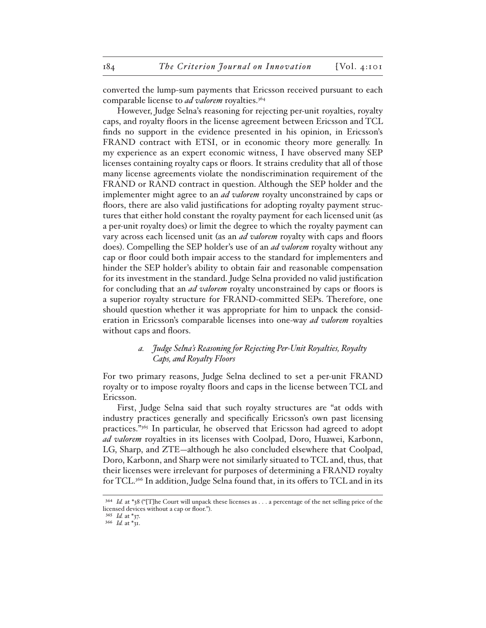converted the lump-sum payments that Ericsson received pursuant to each comparable license to *ad valorem* royalties.364

However, Judge Selna's reasoning for rejecting per-unit royalties, royalty caps, and royalty floors in the license agreement between Ericsson and TCL finds no support in the evidence presented in his opinion, in Ericsson's FRAND contract with ETSI, or in economic theory more generally. In my experience as an expert economic witness, I have observed many SEP licenses containing royalty caps or floors. It strains credulity that all of those many license agreements violate the nondiscrimination requirement of the FRAND or RAND contract in question. Although the SEP holder and the implementer might agree to an *ad valorem* royalty unconstrained by caps or floors, there are also valid justifications for adopting royalty payment structures that either hold constant the royalty payment for each licensed unit (as a per-unit royalty does) or limit the degree to which the royalty payment can vary across each licensed unit (as an *ad valorem* royalty with caps and floors does). Compelling the SEP holder's use of an *ad valorem* royalty without any cap or floor could both impair access to the standard for implementers and hinder the SEP holder's ability to obtain fair and reasonable compensation for its investment in the standard. Judge Selna provided no valid justification for concluding that an *ad valorem* royalty unconstrained by caps or floors is a superior royalty structure for FRAND-committed SEPs. Therefore, one should question whether it was appropriate for him to unpack the consideration in Ericsson's comparable licenses into one-way *ad valorem* royalties without caps and floors.

## *a. Judge Selna's Reasoning for Rejecting Per-Unit Royalties, Royalty Caps, and Royalty Floors*

For two primary reasons, Judge Selna declined to set a per-unit FRAND royalty or to impose royalty floors and caps in the license between TCL and Ericsson.

First, Judge Selna said that such royalty structures are "at odds with industry practices generally and specifically Ericsson's own past licensing practices."365 In particular, he observed that Ericsson had agreed to adopt *ad valorem* royalties in its licenses with Coolpad, Doro, Huawei, Karbonn, LG, Sharp, and ZTE—although he also concluded elsewhere that Coolpad, Doro, Karbonn, and Sharp were not similarly situated to TCL and, thus, that their licenses were irrelevant for purposes of determining a FRAND royalty for TCL.366 In addition, Judge Selna found that, in its offers to TCL and in its

<sup>364</sup> *Id.* at \*38 ("[T]he Court will unpack these licenses as . . . a percentage of the net selling price of the licensed devices without a cap or floor.").

<sup>365</sup> *Id.* at \*37.

<sup>366</sup> *Id.* at \*31.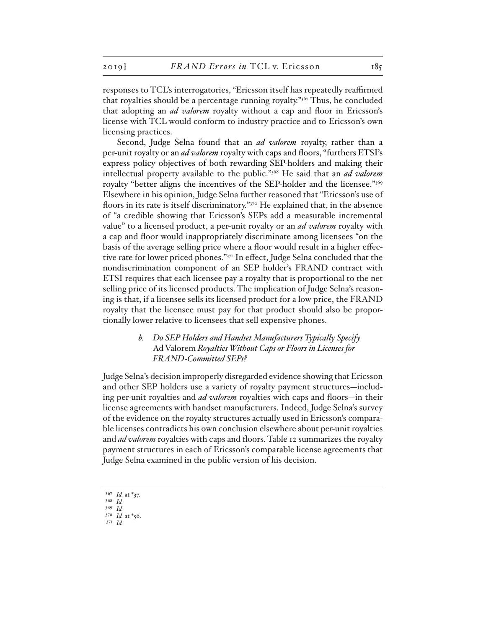responses to TCL's interrogatories, "Ericsson itself has repeatedly reaffirmed that royalties should be a percentage running royalty."367 Thus, he concluded that adopting an *ad valorem* royalty without a cap and floor in Ericsson's license with TCL would conform to industry practice and to Ericsson's own licensing practices.

Second, Judge Selna found that an *ad valorem* royalty, rather than a per-unit royalty or an *ad valorem* royalty with caps and floors, "furthers ETSI's express policy objectives of both rewarding SEP-holders and making their intellectual property available to the public."368 He said that an *ad valorem*  royalty "better aligns the incentives of the SEP-holder and the licensee."369 Elsewhere in his opinion, Judge Selna further reasoned that "Ericsson's use of floors in its rate is itself discriminatory."<sup>370</sup> He explained that, in the absence of "a credible showing that Ericsson's SEPs add a measurable incremental value" to a licensed product, a per-unit royalty or an *ad valorem* royalty with a cap and floor would inappropriately discriminate among licensees "on the basis of the average selling price where a floor would result in a higher effective rate for lower priced phones."371 In effect, Judge Selna concluded that the nondiscrimination component of an SEP holder's FRAND contract with ETSI requires that each licensee pay a royalty that is proportional to the net selling price of its licensed products. The implication of Judge Selna's reasoning is that, if a licensee sells its licensed product for a low price, the FRAND royalty that the licensee must pay for that product should also be proportionally lower relative to licensees that sell expensive phones.

## *b. Do SEP Holders and Handset Manufacturers Typically Specify*  Ad Valorem *Royalties Without Caps or Floors in Licenses for FRAND-Committed SEPs?*

Judge Selna's decision improperly disregarded evidence showing that Ericsson and other SEP holders use a variety of royalty payment structures—including per-unit royalties and *ad valorem* royalties with caps and floors—in their license agreements with handset manufacturers. Indeed, Judge Selna's survey of the evidence on the royalty structures actually used in Ericsson's comparable licenses contradicts his own conclusion elsewhere about per-unit royalties and *ad valorem* royalties with caps and floors. Table 12 summarizes the royalty payment structures in each of Ericsson's comparable license agreements that Judge Selna examined in the public version of his decision.

- 369 *Id.*
- 370 *Id.* at \*56.
- 371 *Id.*

<sup>367</sup> *Id.* at \*37. 368 *Id.*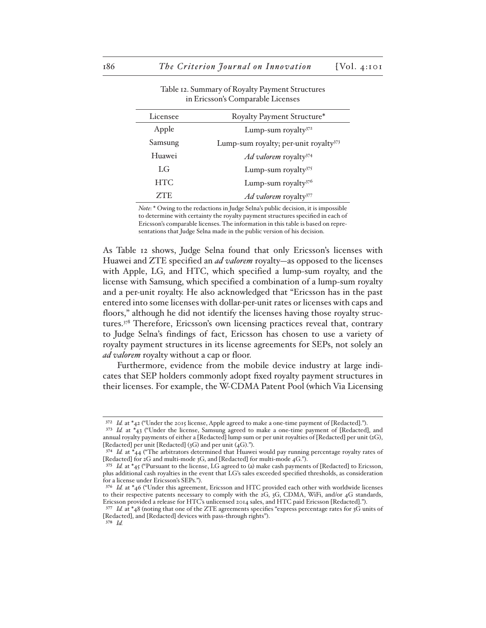| Royalty Payment Structure*                        |
|---------------------------------------------------|
| Lump-sum royalty <sup>372</sup>                   |
| Lump-sum royalty; per-unit royalty <sup>373</sup> |
| Ad valorem royalty <sup>374</sup>                 |
| Lump-sum royalty <sup>375</sup>                   |
| Lump-sum royalty $376$                            |
| Ad valorem royalty <sup>377</sup>                 |
|                                                   |

Table 12. Summary of Royalty Payment Structures in Ericsson's Comparable Licenses

*Note*: \* Owing to the redactions in Judge Selna's public decision, it is impossible to determine with certainty the royalty payment structures specified in each of Ericsson's comparable licenses. The information in this table is based on representations that Judge Selna made in the public version of his decision.

As Table 12 shows, Judge Selna found that only Ericsson's licenses with Huawei and ZTE specified an *ad valorem* royalty—as opposed to the licenses with Apple, LG, and HTC, which specified a lump-sum royalty, and the license with Samsung, which specified a combination of a lump-sum royalty and a per-unit royalty. He also acknowledged that "Ericsson has in the past entered into some licenses with dollar-per-unit rates or licenses with caps and floors," although he did not identify the licenses having those royalty structures.378 Therefore, Ericsson's own licensing practices reveal that, contrary to Judge Selna's findings of fact, Ericsson has chosen to use a variety of royalty payment structures in its license agreements for SEPs, not solely an *ad valorem* royalty without a cap or floor.

Furthermore, evidence from the mobile device industry at large indicates that SEP holders commonly adopt fixed royalty payment structures in their licenses. For example, the W-CDMA Patent Pool (which Via Licensing

<sup>&</sup>lt;sup>372</sup> *Id.* at \*42 ("Under the 2015 license, Apple agreed to make a one-time payment of [Redacted].").

<sup>373</sup> *Id.* at \*43 ("Under the license, Samsung agreed to make a one-time payment of [Redacted], and annual royalty payments of either a [Redacted] lump sum or per unit royalties of [Redacted] per unit (2G), [Redacted] per unit [Redacted] (3G) and per unit (4G).").

<sup>374</sup> *Id.* at \*44 ("The arbitrators determined that Huawei would pay running percentage royalty rates of [Redacted] for 2G and multi-mode 3G, and [Redacted] for multi-mode 4G.").

<sup>375</sup> *Id.* at \*45 ("Pursuant to the license, LG agreed to (a) make cash payments of [Redacted] to Ericsson, plus additional cash royalties in the event that LG's sales exceeded specified thresholds, as consideration for a license under Ericsson's SEPs.").

<sup>376</sup> *Id.* at \*46 ("Under this agreement, Ericsson and HTC provided each other with worldwide licenses to their respective patents necessary to comply with the 2G, 3G, CDMA, WiFi, and/or 4G standards, Ericsson provided a release for HTC's unlicensed 2014 sales, and HTC paid Ericsson [Redacted].").

<sup>377</sup> *Id.* at \*48 (noting that one of the ZTE agreements specifies "express percentage rates for 3G units of [Redacted], and [Redacted] devices with pass-through rights"). 378 *Id.*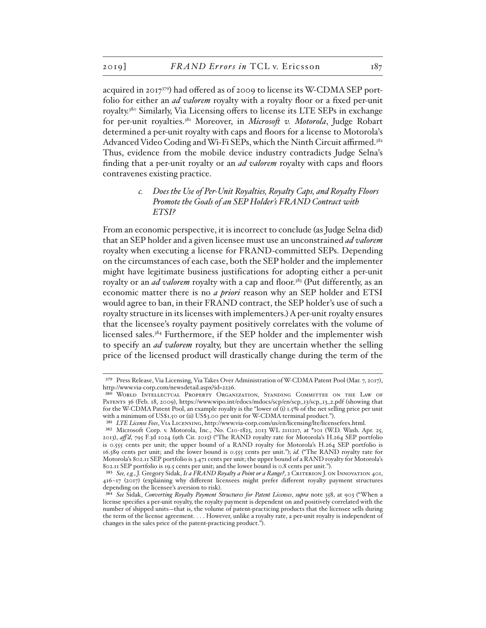acquired in 2017379) had offered as of 2009 to license its W-CDMA SEP portfolio for either an *ad valorem* royalty with a royalty floor or a fixed per-unit royalty.380 Similarly, Via Licensing offers to license its LTE SEPs in exchange for per-unit royalties.381 Moreover, in *Microsoft v. Motorola*, Judge Robart determined a per-unit royalty with caps and floors for a license to Motorola's Advanced Video Coding and Wi-Fi SEPs, which the Ninth Circuit affirmed.382 Thus, evidence from the mobile device industry contradicts Judge Selna's finding that a per-unit royalty or an *ad valorem* royalty with caps and floors contravenes existing practice.

> *c. Does the Use of Per-Unit Royalties, Royalty Caps, and Royalty Floors Promote the Goals of an SEP Holder's FRAND Contract with ETSI?*

From an economic perspective, it is incorrect to conclude (as Judge Selna did) that an SEP holder and a given licensee must use an unconstrained *ad valorem* royalty when executing a license for FRAND-committed SEPs. Depending on the circumstances of each case, both the SEP holder and the implementer might have legitimate business justifications for adopting either a per-unit royalty or an *ad valorem* royalty with a cap and floor.<sup>383</sup> (Put differently, as an economic matter there is no *a priori* reason why an SEP holder and ETSI would agree to ban, in their FRAND contract, the SEP holder's use of such a royalty structure in its licenses with implementers.) A per-unit royalty ensures that the licensee's royalty payment positively correlates with the volume of licensed sales.384 Furthermore, if the SEP holder and the implementer wish to specify an *ad valorem* royalty, but they are uncertain whether the selling price of the licensed product will drastically change during the term of the

<sup>379</sup> Press Release, Via Licensing, Via Takes Over Administration of W-CDMA Patent Pool (Mar. 7, 2017), http://www.via-corp.com/newsdetail.aspx?id=2226.

<sup>380</sup> World Intellectual Property Organization, Standing Committee on the Law of Patents 36 (Feb. 18, 2009), https://www.wipo.int/edocs/mdocs/scp/en/scp\_13/scp\_13\_2.pdf (showing that for the W-CDMA Patent Pool, an example royalty is the "lower of (i) 1.5% of the net selling price per unit with a minimum of US\$1.50 or (ii) US\$3.00 per unit for W-CDMA terminal product.").

<sup>381</sup> *LTE License Fees*, Via Licensing, http://www.via-corp.com/us/en/licensing/lte/licensefees.html.

<sup>382</sup> Microsoft Corp. v. Motorola, Inc., No. C10-1823, 2013 WL 2111217, at \*101 (W.D. Wash. Apr. 25, 2013), *aff 'd*, 795 F.3d 1024 (9th Cir. 2015) ("The RAND royalty rate for Motorola's H.264 SEP portfolio is 0.555 cents per unit; the upper bound of a RAND royalty for Motorola's H.264 SEP portfolio is 16.389 cents per unit; and the lower bound is 0.555 cents per unit."); *id.* ("The RAND royalty rate for Motorola's 802.11 SEP portfolio is 3.471 cents per unit; the upper bound of a RAND royalty for Motorola's 802.11 SEP portfolio is 19.5 cents per unit; and the lower bound is 0.8 cents per unit.").

<sup>383</sup> *See, e.g.*, J. Gregory Sidak, *Is a FRAND Royalty a Point or a Range?*, 2 Criterion J. on Innovation 401, 416–17 (2017) (explaining why different licensees might prefer different royalty payment structures depending on the licensee's aversion to risk).

<sup>384</sup> *See* Sidak, *Converting Royalty Payment Structures for Patent Licenses*, *supra* note 358, at 903 ("When a license specifies a per-unit royalty, the royalty payment is dependent on and positively correlated with the number of shipped units—that is, the volume of patent-practicing products that the licensee sells during the term of the license agreement. . . . However, unlike a royalty rate, a per-unit royalty is independent of changes in the sales price of the patent-practicing product.").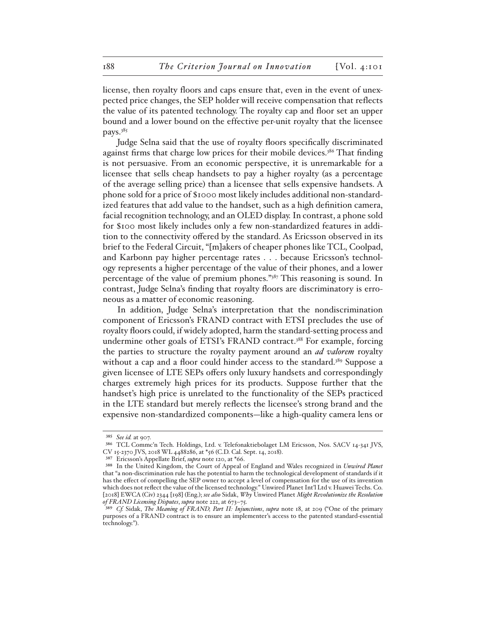license, then royalty floors and caps ensure that, even in the event of unexpected price changes, the SEP holder will receive compensation that reflects the value of its patented technology. The royalty cap and floor set an upper bound and a lower bound on the effective per-unit royalty that the licensee pays.385

Judge Selna said that the use of royalty floors specifically discriminated against firms that charge low prices for their mobile devices.<sup>386</sup> That finding is not persuasive. From an economic perspective, it is unremarkable for a licensee that sells cheap handsets to pay a higher royalty (as a percentage of the average selling price) than a licensee that sells expensive handsets. A phone sold for a price of \$1000 most likely includes additional non-standardized features that add value to the handset, such as a high definition camera, facial recognition technology, and an OLED display. In contrast, a phone sold for \$100 most likely includes only a few non-standardized features in addition to the connectivity offered by the standard. As Ericsson observed in its brief to the Federal Circuit, "[m]akers of cheaper phones like TCL, Coolpad, and Karbonn pay higher percentage rates . . . because Ericsson's technology represents a higher percentage of the value of their phones, and a lower percentage of the value of premium phones."387 This reasoning is sound. In contrast, Judge Selna's finding that royalty floors are discriminatory is erroneous as a matter of economic reasoning.

In addition, Judge Selna's interpretation that the nondiscrimination component of Ericsson's FRAND contract with ETSI precludes the use of royalty floors could, if widely adopted, harm the standard-setting process and undermine other goals of ETSI's FRAND contract.<sup>388</sup> For example, forcing the parties to structure the royalty payment around an *ad valorem* royalty without a cap and a floor could hinder access to the standard.<sup>389</sup> Suppose a given licensee of LTE SEPs offers only luxury handsets and correspondingly charges extremely high prices for its products. Suppose further that the handset's high price is unrelated to the functionality of the SEPs practiced in the LTE standard but merely reflects the licensee's strong brand and the expensive non-standardized components—like a high-quality camera lens or

<sup>385</sup> *See id.* at 907.

<sup>386</sup> TCL Commc'n Tech. Holdings, Ltd. v. Telefonaktiebolaget LM Ericsson, Nos. SACV 14-341 JVS, CV 15-2370 JVS, 2018 WL 4488286, at \*56 (C.D. Cal. Sept. 14, 2018).

<sup>387</sup> Ericsson's Appellate Brief, *supra* note 120, at \*66.

<sup>388</sup> In the United Kingdom, the Court of Appeal of England and Wales recognized in *Unwired Planet* that "a non-discrimination rule has the potential to harm the technological development of standards if it has the effect of compelling the SEP owner to accept a level of compensation for the use of its invention which does not reflect the value of the licensed technology." Unwired Planet Int'l Ltd v. Huawei Techs. Co. [2018] EWCA (Civ) 2344 [198] (Eng.); *see also* Sidak, *Why* Unwired Planet *Might Revolutionize the Resolution of FRAND Licensing Disputes*, *supra* note 222, at 673–75.

<sup>389</sup> *Cf.* Sidak, *The Meaning of FRAND, Part II: Injunctions*, *supra* note 18, at 209 ("One of the primary purposes of a FRAND contract is to ensure an implementer's access to the patented standard-essential technology.").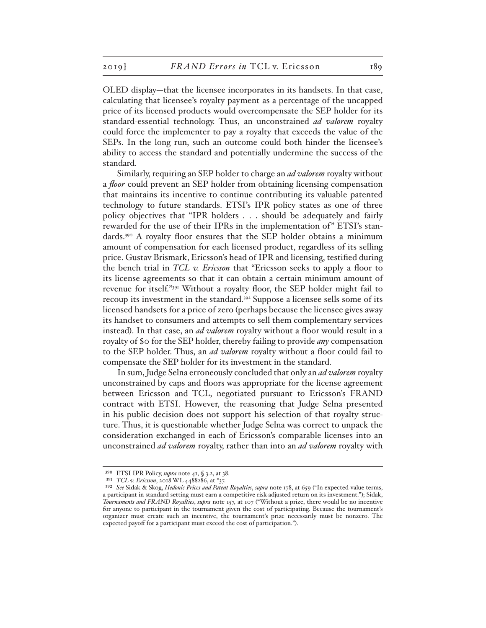OLED display—that the licensee incorporates in its handsets. In that case, calculating that licensee's royalty payment as a percentage of the uncapped price of its licensed products would overcompensate the SEP holder for its standard-essential technology. Thus, an unconstrained *ad valorem* royalty could force the implementer to pay a royalty that exceeds the value of the SEPs. In the long run, such an outcome could both hinder the licensee's ability to access the standard and potentially undermine the success of the standard.

Similarly, requiring an SEP holder to charge an *ad valorem* royalty without a *floor* could prevent an SEP holder from obtaining licensing compensation that maintains its incentive to continue contributing its valuable patented technology to future standards. ETSI's IPR policy states as one of three policy objectives that "IPR holders . . . should be adequately and fairly rewarded for the use of their IPRs in the implementation of" ETSI's standards.390 A royalty floor ensures that the SEP holder obtains a minimum amount of compensation for each licensed product, regardless of its selling price. Gustav Brismark, Ericsson's head of IPR and licensing, testified during the bench trial in *TCL v. Ericsson* that "Ericsson seeks to apply a floor to its license agreements so that it can obtain a certain minimum amount of revenue for itself."391 Without a royalty floor, the SEP holder might fail to recoup its investment in the standard.392 Suppose a licensee sells some of its licensed handsets for a price of zero (perhaps because the licensee gives away its handset to consumers and attempts to sell them complementary services instead). In that case, an *ad valorem* royalty without a floor would result in a royalty of \$0 for the SEP holder, thereby failing to provide *any* compensation to the SEP holder. Thus, an *ad valorem* royalty without a floor could fail to compensate the SEP holder for its investment in the standard.

In sum, Judge Selna erroneously concluded that only an *ad valorem* royalty unconstrained by caps and floors was appropriate for the license agreement between Ericsson and TCL, negotiated pursuant to Ericsson's FRAND contract with ETSI. However, the reasoning that Judge Selna presented in his public decision does not support his selection of that royalty structure. Thus, it is questionable whether Judge Selna was correct to unpack the consideration exchanged in each of Ericsson's comparable licenses into an unconstrained *ad valorem* royalty, rather than into an *ad valorem* royalty with

<sup>390</sup> ETSI IPR Policy, *supra* note 41, § 3.2, at 38.

<sup>391</sup> *TCL v. Ericsson*, 2018 WL 4488286, at \*37.

<sup>392</sup> *See* Sidak & Skog, *Hedonic Prices and Patent Royalties*, *supra* note 178, at 659 ("In expected-value terms, a participant in standard setting must earn a competitive risk-adjusted return on its investment."); Sidak, *Tournaments and FRAND Royalties*, *supra* note 157, at 107 ("Without a prize, there would be no incentive for anyone to participant in the tournament given the cost of participating. Because the tournament's organizer must create such an incentive, the tournament's prize necessarily must be nonzero. The expected payoff for a participant must exceed the cost of participation.").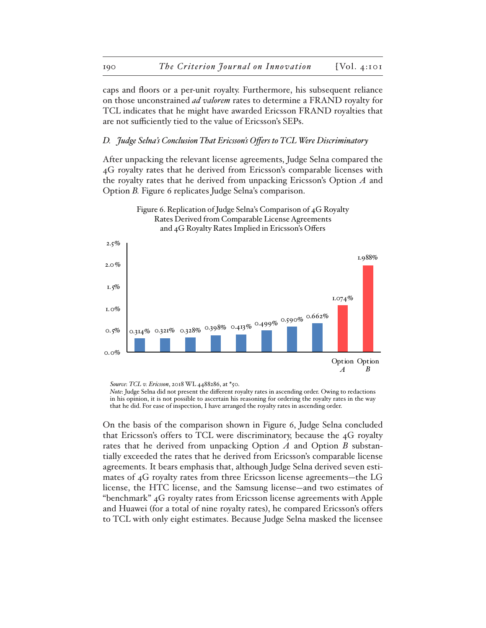caps and floors or a per-unit royalty. Furthermore, his subsequent reliance on those unconstrained *ad valorem* rates to determine a FRAND royalty for TCL indicates that he might have awarded Ericsson FRAND royalties that are not sufficiently tied to the value of Ericsson's SEPs.

## *D. Judge Selna's Conclusion That Ericsson's Offers to TCL Were Discriminatory*

After unpacking the relevant license agreements, Judge Selna compared the 4G royalty rates that he derived from Ericsson's comparable licenses with the royalty rates that he derived from unpacking Ericsson's Option *A* and Option *B.* Figure 6 replicates Judge Selna's comparison.



Figure 6. Replication of Judge Selna's Comparison of 4G Royalty Rates Derived from Comparable License Agreements and 4G Royalty Rates Implied in Ericsson's Offers

*Source*: *TCL v. Ericsson*, 2018 WL 4488286, at \*50.

*Note*: Judge Selna did not present the different royalty rates in ascending order. Owing to redactions in his opinion, it is not possible to ascertain his reasoning for ordering the royalty rates in the way that he did. For ease of inspection, I have arranged the royalty rates in ascending order.

On the basis of the comparison shown in Figure 6, Judge Selna concluded that Ericsson's offers to TCL were discriminatory, because the 4G royalty rates that he derived from unpacking Option *A* and Option *B* substantially exceeded the rates that he derived from Ericsson's comparable license agreements. It bears emphasis that, although Judge Selna derived seven estimates of 4G royalty rates from three Ericsson license agreements—the LG license, the HTC license, and the Samsung license—and two estimates of "benchmark" 4G royalty rates from Ericsson license agreements with Apple and Huawei (for a total of nine royalty rates), he compared Ericsson's offers to TCL with only eight estimates. Because Judge Selna masked the licensee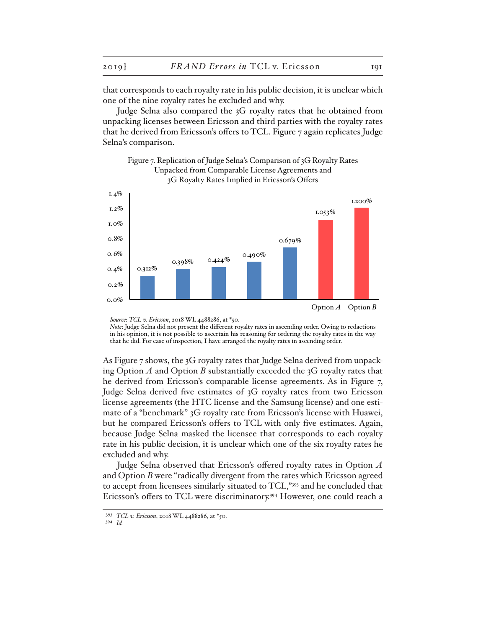that corresponds to each royalty rate in his public decision, it is unclear which one of the nine royalty rates he excluded and why.

Judge Selna also compared the 3G royalty rates that he obtained from unpacking licenses between Ericsson and third parties with the royalty rates that he derived from Ericsson's offers to TCL. Figure 7 again replicates Judge Selna's comparison.

Figure 7. Replication of Judge Selna's Comparison of 3G Royalty Rates



*Source*: *TCL v. Ericsson*, 2018 WL 4488286, at \*50.

As Figure 7 shows, the 3G royalty rates that Judge Selna derived from unpacking Option *A* and Option *B* substantially exceeded the 3G royalty rates that he derived from Ericsson's comparable license agreements. As in Figure 7, Judge Selna derived five estimates of 3G royalty rates from two Ericsson license agreements (the HTC license and the Samsung license) and one estimate of a "benchmark" 3G royalty rate from Ericsson's license with Huawei, but he compared Ericsson's offers to TCL with only five estimates. Again, because Judge Selna masked the licensee that corresponds to each royalty rate in his public decision, it is unclear which one of the six royalty rates he excluded and why.

Judge Selna observed that Ericsson's offered royalty rates in Option *A* and Option *B* were "radically divergent from the rates which Ericsson agreed to accept from licensees similarly situated to TCL,"393 and he concluded that Ericsson's offers to TCL were discriminatory.394 However, one could reach a

*Note*: Judge Selna did not present the different royalty rates in ascending order. Owing to redactions in his opinion, it is not possible to ascertain his reasoning for ordering the royalty rates in the way that he did. For ease of inspection, I have arranged the royalty rates in ascending order.

<sup>393</sup> *TCL v. Ericsson*, 2018 WL 4488286, at \*50.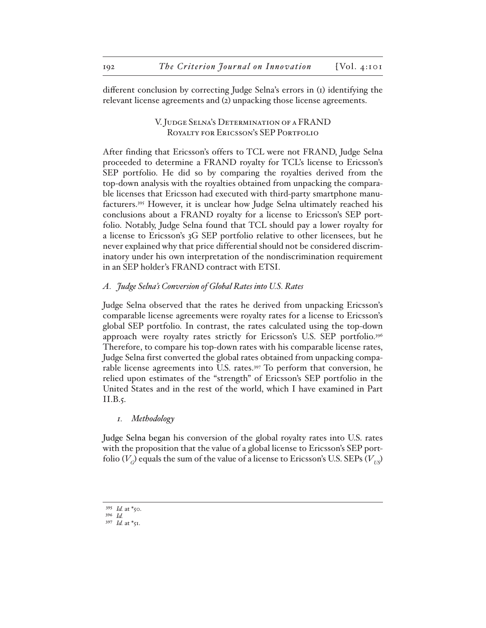different conclusion by correcting Judge Selna's errors in (1) identifying the relevant license agreements and (2) unpacking those license agreements.

# V. Judge Selna's Determination of a FRAND ROYALTY FOR ERICSSON'S SEP PORTFOLIO

After finding that Ericsson's offers to TCL were not FRAND, Judge Selna proceeded to determine a FRAND royalty for TCL's license to Ericsson's SEP portfolio. He did so by comparing the royalties derived from the top-down analysis with the royalties obtained from unpacking the comparable licenses that Ericsson had executed with third-party smartphone manufacturers.395 However, it is unclear how Judge Selna ultimately reached his conclusions about a FRAND royalty for a license to Ericsson's SEP portfolio. Notably, Judge Selna found that TCL should pay a lower royalty for a license to Ericsson's 3G SEP portfolio relative to other licensees, but he never explained why that price differential should not be considered discriminatory under his own interpretation of the nondiscrimination requirement in an SEP holder's FRAND contract with ETSI.

## *A. Judge Selna's Conversion of Global Rates into U.S. Rates*

Judge Selna observed that the rates he derived from unpacking Ericsson's comparable license agreements were royalty rates for a license to Ericsson's global SEP portfolio. In contrast, the rates calculated using the top-down approach were royalty rates strictly for Ericsson's U.S. SEP portfolio.396 Therefore, to compare his top-down rates with his comparable license rates, Judge Selna first converted the global rates obtained from unpacking comparable license agreements into U.S. rates.<sup>397</sup> To perform that conversion, he relied upon estimates of the "strength" of Ericsson's SEP portfolio in the United States and in the rest of the world, which I have examined in Part II.B.5.

### *1. Methodology*

Judge Selna began his conversion of the global royalty rates into U.S. rates with the proposition that the value of a global license to Ericsson's SEP portfolio  $(V_c)$  equals the sum of the value of a license to Ericsson's U.S. SEPs  $(V_{U})$ 

<sup>395</sup> *Id.* at \*50.

<sup>396</sup> *Id.*

<sup>397</sup> *Id.* at \*51.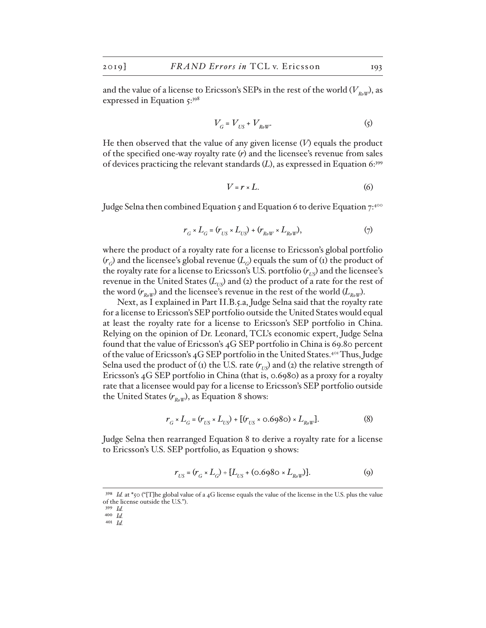and the value of a license to Ericsson's SEPs in the rest of the world  $(V_{RoW})$ , as expressed in Equation 5:398

$$
V_G = V_{US} + V_{Row}.
$$
 (5)

He then observed that the value of any given license (*V*) equals the product of the specified one-way royalty rate (*r*) and the licensee's revenue from sales of devices practicing the relevant standards (*L*), as expressed in Equation 6:399

$$
V = r \times L. \tag{6}
$$

Judge Selna then combined Equation 5 and Equation 6 to derive Equation  $7:400$ 

$$
r_{G} \times L_{G} = (r_{US} \times L_{US}) + (r_{Row} \times L_{Row}), \qquad (7)
$$

where the product of a royalty rate for a license to Ericsson's global portfolio  $(r<sub>G</sub>)$  and the licensee's global revenue  $(L<sub>G</sub>)$  equals the sum of (1) the product of the royalty rate for a license to Ericsson's U.S. portfolio ( $r_{U<sub>US</sub>}$ ) and the licensee's revenue in the United States  $(L_{U}$  and (2) the product of a rate for the rest of the word  $(r_{p_0W})$  and the licensee's revenue in the rest of the world  $(L_{p_0W})$ .

Next, as I explained in Part II.B.5.a, Judge Selna said that the royalty rate for a license to Ericsson's SEP portfolio outside the United States would equal at least the royalty rate for a license to Ericsson's SEP portfolio in China. Relying on the opinion of Dr. Leonard, TCL's economic expert, Judge Selna found that the value of Ericsson's 4G SEP portfolio in China is 69.80 percent of the value of Ericsson's 4G SEP portfolio in the United States.401 Thus, Judge Selna used the product of (1) the U.S. rate  $(r_{\text{NS}})$  and (2) the relative strength of Ericsson's 4G SEP portfolio in China (that is, 0.6980) as a proxy for a royalty rate that a licensee would pay for a license to Ericsson's SEP portfolio outside the United States  $(r_{\text{RoW}})$ , as Equation 8 shows:

$$
r_G \times L_G = (r_{US} \times L_{US}) + [(r_{US} \times 0.6980) \times L_{RoW}].
$$
 (8)

Judge Selna then rearranged Equation 8 to derive a royalty rate for a license to Ericsson's U.S. SEP portfolio, as Equation 9 shows:

$$
r_{US} = (r_G \times L_G) \div [L_{US} + (0.6980 \times L_{Row})].
$$
 (9)

<sup>398</sup> *Id.* at \*50 ("[T]he global value of a 4G license equals the value of the license in the U.S. plus the value of the license outside the U.S.").

<sup>399</sup> *Id.* 400 *Id.*

<sup>401</sup> *Id.*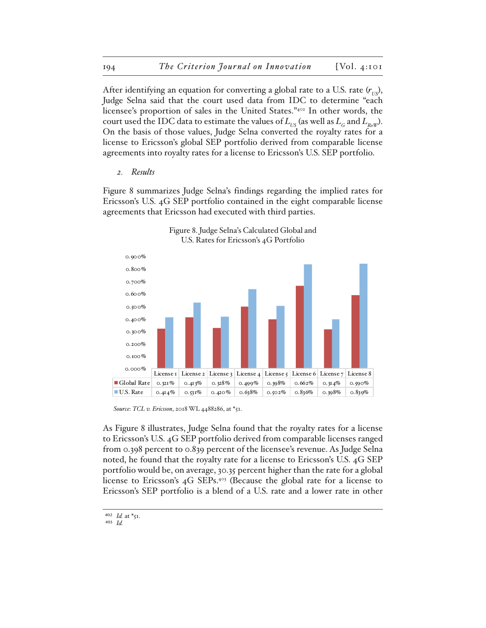After identifying an equation for converting a global rate to a U.S. rate  $(r_{US})$ , Judge Selna said that the court used data from IDC to determine "each licensee's proportion of sales in the United States."402 In other words, the court used the IDC data to estimate the values of  $L_{\text{L}}$  (as well as  $L_{\text{G}}$  and  $L_{\text{R}}$ <sub>W</sub>). On the basis of those values, Judge Selna converted the royalty rates for a license to Ericsson's global SEP portfolio derived from comparable license agreements into royalty rates for a license to Ericsson's U.S. SEP portfolio.

*2. Results*

Figure 8 summarizes Judge Selna's findings regarding the implied rates for Ericsson's U.S. 4G SEP portfolio contained in the eight comparable license agreements that Ericsson had executed with third parties.



Figure 8. Judge Selna's Calculated Global and U.S. Rates for Ericsson's 4G Portfolio

*Source*: *TCL v. Ericsson*, 2018 WL 4488286, at \*51.

As Figure 8 illustrates, Judge Selna found that the royalty rates for a license to Ericsson's U.S. 4G SEP portfolio derived from comparable licenses ranged from 0.398 percent to 0.839 percent of the licensee's revenue. As Judge Selna noted, he found that the royalty rate for a license to Ericsson's U.S. 4G SEP portfolio would be, on average, 30.35 percent higher than the rate for a global license to Ericsson's 4G SEPs.403 (Because the global rate for a license to Ericsson's SEP portfolio is a blend of a U.S. rate and a lower rate in other

 $402$  *Id.* at  $*_{51}$ .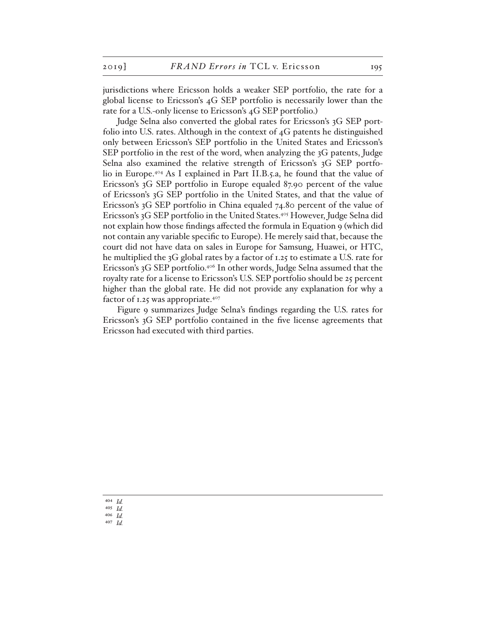jurisdictions where Ericsson holds a weaker SEP portfolio, the rate for a global license to Ericsson's 4G SEP portfolio is necessarily lower than the rate for a U.S.-only license to Ericsson's 4G SEP portfolio.)

Judge Selna also converted the global rates for Ericsson's 3G SEP portfolio into U.S. rates. Although in the context of 4G patents he distinguished only between Ericsson's SEP portfolio in the United States and Ericsson's SEP portfolio in the rest of the word, when analyzing the 3G patents, Judge Selna also examined the relative strength of Ericsson's 3G SEP portfolio in Europe.404 As I explained in Part II.B.5.a, he found that the value of Ericsson's 3G SEP portfolio in Europe equaled 87.90 percent of the value of Ericsson's 3G SEP portfolio in the United States, and that the value of Ericsson's 3G SEP portfolio in China equaled 74.80 percent of the value of Ericsson's 3G SEP portfolio in the United States.405 However, Judge Selna did not explain how those findings affected the formula in Equation 9 (which did not contain any variable specific to Europe). He merely said that, because the court did not have data on sales in Europe for Samsung, Huawei, or HTC, he multiplied the 3G global rates by a factor of 1.25 to estimate a U.S. rate for Ericsson's 3G SEP portfolio.406 In other words, Judge Selna assumed that the royalty rate for a license to Ericsson's U.S. SEP portfolio should be 25 percent higher than the global rate. He did not provide any explanation for why a factor of 1.25 was appropriate. $407$ 

Figure 9 summarizes Judge Selna's findings regarding the U.S. rates for Ericsson's 3G SEP portfolio contained in the five license agreements that Ericsson had executed with third parties.

404 *Id.* 405 *Id.* 406 *Id.* 407 *Id.*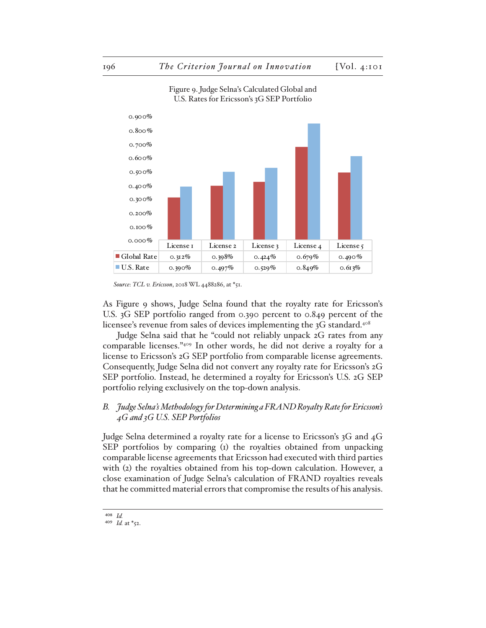

Figure 9. Judge Selna's Calculated Global and U.S. Rates for Ericsson's 3G SEP Portfolio

As Figure 9 shows, Judge Selna found that the royalty rate for Ericsson's U.S. 3G SEP portfolio ranged from 0.390 percent to 0.849 percent of the licensee's revenue from sales of devices implementing the 3G standard.<sup>408</sup>

Judge Selna said that he "could not reliably unpack 2G rates from any comparable licenses."409 In other words, he did not derive a royalty for a license to Ericsson's 2G SEP portfolio from comparable license agreements. Consequently, Judge Selna did not convert any royalty rate for Ericsson's 2G SEP portfolio. Instead, he determined a royalty for Ericsson's U.S. 2G SEP portfolio relying exclusively on the top-down analysis.

## *B. Judge Selna's Methodology for Determining a FRAND Royalty Rate for Ericsson's 4G and 3G U.S. SEP Portfolios*

Judge Selna determined a royalty rate for a license to Ericsson's 3G and 4G SEP portfolios by comparing (1) the royalties obtained from unpacking comparable license agreements that Ericsson had executed with third parties with (2) the royalties obtained from his top-down calculation. However, a close examination of Judge Selna's calculation of FRAND royalties reveals that he committed material errors that compromise the results of his analysis.

*Source*: *TCL v. Ericsson*, 2018 WL 4488286, at \*51.

<sup>408</sup> *Id.*

<sup>409</sup> *Id.* at \*52.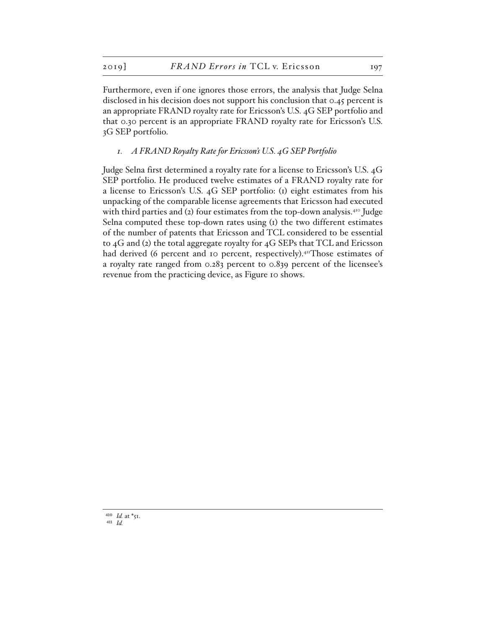Furthermore, even if one ignores those errors, the analysis that Judge Selna disclosed in his decision does not support his conclusion that 0.45 percent is an appropriate FRAND royalty rate for Ericsson's U.S. 4G SEP portfolio and that 0.30 percent is an appropriate FRAND royalty rate for Ericsson's U.S. 3G SEP portfolio.

### *1. A FRAND Royalty Rate for Ericsson's U.S. 4G SEP Portfolio*

Judge Selna first determined a royalty rate for a license to Ericsson's U.S. 4G SEP portfolio. He produced twelve estimates of a FRAND royalty rate for a license to Ericsson's U.S. 4G SEP portfolio: (1) eight estimates from his unpacking of the comparable license agreements that Ericsson had executed with third parties and (2) four estimates from the top-down analysis.<sup>410</sup> Judge Selna computed these top-down rates using (1) the two different estimates of the number of patents that Ericsson and TCL considered to be essential to 4G and (2) the total aggregate royalty for 4G SEPs that TCL and Ericsson had derived (6 percent and 10 percent, respectively).<sup>411</sup>Those estimates of a royalty rate ranged from 0.283 percent to 0.839 percent of the licensee's revenue from the practicing device, as Figure 10 shows.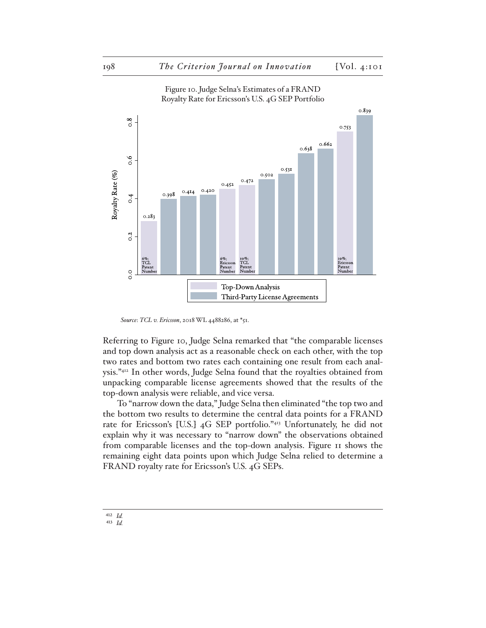

Figure 10. Judge Selna's Estimates of a FRAND Royalty Rate for Ericsson's U.S. 4G SEP Portfolio

*Source*: *TCL v. Ericsson*, 2018 WL 4488286, at \*51.

Referring to Figure 10, Judge Selna remarked that "the comparable licenses and top down analysis act as a reasonable check on each other, with the top two rates and bottom two rates each containing one result from each analysis."412 In other words, Judge Selna found that the royalties obtained from unpacking comparable license agreements showed that the results of the top-down analysis were reliable, and vice versa.

To "narrow down the data," Judge Selna then eliminated "the top two and the bottom two results to determine the central data points for a FRAND rate for Ericsson's [U.S.] 4G SEP portfolio."413 Unfortunately, he did not explain why it was necessary to "narrow down" the observations obtained from comparable licenses and the top-down analysis. Figure 11 shows the remaining eight data points upon which Judge Selna relied to determine a FRAND royalty rate for Ericsson's U.S. 4G SEPs.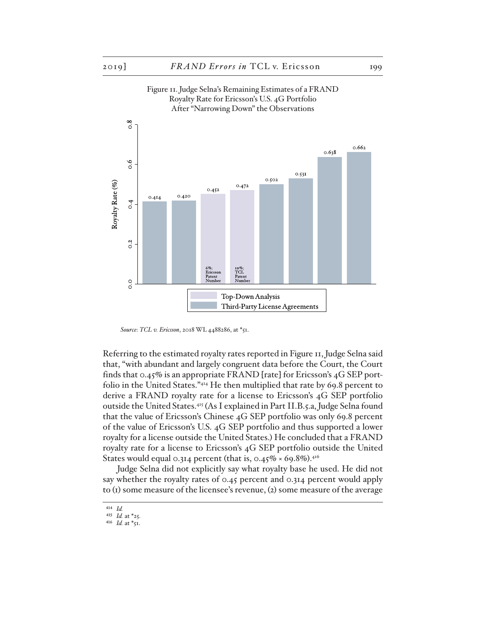

Figure 11. Judge Selna's Remaining Estimates of a FRAND

*Source*: *TCL v. Ericsson*, 2018 WL 4488286, at \*51.

Referring to the estimated royalty rates reported in Figure 11, Judge Selna said that, "with abundant and largely congruent data before the Court, the Court finds that 0.45% is an appropriate FRAND [rate] for Ericsson's 4G SEP portfolio in the United States."414 He then multiplied that rate by 69.8 percent to derive a FRAND royalty rate for a license to Ericsson's 4G SEP portfolio outside the United States.415 (As I explained in Part II.B.5.a, Judge Selna found that the value of Ericsson's Chinese 4G SEP portfolio was only 69.8 percent of the value of Ericsson's U.S. 4G SEP portfolio and thus supported a lower royalty for a license outside the United States.) He concluded that a FRAND royalty rate for a license to Ericsson's 4G SEP portfolio outside the United States would equal 0.314 percent (that is, 0.45%  $\times$  69.8%).<sup>416</sup>

Judge Selna did not explicitly say what royalty base he used. He did not say whether the royalty rates of 0.45 percent and 0.314 percent would apply to (1) some measure of the licensee's revenue, (2) some measure of the average

<sup>414</sup> *Id.*

<sup>415</sup> *Id.* at \*25.

<sup>416</sup> *Id.* at \*51.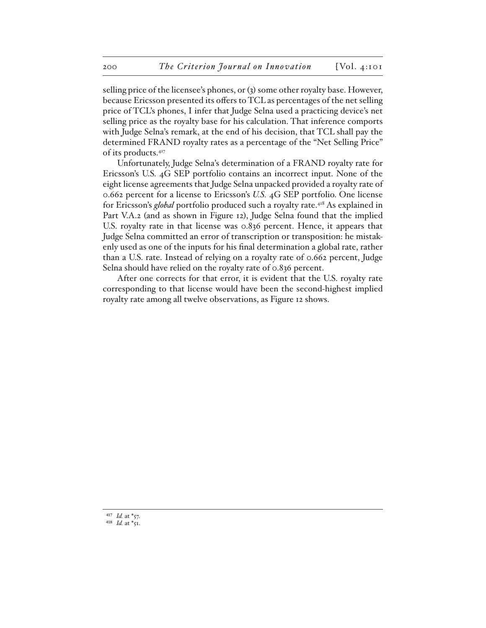selling price of the licensee's phones, or (3) some other royalty base. However, because Ericsson presented its offers to TCL as percentages of the net selling price of TCL's phones, I infer that Judge Selna used a practicing device's net selling price as the royalty base for his calculation. That inference comports with Judge Selna's remark, at the end of his decision, that TCL shall pay the determined FRAND royalty rates as a percentage of the "Net Selling Price" of its products.417

Unfortunately, Judge Selna's determination of a FRAND royalty rate for Ericsson's U.S. 4G SEP portfolio contains an incorrect input. None of the eight license agreements that Judge Selna unpacked provided a royalty rate of 0.662 percent for a license to Ericsson's *U.S.* 4G SEP portfolio. One license for Ericsson's *global* portfolio produced such a royalty rate.418 As explained in Part V.A.2 (and as shown in Figure 12), Judge Selna found that the implied U.S. royalty rate in that license was 0.836 percent. Hence, it appears that Judge Selna committed an error of transcription or transposition: he mistakenly used as one of the inputs for his final determination a global rate, rather than a U.S. rate. Instead of relying on a royalty rate of 0.662 percent, Judge Selna should have relied on the royalty rate of 0.836 percent.

After one corrects for that error, it is evident that the U.S. royalty rate corresponding to that license would have been the second-highest implied royalty rate among all twelve observations, as Figure 12 shows.

417 *Id.* at \*57. <sup>418</sup> *Id.* at  $*_{51}$ .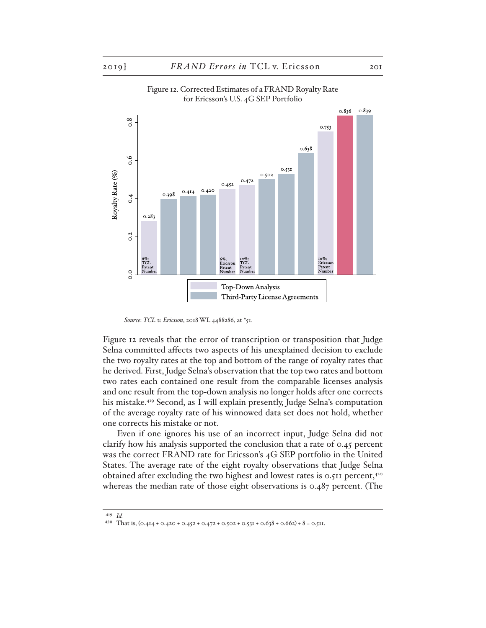

## Figure 12. Corrected Estimates of a FRAND Royalty Rate for Ericsson's U.S. 4G SEP Portfolio

*Source*: *TCL v. Ericsson*, 2018 WL 4488286, at \*51.

Figure 12 reveals that the error of transcription or transposition that Judge Selna committed affects two aspects of his unexplained decision to exclude the two royalty rates at the top and bottom of the range of royalty rates that he derived. First, Judge Selna's observation that the top two rates and bottom two rates each contained one result from the comparable licenses analysis and one result from the top-down analysis no longer holds after one corrects his mistake.419 Second, as I will explain presently, Judge Selna's computation of the average royalty rate of his winnowed data set does not hold, whether one corrects his mistake or not.

Even if one ignores his use of an incorrect input, Judge Selna did not clarify how his analysis supported the conclusion that a rate of 0.45 percent was the correct FRAND rate for Ericsson's 4G SEP portfolio in the United States. The average rate of the eight royalty observations that Judge Selna obtained after excluding the two highest and lowest rates is 0.511 percent,420 whereas the median rate of those eight observations is 0.487 percent. (The

<sup>419</sup> *Id.*

<sup>420</sup> That is,  $(0.414 + 0.420 + 0.452 + 0.472 + 0.502 + 0.531 + 0.638 + 0.662) \div 8 = 0.511$ .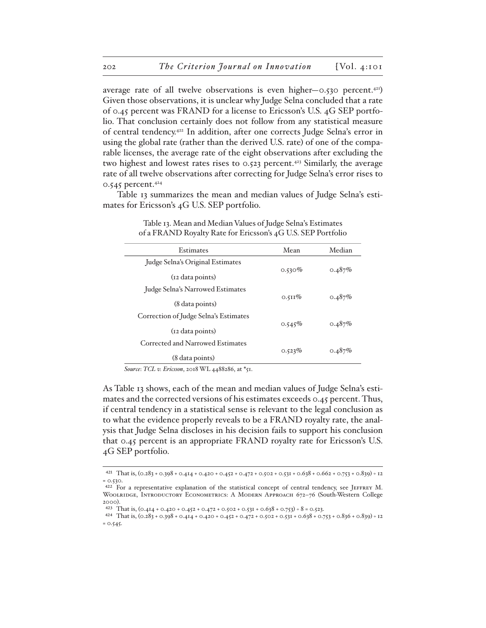average rate of all twelve observations is even higher—0.530 percent.<sup>421</sup>) Given those observations, it is unclear why Judge Selna concluded that a rate of 0.45 percent was FRAND for a license to Ericsson's U.S. 4G SEP portfolio. That conclusion certainly does not follow from any statistical measure of central tendency.422 In addition, after one corrects Judge Selna's error in using the global rate (rather than the derived U.S. rate) of one of the comparable licenses, the average rate of the eight observations after excluding the two highest and lowest rates rises to  $0.523$  percent.<sup>423</sup> Similarly, the average rate of all twelve observations after correcting for Judge Selna's error rises to 0.545 percent.<sup>424</sup>

Table 13 summarizes the mean and median values of Judge Selna's estimates for Ericsson's 4G U.S. SEP portfolio.

| Estimates                             | Mean      | Median |
|---------------------------------------|-----------|--------|
| Judge Selna's Original Estimates      |           |        |
| (12 data points)                      | $0.530\%$ | 0.487% |
| Judge Selna's Narrowed Estimates      | $0.511\%$ |        |
| (8 data points)                       |           | 0.487% |
| Correction of Judge Selna's Estimates | 0.545%    | 0.487% |
| (12 data points)                      |           |        |
| Corrected and Narrowed Estimates      |           |        |
| (8 data points)                       | 0.523%    | 0.487% |

Table 13. Mean and Median Values of Judge Selna's Estimates of a FRAND Royalty Rate for Ericsson's 4G U.S. SEP Portfolio

*Source*: *TCL v. Ericsson*, 2018 WL 4488286, at \*51.

As Table 13 shows, each of the mean and median values of Judge Selna's estimates and the corrected versions of his estimates exceeds 0.45 percent. Thus, if central tendency in a statistical sense is relevant to the legal conclusion as to what the evidence properly reveals to be a FRAND royalty rate, the analysis that Judge Selna discloses in his decision fails to support his conclusion that 0.45 percent is an appropriate FRAND royalty rate for Ericsson's U.S. 4G SEP portfolio.

<sup>421</sup> That is, (0.283 + 0.398 + 0.414 + 0.420 + 0.452 + 0.472 + 0.502 + 0.531 + 0.638 + 0.662 + 0.753 + 0.839) ÷ 12 = 0.530.

<sup>&</sup>lt;sup>422</sup> For a representative explanation of the statistical concept of central tendency, see JEFFREY M. WOOLRIDGE, INTRODUCTORY ECONOMETRICS: A MODERN APPROACH 672-76 (South-Western College 2000).

<sup>423</sup> That is,  $(0.414 + 0.420 + 0.452 + 0.472 + 0.502 + 0.531 + 0.638 + 0.753) \div 8 = 0.523$ .

<sup>424</sup> That is, (0.283 + 0.398 + 0.414 + 0.420 + 0.452 + 0.472 + 0.502 + 0.531 + 0.638 + 0.753 + 0.836 + 0.839) ÷ 12  $= 0.545.$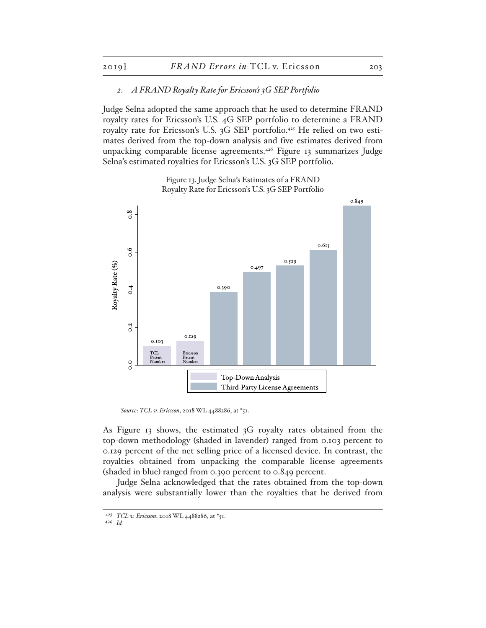#### *2. A FRAND Royalty Rate for Ericsson's 3G SEP Portfolio*

Judge Selna adopted the same approach that he used to determine FRAND royalty rates for Ericsson's U.S. 4G SEP portfolio to determine a FRAND royalty rate for Ericsson's U.S. 3G SEP portfolio.<sup>425</sup> He relied on two estimates derived from the top-down analysis and five estimates derived from unpacking comparable license agreements.<sup>426</sup> Figure 13 summarizes Judge Selna's estimated royalties for Ericsson's U.S. 3G SEP portfolio.

> Figure 13. Judge Selna's Estimates of a FRAND Royalty Rate for Ericsson's U.S. 3G SEP Portfolio



*Source*: *TCL v. Ericsson*, 2018 WL 4488286, at \*51.

As Figure 13 shows, the estimated 3G royalty rates obtained from the top-down methodology (shaded in lavender) ranged from 0.103 percent to 0.129 percent of the net selling price of a licensed device. In contrast, the royalties obtained from unpacking the comparable license agreements (shaded in blue) ranged from 0.390 percent to 0.849 percent.

Judge Selna acknowledged that the rates obtained from the top-down analysis were substantially lower than the royalties that he derived from

<sup>425</sup> *TCL v. Ericsson*, 2018 WL 4488286, at \*51.

<sup>426</sup> *Id.*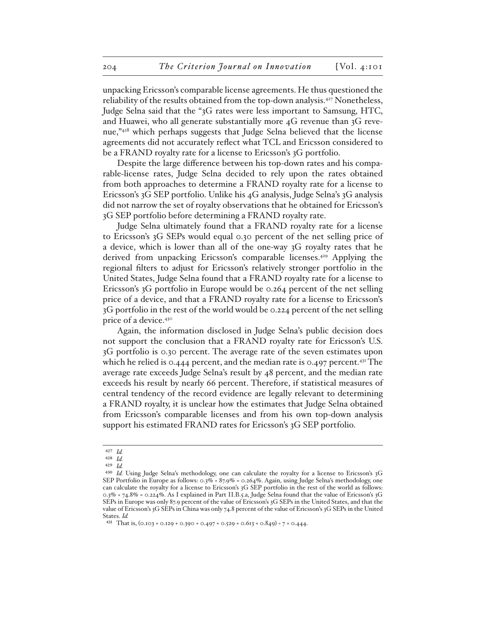unpacking Ericsson's comparable license agreements. He thus questioned the reliability of the results obtained from the top-down analysis.<sup>427</sup> Nonetheless, Judge Selna said that the "3G rates were less important to Samsung, HTC, and Huawei, who all generate substantially more 4G revenue than 3G revenue,"428 which perhaps suggests that Judge Selna believed that the license agreements did not accurately reflect what TCL and Ericsson considered to be a FRAND royalty rate for a license to Ericsson's 3G portfolio.

Despite the large difference between his top-down rates and his comparable-license rates, Judge Selna decided to rely upon the rates obtained from both approaches to determine a FRAND royalty rate for a license to Ericsson's 3G SEP portfolio. Unlike his 4G analysis, Judge Selna's 3G analysis did not narrow the set of royalty observations that he obtained for Ericsson's 3G SEP portfolio before determining a FRAND royalty rate.

Judge Selna ultimately found that a FRAND royalty rate for a license to Ericsson's 3G SEPs would equal 0.30 percent of the net selling price of a device, which is lower than all of the one-way 3G royalty rates that he derived from unpacking Ericsson's comparable licenses.<sup>429</sup> Applying the regional filters to adjust for Ericsson's relatively stronger portfolio in the United States, Judge Selna found that a FRAND royalty rate for a license to Ericsson's 3G portfolio in Europe would be 0.264 percent of the net selling price of a device, and that a FRAND royalty rate for a license to Ericsson's 3G portfolio in the rest of the world would be 0.224 percent of the net selling price of a device.430

Again, the information disclosed in Judge Selna's public decision does not support the conclusion that a FRAND royalty rate for Ericsson's U.S. 3G portfolio is 0.30 percent. The average rate of the seven estimates upon which he relied is 0.444 percent, and the median rate is 0.497 percent.<sup>431</sup> The average rate exceeds Judge Selna's result by 48 percent, and the median rate exceeds his result by nearly 66 percent. Therefore, if statistical measures of central tendency of the record evidence are legally relevant to determining a FRAND royalty, it is unclear how the estimates that Judge Selna obtained from Ericsson's comparable licenses and from his own top-down analysis support his estimated FRAND rates for Ericsson's 3G SEP portfolio.

<sup>427</sup> *Id.*

<sup>428</sup> *Id.*

<sup>429</sup> *Id.*

<sup>430</sup> *Id.* Using Judge Selna's methodology, one can calculate the royalty for a license to Ericsson's 3G SEP Portfolio in Europe as follows: 0.3% × 87.9% = 0.264%. Again, using Judge Selna's methodology, one can calculate the royalty for a license to Ericsson's 3G SEP portfolio in the rest of the world as follows: 0.3% × 74.8% = 0.224%. As I explained in Part II.B.5.a, Judge Selna found that the value of Ericsson's 3G SEPs in Europe was only 87.9 percent of the value of Ericsson's 3G SEPs in the United States, and that the value of Ericsson's 3G SEPs in China was only 74.8 percent of the value of Ericsson's 3G SEPs in the United States. *Id.*

<sup>431</sup> That is,  $(0.103 + 0.129 + 0.390 + 0.497 + 0.529 + 0.613 + 0.849) \div 7 = 0.444$ .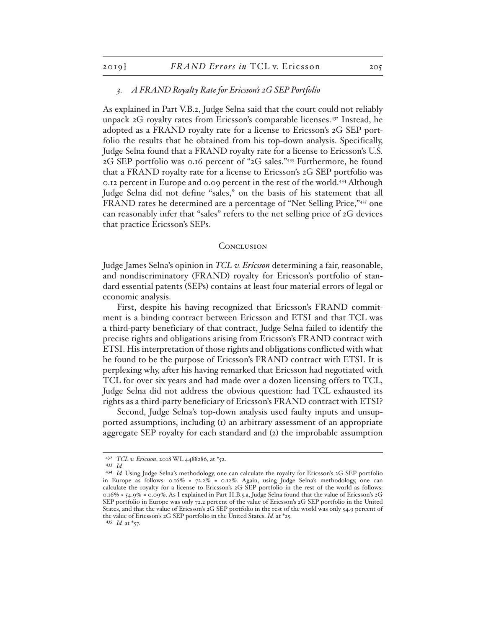#### *3. A FRAND Royalty Rate for Ericsson's 2G SEP Portfolio*

As explained in Part V.B.2, Judge Selna said that the court could not reliably unpack 2G royalty rates from Ericsson's comparable licenses.432 Instead, he adopted as a FRAND royalty rate for a license to Ericsson's 2G SEP portfolio the results that he obtained from his top-down analysis. Specifically, Judge Selna found that a FRAND royalty rate for a license to Ericsson's U.S. 2G SEP portfolio was 0.16 percent of "2G sales."433 Furthermore, he found that a FRAND royalty rate for a license to Ericsson's 2G SEP portfolio was 0.12 percent in Europe and 0.09 percent in the rest of the world.434 Although Judge Selna did not define "sales," on the basis of his statement that all FRAND rates he determined are a percentage of "Net Selling Price,"<sup>435</sup> one can reasonably infer that "sales" refers to the net selling price of 2G devices that practice Ericsson's SEPs.

#### **CONCLUSION**

Judge James Selna's opinion in *TCL v. Ericsson* determining a fair, reasonable, and nondiscriminatory (FRAND) royalty for Ericsson's portfolio of standard essential patents (SEPs) contains at least four material errors of legal or economic analysis.

First, despite his having recognized that Ericsson's FRAND commitment is a binding contract between Ericsson and ETSI and that TCL was a third-party beneficiary of that contract, Judge Selna failed to identify the precise rights and obligations arising from Ericsson's FRAND contract with ETSI. His interpretation of those rights and obligations conflicted with what he found to be the purpose of Ericsson's FRAND contract with ETSI. It is perplexing why, after his having remarked that Ericsson had negotiated with TCL for over six years and had made over a dozen licensing offers to TCL, Judge Selna did not address the obvious question: had TCL exhausted its rights as a third-party beneficiary of Ericsson's FRAND contract with ETSI?

Second, Judge Selna's top-down analysis used faulty inputs and unsupported assumptions, including (1) an arbitrary assessment of an appropriate aggregate SEP royalty for each standard and (2) the improbable assumption

<sup>432</sup> *TCL v. Ericsson*, 2018 WL 4488286, at \*52.

<sup>433</sup> *Id.*

<sup>434</sup> *Id.* Using Judge Selna's methodology, one can calculate the royalty for Ericsson's 2G SEP portfolio in Europe as follows: 0.16% × 72.2% = 0.12%. Again, using Judge Selna's methodology, one can calculate the royalty for a license to Ericsson's 2G SEP portfolio in the rest of the world as follows: 0.16% × 54.9% = 0.09%. As I explained in Part II.B.5.a, Judge Selna found that the value of Ericsson's 2G SEP portfolio in Europe was only 72.2 percent of the value of Ericsson's 2G SEP portfolio in the United States, and that the value of Ericsson's 2G SEP portfolio in the rest of the world was only 54.9 percent of the value of Ericsson's 2G SEP portfolio in the United States. *Id.* at \*25.